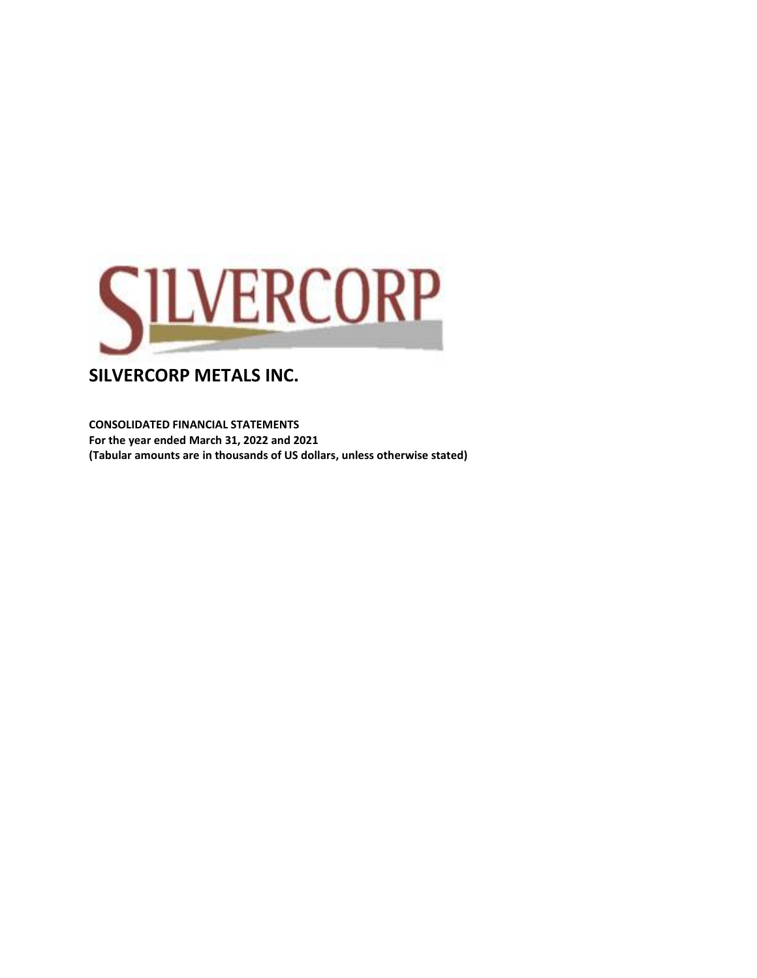

**CONSOLIDATED FINANCIAL STATEMENTS For the year ended March 31, 2022 and 2021 (Tabular amounts are in thousands of US dollars, unless otherwise stated)**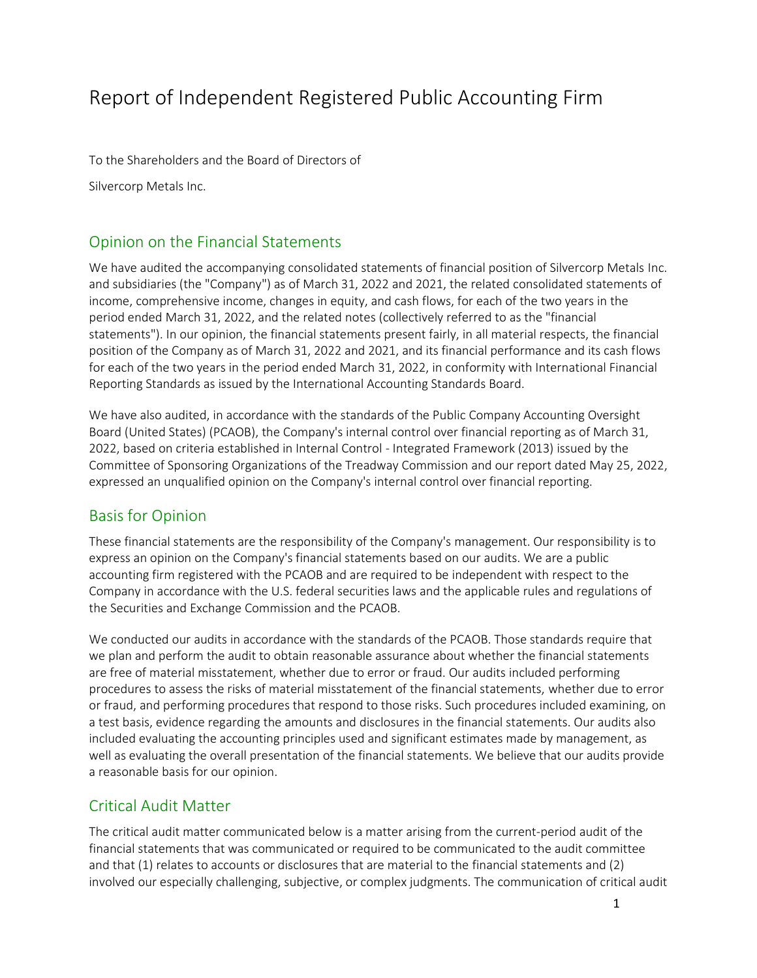# Report of Independent Registered Public Accounting Firm

To the Shareholders and the Board of Directors of

Silvercorp Metals Inc.

## Opinion on the Financial Statements

We have audited the accompanying consolidated statements of financial position of Silvercorp Metals Inc. and subsidiaries (the "Company") as of March 31, 2022 and 2021, the related consolidated statements of income, comprehensive income, changes in equity, and cash flows, for each of the two years in the period ended March 31, 2022, and the related notes (collectively referred to as the "financial statements"). In our opinion, the financial statements present fairly, in all material respects, the financial position of the Company as of March 31, 2022 and 2021, and its financial performance and its cash flows for each of the two years in the period ended March 31, 2022, in conformity with International Financial Reporting Standards as issued by the International Accounting Standards Board.

We have also audited, in accordance with the standards of the Public Company Accounting Oversight Board (United States) (PCAOB), the Company's internal control over financial reporting as of March 31, 2022, based on criteria established in Internal Control - Integrated Framework (2013) issued by the Committee of Sponsoring Organizations of the Treadway Commission and our report dated May 25, 2022, expressed an unqualified opinion on the Company's internal control over financial reporting.

### Basis for Opinion

These financial statements are the responsibility of the Company's management. Our responsibility is to express an opinion on the Company's financial statements based on our audits. We are a public accounting firm registered with the PCAOB and are required to be independent with respect to the Company in accordance with the U.S. federal securities laws and the applicable rules and regulations of the Securities and Exchange Commission and the PCAOB.

We conducted our audits in accordance with the standards of the PCAOB. Those standards require that we plan and perform the audit to obtain reasonable assurance about whether the financial statements are free of material misstatement, whether due to error or fraud. Our audits included performing procedures to assess the risks of material misstatement of the financial statements, whether due to error or fraud, and performing procedures that respond to those risks. Such procedures included examining, on a test basis, evidence regarding the amounts and disclosures in the financial statements. Our audits also included evaluating the accounting principles used and significant estimates made by management, as well as evaluating the overall presentation of the financial statements. We believe that our audits provide a reasonable basis for our opinion.

### Critical Audit Matter

The critical audit matter communicated below is a matter arising from the current-period audit of the financial statements that was communicated or required to be communicated to the audit committee and that (1) relates to accounts or disclosures that are material to the financial statements and (2) involved our especially challenging, subjective, or complex judgments. The communication of critical audit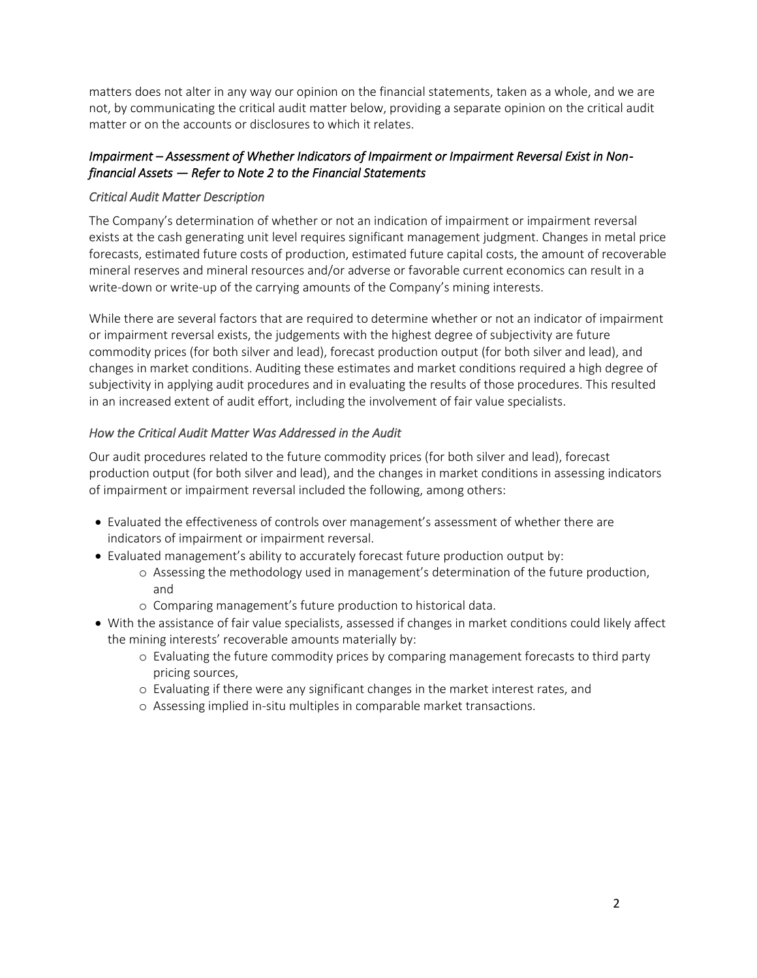matters does not alter in any way our opinion on the financial statements, taken as a whole, and we are not, by communicating the critical audit matter below, providing a separate opinion on the critical audit matter or on the accounts or disclosures to which it relates.

### *Impairment – Assessment of Whether Indicators of Impairment or Impairment Reversal Exist in Nonfinancial Assets — Refer to Note 2 to the Financial Statements*

### *Critical Audit Matter Description*

The Company's determination of whether or not an indication of impairment or impairment reversal exists at the cash generating unit level requires significant management judgment. Changes in metal price forecasts, estimated future costs of production, estimated future capital costs, the amount of recoverable mineral reserves and mineral resources and/or adverse or favorable current economics can result in a write-down or write-up of the carrying amounts of the Company's mining interests.

While there are several factors that are required to determine whether or not an indicator of impairment or impairment reversal exists, the judgements with the highest degree of subjectivity are future commodity prices (for both silver and lead), forecast production output (for both silver and lead), and changes in market conditions. Auditing these estimates and market conditions required a high degree of subjectivity in applying audit procedures and in evaluating the results of those procedures. This resulted in an increased extent of audit effort, including the involvement of fair value specialists.

### *How the Critical Audit Matter Was Addressed in the Audit*

Our audit procedures related to the future commodity prices (for both silver and lead), forecast production output (for both silver and lead), and the changes in market conditions in assessing indicators of impairment or impairment reversal included the following, among others:

- Evaluated the effectiveness of controls over management's assessment of whether there are indicators of impairment or impairment reversal.
- Evaluated management's ability to accurately forecast future production output by:
	- o Assessing the methodology used in management's determination of the future production, and
	- o Comparing management's future production to historical data.
- With the assistance of fair value specialists, assessed if changes in market conditions could likely affect the mining interests' recoverable amounts materially by:
	- o Evaluating the future commodity prices by comparing management forecasts to third party pricing sources,
	- o Evaluating if there were any significant changes in the market interest rates, and
	- o Assessing implied in-situ multiples in comparable market transactions.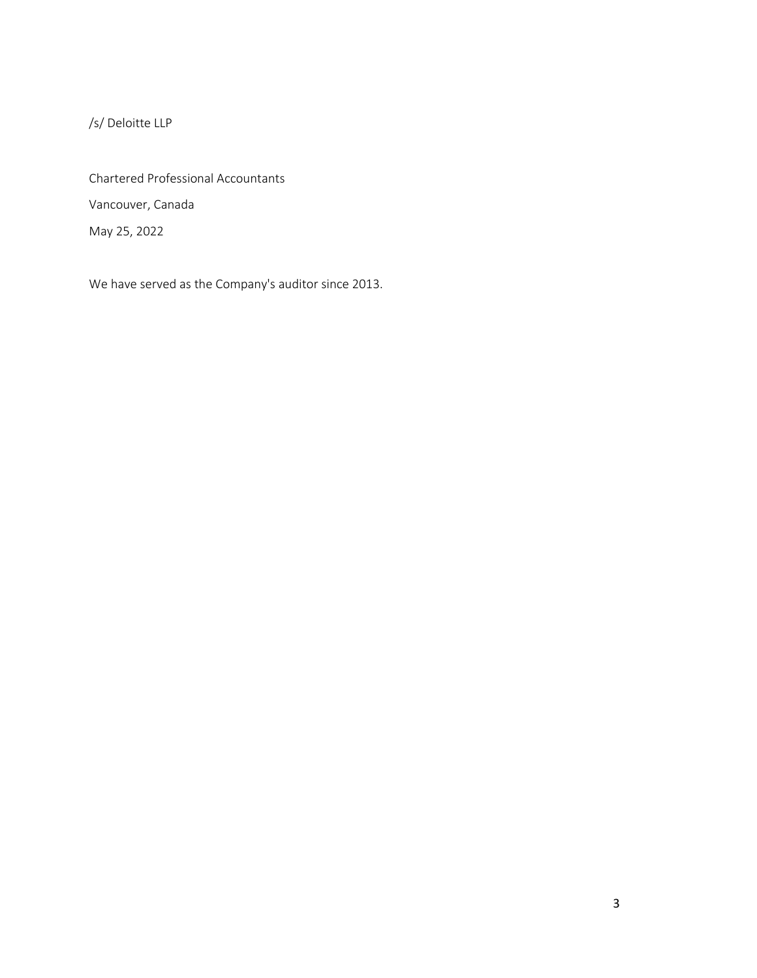/s/ Deloitte LLP

Chartered Professional Accountants Vancouver, Canada May 25, 2022

We have served as the Company's auditor since 2013.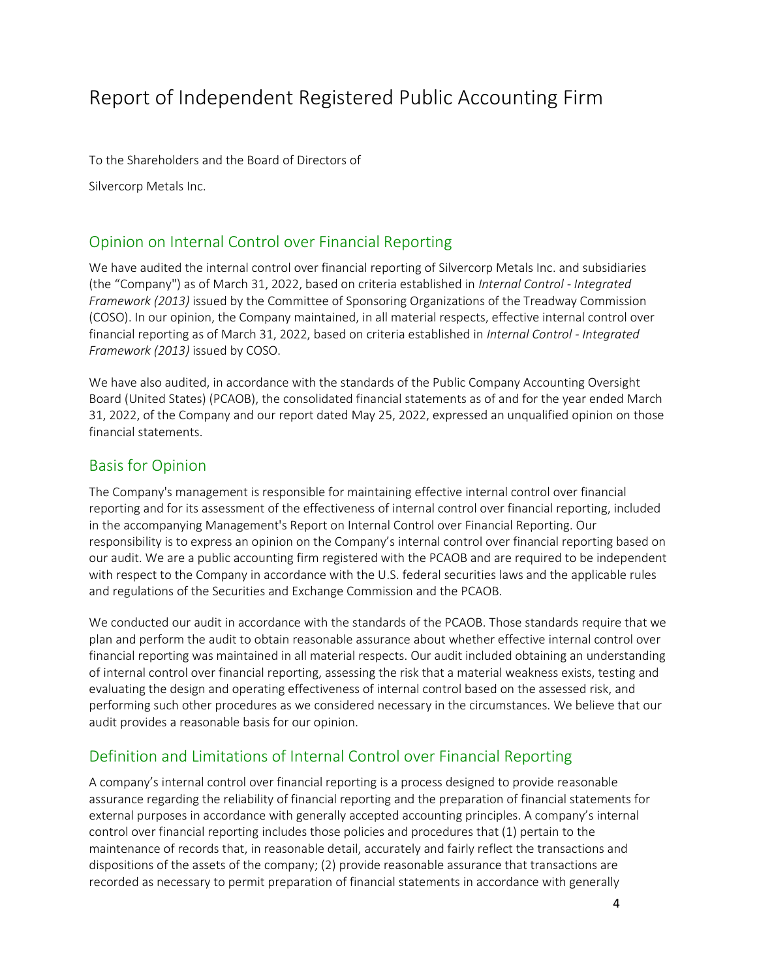# Report of Independent Registered Public Accounting Firm

To the Shareholders and the Board of Directors of

Silvercorp Metals Inc.

## Opinion on Internal Control over Financial Reporting

We have audited the internal control over financial reporting of Silvercorp Metals Inc. and subsidiaries (the "Company") as of March 31, 2022, based on criteria established in *Internal Control - Integrated Framework (2013)* issued by the Committee of Sponsoring Organizations of the Treadway Commission (COSO). In our opinion, the Company maintained, in all material respects, effective internal control over financial reporting as of March 31, 2022, based on criteria established in *Internal Control - Integrated Framework (2013)* issued by COSO.

We have also audited, in accordance with the standards of the Public Company Accounting Oversight Board (United States) (PCAOB), the consolidated financial statements as of and for the year ended March 31, 2022, of the Company and our report dated May 25, 2022, expressed an unqualified opinion on those financial statements.

### Basis for Opinion

The Company's management is responsible for maintaining effective internal control over financial reporting and for its assessment of the effectiveness of internal control over financial reporting, included in the accompanying Management's Report on Internal Control over Financial Reporting. Our responsibility is to express an opinion on the Company's internal control over financial reporting based on our audit. We are a public accounting firm registered with the PCAOB and are required to be independent with respect to the Company in accordance with the U.S. federal securities laws and the applicable rules and regulations of the Securities and Exchange Commission and the PCAOB.

We conducted our audit in accordance with the standards of the PCAOB. Those standards require that we plan and perform the audit to obtain reasonable assurance about whether effective internal control over financial reporting was maintained in all material respects. Our audit included obtaining an understanding of internal control over financial reporting, assessing the risk that a material weakness exists, testing and evaluating the design and operating effectiveness of internal control based on the assessed risk, and performing such other procedures as we considered necessary in the circumstances. We believe that our audit provides a reasonable basis for our opinion.

## Definition and Limitations of Internal Control over Financial Reporting

A company's internal control over financial reporting is a process designed to provide reasonable assurance regarding the reliability of financial reporting and the preparation of financial statements for external purposes in accordance with generally accepted accounting principles. A company's internal control over financial reporting includes those policies and procedures that (1) pertain to the maintenance of records that, in reasonable detail, accurately and fairly reflect the transactions and dispositions of the assets of the company; (2) provide reasonable assurance that transactions are recorded as necessary to permit preparation of financial statements in accordance with generally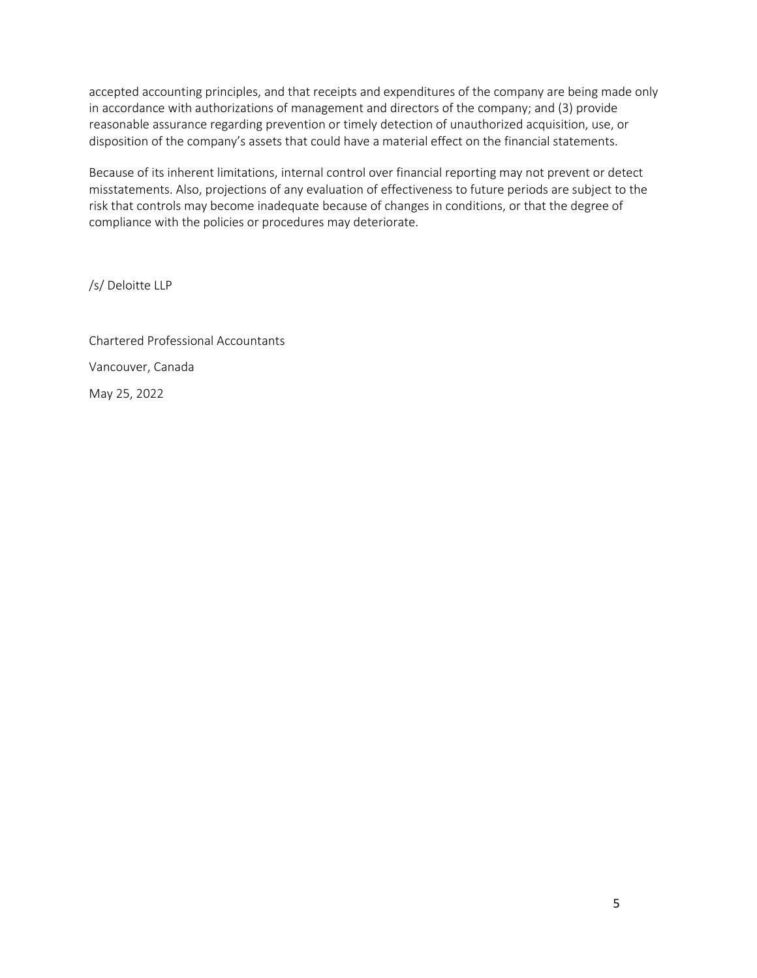accepted accounting principles, and that receipts and expenditures of the company are being made only in accordance with authorizations of management and directors of the company; and (3) provide reasonable assurance regarding prevention or timely detection of unauthorized acquisition, use, or disposition of the company's assets that could have a material effect on the financial statements.

Because of its inherent limitations, internal control over financial reporting may not prevent or detect misstatements. Also, projections of any evaluation of effectiveness to future periods are subject to the risk that controls may become inadequate because of changes in conditions, or that the degree of compliance with the policies or procedures may deteriorate.

/s/ Deloitte LLP

Chartered Professional Accountants Vancouver, Canada May 25, 2022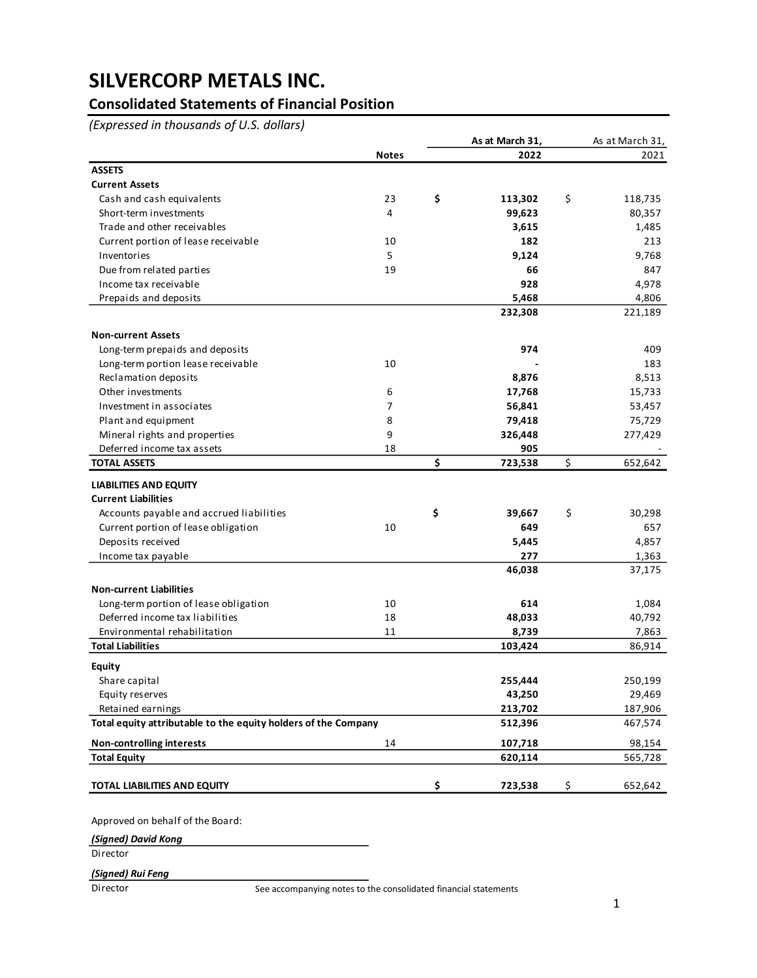## **Consolidated Statements of Financial Position**

*(Expressed in thousands of U.S. dollars)*

|                                                                |              | As at March 31, | As at March 31, |
|----------------------------------------------------------------|--------------|-----------------|-----------------|
|                                                                | <b>Notes</b> | 2022            | 2021            |
| <b>ASSETS</b>                                                  |              |                 |                 |
| <b>Current Assets</b>                                          |              |                 |                 |
| Cash and cash equivalents                                      | 23           | \$<br>113,302   | \$<br>118,735   |
| Short-term investments                                         | 4            | 99,623          | 80,357          |
| Trade and other receivables                                    |              | 3,615           | 1,485           |
| Current portion of lease receivable                            | 10           | 182             | 213             |
| Inventories                                                    | 5            | 9,124           | 9,768           |
| Due from related parties                                       | 19           | 66              | 847             |
| Income tax receivable                                          |              | 928             | 4,978           |
| Prepaids and deposits                                          |              | 5,468           | 4,806           |
|                                                                |              | 232,308         | 221,189         |
| <b>Non-current Assets</b>                                      |              |                 |                 |
| Long-term prepaids and deposits                                |              | 974             | 409             |
| Long-term portion lease receivable                             | 10           |                 | 183             |
| Reclamation deposits                                           |              | 8,876           | 8,513           |
| Other investments                                              | 6            | 17,768          | 15,733          |
| Investment in associates                                       | 7            | 56,841          | 53,457          |
| Plant and equipment                                            | 8            | 79,418          | 75,729          |
| Mineral rights and properties                                  | 9            | 326,448         | 277,429         |
| Deferred income tax assets                                     | 18           | 905             |                 |
| <b>TOTAL ASSETS</b>                                            |              | \$<br>723,538   | \$<br>652,642   |
| <b>LIABILITIES AND EQUITY</b>                                  |              |                 |                 |
| <b>Current Liabilities</b>                                     |              |                 |                 |
| Accounts payable and accrued liabilities                       |              | \$<br>39,667    | \$<br>30,298    |
| Current portion of lease obligation                            | 10           | 649             | 657             |
| Deposits received                                              |              | 5,445           | 4,857           |
| Income tax payable                                             |              | 277             | 1,363           |
|                                                                |              | 46,038          | 37,175          |
|                                                                |              |                 |                 |
| <b>Non-current Liabilities</b>                                 |              |                 |                 |
| Long-term portion of lease obligation                          | 10           | 614             | 1,084           |
| Deferred income tax liabilities                                | 18           | 48,033          | 40,792          |
| Environmental rehabilitation                                   | 11           | 8,739           | 7,863           |
| <b>Total Liabilities</b>                                       |              | 103,424         | 86,914          |
| <b>Equity</b>                                                  |              |                 |                 |
| Share capital                                                  |              | 255,444         | 250,199         |
| Equity reserves                                                |              | 43,250          | 29,469          |
| Retained earnings                                              |              | 213,702         | 187,906         |
| Total equity attributable to the equity holders of the Company |              | 512,396         | 467,574         |
| <b>Non-controlling interests</b>                               | 14           | 107,718         | 98,154          |
| <b>Total Equity</b>                                            |              | 620,114         | 565,728         |
| TOTAL LIABILITIES AND EQUITY                                   |              | \$<br>723,538   | \$<br>652,642   |

Approved on behalf of the Board:

*(Signed) David Kong*

Director

*(Signed) Rui Feng*

Director

See accompanying notes to the consolidated financial statements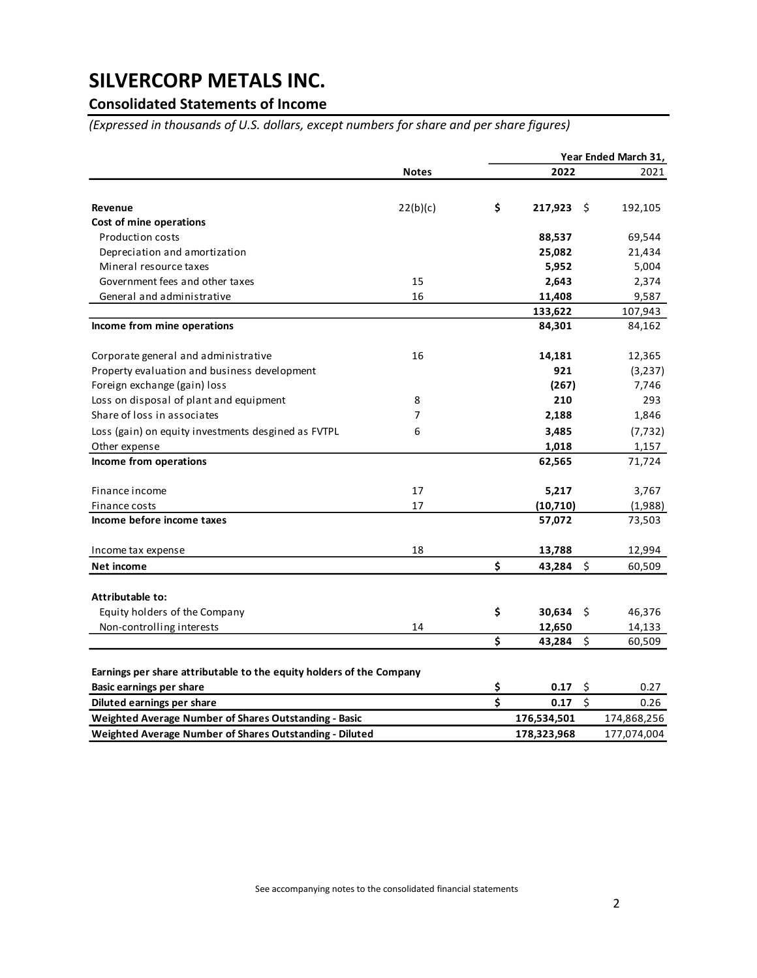## **Consolidated Statements of Income**

*(Expressed in thousands of U.S. dollars, except numbers for share and per share figures)*

|                                                                      |              |    | Year Ended March 31, |             |  |  |
|----------------------------------------------------------------------|--------------|----|----------------------|-------------|--|--|
|                                                                      | <b>Notes</b> |    | 2022                 | 2021        |  |  |
|                                                                      |              |    |                      |             |  |  |
| Revenue                                                              | 22(b)(c)     | \$ | $217,923$ \$         | 192,105     |  |  |
| Cost of mine operations                                              |              |    |                      |             |  |  |
| <b>Production costs</b>                                              |              |    | 88,537               | 69,544      |  |  |
| Depreciation and amortization                                        |              |    | 25,082               | 21,434      |  |  |
| Mineral resource taxes                                               |              |    | 5,952                | 5,004       |  |  |
| Government fees and other taxes                                      | 15           |    | 2,643                | 2,374       |  |  |
| General and administrative                                           | 16           |    | 11,408               | 9,587       |  |  |
|                                                                      |              |    | 133,622              | 107,943     |  |  |
| Income from mine operations                                          |              |    | 84,301               | 84,162      |  |  |
| Corporate general and administrative                                 | 16           |    | 14,181               | 12,365      |  |  |
| Property evaluation and business development                         |              |    | 921                  | (3, 237)    |  |  |
| Foreign exchange (gain) loss                                         |              |    | (267)                | 7,746       |  |  |
| Loss on disposal of plant and equipment                              | 8            |    | 210                  | 293         |  |  |
| Share of loss in associates                                          | 7            |    | 2,188                | 1,846       |  |  |
| Loss (gain) on equity investments desgined as FVTPL                  | 6            |    | 3,485                | (7, 732)    |  |  |
| Other expense                                                        |              |    | 1,018                | 1,157       |  |  |
| Income from operations                                               |              |    | 62,565               | 71,724      |  |  |
| Finance income                                                       | 17           |    | 5,217                | 3,767       |  |  |
| Finance costs                                                        | 17           |    | (10,710)             | (1,988)     |  |  |
| Income before income taxes                                           |              |    | 57,072               | 73,503      |  |  |
| Income tax expense                                                   | 18           |    | 13,788               | 12,994      |  |  |
| Net income                                                           |              | Ś  | \$<br>43,284         | 60,509      |  |  |
| Attributable to:                                                     |              |    |                      |             |  |  |
| Equity holders of the Company                                        |              | \$ | 30,634<br>-\$        | 46,376      |  |  |
| Non-controlling interests                                            | 14           |    | 12,650               | 14,133      |  |  |
|                                                                      |              | \$ | \$<br>43,284         | 60,509      |  |  |
| Earnings per share attributable to the equity holders of the Company |              |    |                      |             |  |  |
| <b>Basic earnings per share</b>                                      |              | \$ | 0.17<br>\$           | 0.27        |  |  |
| Diluted earnings per share                                           |              | \$ | \$<br>0.17           | 0.26        |  |  |
| Weighted Average Number of Shares Outstanding - Basic                |              |    | 176,534,501          | 174,868,256 |  |  |
| Weighted Average Number of Shares Outstanding - Diluted              |              |    | 178,323,968          | 177,074,004 |  |  |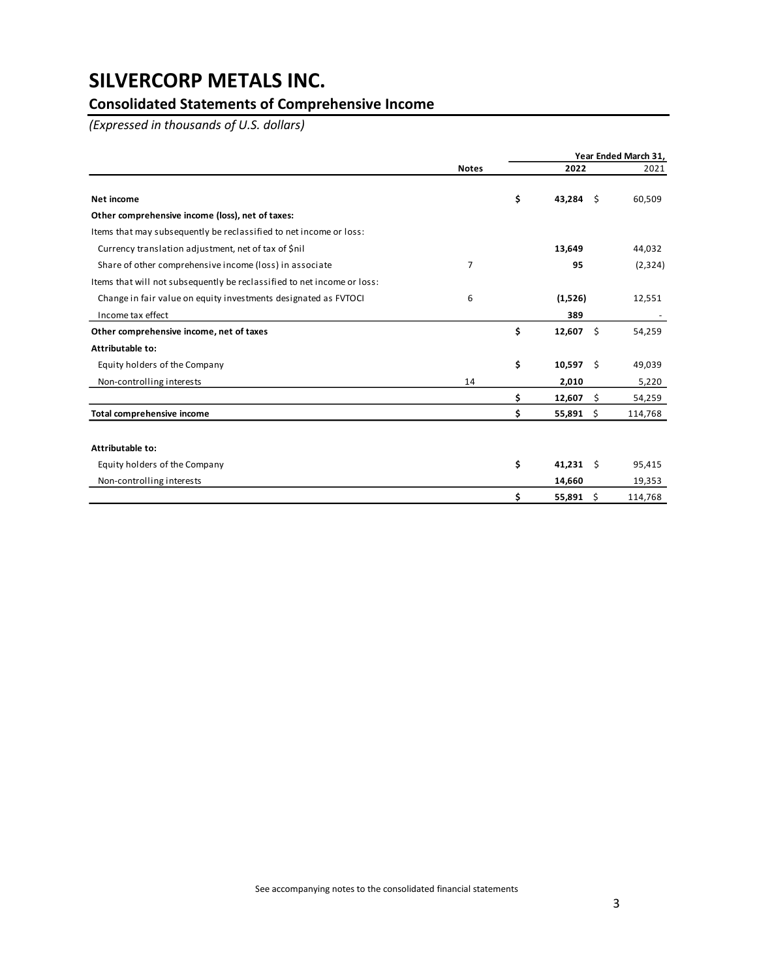## **Consolidated Statements of Comprehensive Income**

*(Expressed in thousands of U.S. dollars)*

|                                                                         |              |                                     | Year Ended March 31, |  |  |
|-------------------------------------------------------------------------|--------------|-------------------------------------|----------------------|--|--|
|                                                                         | <b>Notes</b> | 2022                                | 2021                 |  |  |
| Net income                                                              |              | \$<br>43,284<br>-\$                 | 60,509               |  |  |
| Other comprehensive income (loss), net of taxes:                        |              |                                     |                      |  |  |
| Items that may subsequently be reclassified to net income or loss:      |              |                                     |                      |  |  |
| Currency translation adjustment, net of tax of \$nil                    |              | 13,649                              | 44,032               |  |  |
| Share of other comprehensive income (loss) in associate                 | 7            | 95                                  | (2, 324)             |  |  |
| Items that will not subsequently be reclassified to net income or loss: |              |                                     |                      |  |  |
| Change in fair value on equity investments designated as FVTOCI         | 6            | (1,526)                             | 12,551               |  |  |
| Income tax effect                                                       |              | 389                                 |                      |  |  |
| Other comprehensive income, net of taxes                                |              | \$<br>12,607<br>\$                  | 54,259               |  |  |
| Attributable to:                                                        |              |                                     |                      |  |  |
| Equity holders of the Company                                           |              | \$<br>10,597<br>$\ddot{\mathsf{s}}$ | 49,039               |  |  |
| Non-controlling interests                                               | 14           | 2,010                               | 5,220                |  |  |
|                                                                         |              | \$<br>12,607<br>\$                  | 54,259               |  |  |
| Total comprehensive income                                              |              | \$<br>55,891<br>\$                  | 114,768              |  |  |
|                                                                         |              |                                     |                      |  |  |
| Attributable to:                                                        |              |                                     |                      |  |  |
| Equity holders of the Company                                           |              | \$<br>41.231<br>- \$                | 95,415               |  |  |
| Non-controlling interests                                               |              | 14,660                              | 19,353               |  |  |
|                                                                         |              | \$<br>55,891<br>\$                  | 114,768              |  |  |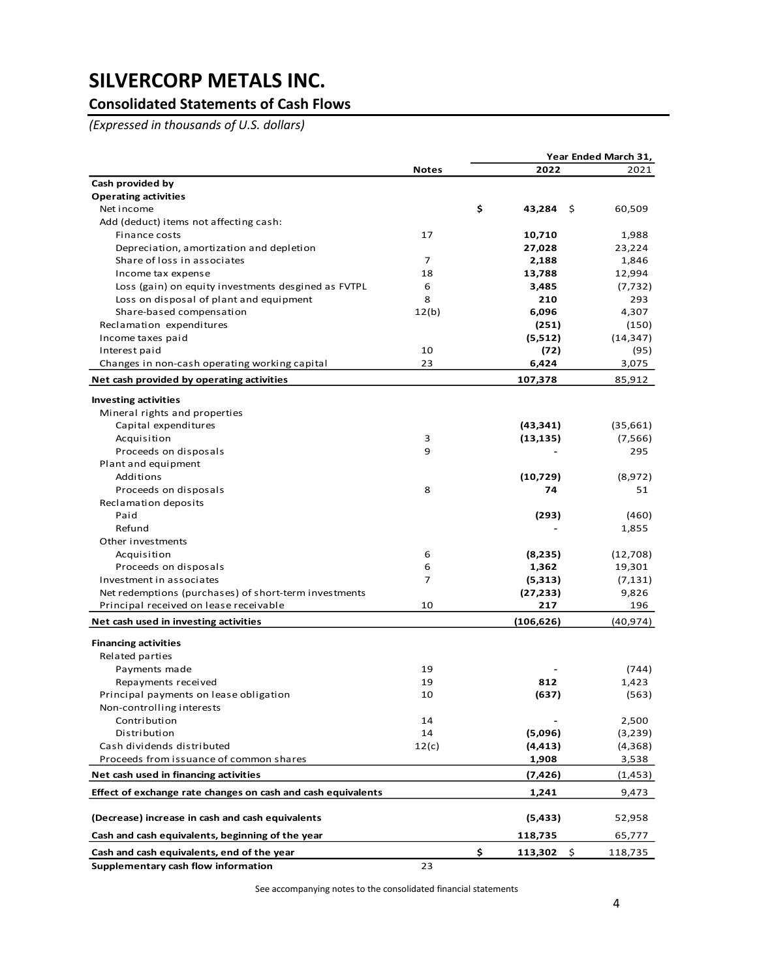## **Consolidated Statements of Cash Flows**

*(Expressed in thousands of U.S. dollars)*

| 2022<br><b>Notes</b><br>2021<br>Cash provided by<br><b>Operating activities</b><br>\$<br>43,284<br>60,509<br>Net income<br>- \$<br>Add (deduct) items not affecting cash:<br>Finance costs<br>17<br>10,710<br>1,988<br>27,028<br>23,224<br>Depreciation, amortization and depletion<br>$\overline{7}$<br>Share of loss in associates<br>2,188<br>1,846<br>18<br>Income tax expense<br>13,788<br>12,994<br>6<br>Loss (gain) on equity investments desgined as FVTPL<br>3,485<br>(7, 732)<br>8<br>210<br>293<br>Loss on disposal of plant and equipment<br>6,096<br>4,307<br>Share-based compensation<br>12(b)<br>Reclamation expenditures<br>(251)<br>(150)<br>(14, 347)<br>Income taxes paid<br>(5, 512)<br>10<br>Interest paid<br>(72)<br>(95)<br>23<br>6,424<br>3,075<br>Changes in non-cash operating working capital<br>Net cash provided by operating activities<br>107,378<br>85,912<br><b>Investing activities</b><br>Mineral rights and properties<br>Capital expenditures<br>(43, 341)<br>(35,661)<br>Acquisition<br>3<br>(13, 135)<br>(7, 566)<br>9<br>295<br>Proceeds on disposals<br>Plant and equipment<br>Additions<br>(8,972)<br>(10, 729)<br>8<br>Proceeds on disposals<br>74<br>51<br>Reclamation deposits<br>Paid<br>(293)<br>(460)<br>Refund<br>1,855<br>Other investments<br>6<br>Acquisition<br>(8, 235)<br>(12,708)<br>Proceeds on disposals<br>6<br>1,362<br>19,301<br>7<br>Investment in associates<br>(5,313)<br>(7, 131)<br>9,826<br>Net redemptions (purchases) of short-term investments<br>(27, 233)<br>10<br>Principal received on lease receivable<br>217<br>196<br>(106, 626)<br>(40, 974)<br>Net cash used in investing activities<br><b>Financing activities</b><br>Related parties<br>19<br>(744)<br>Payments made<br>19<br>812<br>1,423<br>Repayments received<br>10<br>(563)<br>Principal payments on lease obligation<br>(637)<br>Non-controlling interests<br>2,500<br>Contribution<br>14<br>Distribution<br>14<br>(5,096)<br>(3, 239)<br>(4, 368)<br>Cash dividends distributed<br>12(c)<br>(4, 413)<br>1,908<br>Proceeds from issuance of common shares<br>3,538<br>Net cash used in financing activities<br>(7, 426)<br>(1, 453)<br>Effect of exchange rate changes on cash and cash equivalents<br>1,241<br>9,473<br>(Decrease) increase in cash and cash equivalents<br>(5, 433)<br>52,958<br>Cash and cash equivalents, beginning of the year<br>118,735<br>65,777<br>\$<br>Cash and cash equivalents, end of the year<br>113,302<br>\$<br>118,735<br>Supplementary cash flow information<br>23 |  |  | Year Ended March 31, |
|----------------------------------------------------------------------------------------------------------------------------------------------------------------------------------------------------------------------------------------------------------------------------------------------------------------------------------------------------------------------------------------------------------------------------------------------------------------------------------------------------------------------------------------------------------------------------------------------------------------------------------------------------------------------------------------------------------------------------------------------------------------------------------------------------------------------------------------------------------------------------------------------------------------------------------------------------------------------------------------------------------------------------------------------------------------------------------------------------------------------------------------------------------------------------------------------------------------------------------------------------------------------------------------------------------------------------------------------------------------------------------------------------------------------------------------------------------------------------------------------------------------------------------------------------------------------------------------------------------------------------------------------------------------------------------------------------------------------------------------------------------------------------------------------------------------------------------------------------------------------------------------------------------------------------------------------------------------------------------------------------------------------------------------------------------------------------------------------------------------------------------------------------------------------------------------------------------------------------------------------------------------------------------------------------------------------------------------------------------------------------------------------------------------------------------------------------------------------------------------------------------------------------------------------|--|--|----------------------|
|                                                                                                                                                                                                                                                                                                                                                                                                                                                                                                                                                                                                                                                                                                                                                                                                                                                                                                                                                                                                                                                                                                                                                                                                                                                                                                                                                                                                                                                                                                                                                                                                                                                                                                                                                                                                                                                                                                                                                                                                                                                                                                                                                                                                                                                                                                                                                                                                                                                                                                                                              |  |  |                      |
|                                                                                                                                                                                                                                                                                                                                                                                                                                                                                                                                                                                                                                                                                                                                                                                                                                                                                                                                                                                                                                                                                                                                                                                                                                                                                                                                                                                                                                                                                                                                                                                                                                                                                                                                                                                                                                                                                                                                                                                                                                                                                                                                                                                                                                                                                                                                                                                                                                                                                                                                              |  |  |                      |
|                                                                                                                                                                                                                                                                                                                                                                                                                                                                                                                                                                                                                                                                                                                                                                                                                                                                                                                                                                                                                                                                                                                                                                                                                                                                                                                                                                                                                                                                                                                                                                                                                                                                                                                                                                                                                                                                                                                                                                                                                                                                                                                                                                                                                                                                                                                                                                                                                                                                                                                                              |  |  |                      |
|                                                                                                                                                                                                                                                                                                                                                                                                                                                                                                                                                                                                                                                                                                                                                                                                                                                                                                                                                                                                                                                                                                                                                                                                                                                                                                                                                                                                                                                                                                                                                                                                                                                                                                                                                                                                                                                                                                                                                                                                                                                                                                                                                                                                                                                                                                                                                                                                                                                                                                                                              |  |  |                      |
|                                                                                                                                                                                                                                                                                                                                                                                                                                                                                                                                                                                                                                                                                                                                                                                                                                                                                                                                                                                                                                                                                                                                                                                                                                                                                                                                                                                                                                                                                                                                                                                                                                                                                                                                                                                                                                                                                                                                                                                                                                                                                                                                                                                                                                                                                                                                                                                                                                                                                                                                              |  |  |                      |
|                                                                                                                                                                                                                                                                                                                                                                                                                                                                                                                                                                                                                                                                                                                                                                                                                                                                                                                                                                                                                                                                                                                                                                                                                                                                                                                                                                                                                                                                                                                                                                                                                                                                                                                                                                                                                                                                                                                                                                                                                                                                                                                                                                                                                                                                                                                                                                                                                                                                                                                                              |  |  |                      |
|                                                                                                                                                                                                                                                                                                                                                                                                                                                                                                                                                                                                                                                                                                                                                                                                                                                                                                                                                                                                                                                                                                                                                                                                                                                                                                                                                                                                                                                                                                                                                                                                                                                                                                                                                                                                                                                                                                                                                                                                                                                                                                                                                                                                                                                                                                                                                                                                                                                                                                                                              |  |  |                      |
|                                                                                                                                                                                                                                                                                                                                                                                                                                                                                                                                                                                                                                                                                                                                                                                                                                                                                                                                                                                                                                                                                                                                                                                                                                                                                                                                                                                                                                                                                                                                                                                                                                                                                                                                                                                                                                                                                                                                                                                                                                                                                                                                                                                                                                                                                                                                                                                                                                                                                                                                              |  |  |                      |
|                                                                                                                                                                                                                                                                                                                                                                                                                                                                                                                                                                                                                                                                                                                                                                                                                                                                                                                                                                                                                                                                                                                                                                                                                                                                                                                                                                                                                                                                                                                                                                                                                                                                                                                                                                                                                                                                                                                                                                                                                                                                                                                                                                                                                                                                                                                                                                                                                                                                                                                                              |  |  |                      |
|                                                                                                                                                                                                                                                                                                                                                                                                                                                                                                                                                                                                                                                                                                                                                                                                                                                                                                                                                                                                                                                                                                                                                                                                                                                                                                                                                                                                                                                                                                                                                                                                                                                                                                                                                                                                                                                                                                                                                                                                                                                                                                                                                                                                                                                                                                                                                                                                                                                                                                                                              |  |  |                      |
|                                                                                                                                                                                                                                                                                                                                                                                                                                                                                                                                                                                                                                                                                                                                                                                                                                                                                                                                                                                                                                                                                                                                                                                                                                                                                                                                                                                                                                                                                                                                                                                                                                                                                                                                                                                                                                                                                                                                                                                                                                                                                                                                                                                                                                                                                                                                                                                                                                                                                                                                              |  |  |                      |
|                                                                                                                                                                                                                                                                                                                                                                                                                                                                                                                                                                                                                                                                                                                                                                                                                                                                                                                                                                                                                                                                                                                                                                                                                                                                                                                                                                                                                                                                                                                                                                                                                                                                                                                                                                                                                                                                                                                                                                                                                                                                                                                                                                                                                                                                                                                                                                                                                                                                                                                                              |  |  |                      |
|                                                                                                                                                                                                                                                                                                                                                                                                                                                                                                                                                                                                                                                                                                                                                                                                                                                                                                                                                                                                                                                                                                                                                                                                                                                                                                                                                                                                                                                                                                                                                                                                                                                                                                                                                                                                                                                                                                                                                                                                                                                                                                                                                                                                                                                                                                                                                                                                                                                                                                                                              |  |  |                      |
|                                                                                                                                                                                                                                                                                                                                                                                                                                                                                                                                                                                                                                                                                                                                                                                                                                                                                                                                                                                                                                                                                                                                                                                                                                                                                                                                                                                                                                                                                                                                                                                                                                                                                                                                                                                                                                                                                                                                                                                                                                                                                                                                                                                                                                                                                                                                                                                                                                                                                                                                              |  |  |                      |
|                                                                                                                                                                                                                                                                                                                                                                                                                                                                                                                                                                                                                                                                                                                                                                                                                                                                                                                                                                                                                                                                                                                                                                                                                                                                                                                                                                                                                                                                                                                                                                                                                                                                                                                                                                                                                                                                                                                                                                                                                                                                                                                                                                                                                                                                                                                                                                                                                                                                                                                                              |  |  |                      |
|                                                                                                                                                                                                                                                                                                                                                                                                                                                                                                                                                                                                                                                                                                                                                                                                                                                                                                                                                                                                                                                                                                                                                                                                                                                                                                                                                                                                                                                                                                                                                                                                                                                                                                                                                                                                                                                                                                                                                                                                                                                                                                                                                                                                                                                                                                                                                                                                                                                                                                                                              |  |  |                      |
|                                                                                                                                                                                                                                                                                                                                                                                                                                                                                                                                                                                                                                                                                                                                                                                                                                                                                                                                                                                                                                                                                                                                                                                                                                                                                                                                                                                                                                                                                                                                                                                                                                                                                                                                                                                                                                                                                                                                                                                                                                                                                                                                                                                                                                                                                                                                                                                                                                                                                                                                              |  |  |                      |
|                                                                                                                                                                                                                                                                                                                                                                                                                                                                                                                                                                                                                                                                                                                                                                                                                                                                                                                                                                                                                                                                                                                                                                                                                                                                                                                                                                                                                                                                                                                                                                                                                                                                                                                                                                                                                                                                                                                                                                                                                                                                                                                                                                                                                                                                                                                                                                                                                                                                                                                                              |  |  |                      |
|                                                                                                                                                                                                                                                                                                                                                                                                                                                                                                                                                                                                                                                                                                                                                                                                                                                                                                                                                                                                                                                                                                                                                                                                                                                                                                                                                                                                                                                                                                                                                                                                                                                                                                                                                                                                                                                                                                                                                                                                                                                                                                                                                                                                                                                                                                                                                                                                                                                                                                                                              |  |  |                      |
|                                                                                                                                                                                                                                                                                                                                                                                                                                                                                                                                                                                                                                                                                                                                                                                                                                                                                                                                                                                                                                                                                                                                                                                                                                                                                                                                                                                                                                                                                                                                                                                                                                                                                                                                                                                                                                                                                                                                                                                                                                                                                                                                                                                                                                                                                                                                                                                                                                                                                                                                              |  |  |                      |
|                                                                                                                                                                                                                                                                                                                                                                                                                                                                                                                                                                                                                                                                                                                                                                                                                                                                                                                                                                                                                                                                                                                                                                                                                                                                                                                                                                                                                                                                                                                                                                                                                                                                                                                                                                                                                                                                                                                                                                                                                                                                                                                                                                                                                                                                                                                                                                                                                                                                                                                                              |  |  |                      |
|                                                                                                                                                                                                                                                                                                                                                                                                                                                                                                                                                                                                                                                                                                                                                                                                                                                                                                                                                                                                                                                                                                                                                                                                                                                                                                                                                                                                                                                                                                                                                                                                                                                                                                                                                                                                                                                                                                                                                                                                                                                                                                                                                                                                                                                                                                                                                                                                                                                                                                                                              |  |  |                      |
|                                                                                                                                                                                                                                                                                                                                                                                                                                                                                                                                                                                                                                                                                                                                                                                                                                                                                                                                                                                                                                                                                                                                                                                                                                                                                                                                                                                                                                                                                                                                                                                                                                                                                                                                                                                                                                                                                                                                                                                                                                                                                                                                                                                                                                                                                                                                                                                                                                                                                                                                              |  |  |                      |
|                                                                                                                                                                                                                                                                                                                                                                                                                                                                                                                                                                                                                                                                                                                                                                                                                                                                                                                                                                                                                                                                                                                                                                                                                                                                                                                                                                                                                                                                                                                                                                                                                                                                                                                                                                                                                                                                                                                                                                                                                                                                                                                                                                                                                                                                                                                                                                                                                                                                                                                                              |  |  |                      |
|                                                                                                                                                                                                                                                                                                                                                                                                                                                                                                                                                                                                                                                                                                                                                                                                                                                                                                                                                                                                                                                                                                                                                                                                                                                                                                                                                                                                                                                                                                                                                                                                                                                                                                                                                                                                                                                                                                                                                                                                                                                                                                                                                                                                                                                                                                                                                                                                                                                                                                                                              |  |  |                      |
|                                                                                                                                                                                                                                                                                                                                                                                                                                                                                                                                                                                                                                                                                                                                                                                                                                                                                                                                                                                                                                                                                                                                                                                                                                                                                                                                                                                                                                                                                                                                                                                                                                                                                                                                                                                                                                                                                                                                                                                                                                                                                                                                                                                                                                                                                                                                                                                                                                                                                                                                              |  |  |                      |
|                                                                                                                                                                                                                                                                                                                                                                                                                                                                                                                                                                                                                                                                                                                                                                                                                                                                                                                                                                                                                                                                                                                                                                                                                                                                                                                                                                                                                                                                                                                                                                                                                                                                                                                                                                                                                                                                                                                                                                                                                                                                                                                                                                                                                                                                                                                                                                                                                                                                                                                                              |  |  |                      |
|                                                                                                                                                                                                                                                                                                                                                                                                                                                                                                                                                                                                                                                                                                                                                                                                                                                                                                                                                                                                                                                                                                                                                                                                                                                                                                                                                                                                                                                                                                                                                                                                                                                                                                                                                                                                                                                                                                                                                                                                                                                                                                                                                                                                                                                                                                                                                                                                                                                                                                                                              |  |  |                      |
|                                                                                                                                                                                                                                                                                                                                                                                                                                                                                                                                                                                                                                                                                                                                                                                                                                                                                                                                                                                                                                                                                                                                                                                                                                                                                                                                                                                                                                                                                                                                                                                                                                                                                                                                                                                                                                                                                                                                                                                                                                                                                                                                                                                                                                                                                                                                                                                                                                                                                                                                              |  |  |                      |
|                                                                                                                                                                                                                                                                                                                                                                                                                                                                                                                                                                                                                                                                                                                                                                                                                                                                                                                                                                                                                                                                                                                                                                                                                                                                                                                                                                                                                                                                                                                                                                                                                                                                                                                                                                                                                                                                                                                                                                                                                                                                                                                                                                                                                                                                                                                                                                                                                                                                                                                                              |  |  |                      |
|                                                                                                                                                                                                                                                                                                                                                                                                                                                                                                                                                                                                                                                                                                                                                                                                                                                                                                                                                                                                                                                                                                                                                                                                                                                                                                                                                                                                                                                                                                                                                                                                                                                                                                                                                                                                                                                                                                                                                                                                                                                                                                                                                                                                                                                                                                                                                                                                                                                                                                                                              |  |  |                      |
|                                                                                                                                                                                                                                                                                                                                                                                                                                                                                                                                                                                                                                                                                                                                                                                                                                                                                                                                                                                                                                                                                                                                                                                                                                                                                                                                                                                                                                                                                                                                                                                                                                                                                                                                                                                                                                                                                                                                                                                                                                                                                                                                                                                                                                                                                                                                                                                                                                                                                                                                              |  |  |                      |
|                                                                                                                                                                                                                                                                                                                                                                                                                                                                                                                                                                                                                                                                                                                                                                                                                                                                                                                                                                                                                                                                                                                                                                                                                                                                                                                                                                                                                                                                                                                                                                                                                                                                                                                                                                                                                                                                                                                                                                                                                                                                                                                                                                                                                                                                                                                                                                                                                                                                                                                                              |  |  |                      |
|                                                                                                                                                                                                                                                                                                                                                                                                                                                                                                                                                                                                                                                                                                                                                                                                                                                                                                                                                                                                                                                                                                                                                                                                                                                                                                                                                                                                                                                                                                                                                                                                                                                                                                                                                                                                                                                                                                                                                                                                                                                                                                                                                                                                                                                                                                                                                                                                                                                                                                                                              |  |  |                      |
|                                                                                                                                                                                                                                                                                                                                                                                                                                                                                                                                                                                                                                                                                                                                                                                                                                                                                                                                                                                                                                                                                                                                                                                                                                                                                                                                                                                                                                                                                                                                                                                                                                                                                                                                                                                                                                                                                                                                                                                                                                                                                                                                                                                                                                                                                                                                                                                                                                                                                                                                              |  |  |                      |
|                                                                                                                                                                                                                                                                                                                                                                                                                                                                                                                                                                                                                                                                                                                                                                                                                                                                                                                                                                                                                                                                                                                                                                                                                                                                                                                                                                                                                                                                                                                                                                                                                                                                                                                                                                                                                                                                                                                                                                                                                                                                                                                                                                                                                                                                                                                                                                                                                                                                                                                                              |  |  |                      |
|                                                                                                                                                                                                                                                                                                                                                                                                                                                                                                                                                                                                                                                                                                                                                                                                                                                                                                                                                                                                                                                                                                                                                                                                                                                                                                                                                                                                                                                                                                                                                                                                                                                                                                                                                                                                                                                                                                                                                                                                                                                                                                                                                                                                                                                                                                                                                                                                                                                                                                                                              |  |  |                      |
|                                                                                                                                                                                                                                                                                                                                                                                                                                                                                                                                                                                                                                                                                                                                                                                                                                                                                                                                                                                                                                                                                                                                                                                                                                                                                                                                                                                                                                                                                                                                                                                                                                                                                                                                                                                                                                                                                                                                                                                                                                                                                                                                                                                                                                                                                                                                                                                                                                                                                                                                              |  |  |                      |
|                                                                                                                                                                                                                                                                                                                                                                                                                                                                                                                                                                                                                                                                                                                                                                                                                                                                                                                                                                                                                                                                                                                                                                                                                                                                                                                                                                                                                                                                                                                                                                                                                                                                                                                                                                                                                                                                                                                                                                                                                                                                                                                                                                                                                                                                                                                                                                                                                                                                                                                                              |  |  |                      |
|                                                                                                                                                                                                                                                                                                                                                                                                                                                                                                                                                                                                                                                                                                                                                                                                                                                                                                                                                                                                                                                                                                                                                                                                                                                                                                                                                                                                                                                                                                                                                                                                                                                                                                                                                                                                                                                                                                                                                                                                                                                                                                                                                                                                                                                                                                                                                                                                                                                                                                                                              |  |  |                      |
|                                                                                                                                                                                                                                                                                                                                                                                                                                                                                                                                                                                                                                                                                                                                                                                                                                                                                                                                                                                                                                                                                                                                                                                                                                                                                                                                                                                                                                                                                                                                                                                                                                                                                                                                                                                                                                                                                                                                                                                                                                                                                                                                                                                                                                                                                                                                                                                                                                                                                                                                              |  |  |                      |
|                                                                                                                                                                                                                                                                                                                                                                                                                                                                                                                                                                                                                                                                                                                                                                                                                                                                                                                                                                                                                                                                                                                                                                                                                                                                                                                                                                                                                                                                                                                                                                                                                                                                                                                                                                                                                                                                                                                                                                                                                                                                                                                                                                                                                                                                                                                                                                                                                                                                                                                                              |  |  |                      |
|                                                                                                                                                                                                                                                                                                                                                                                                                                                                                                                                                                                                                                                                                                                                                                                                                                                                                                                                                                                                                                                                                                                                                                                                                                                                                                                                                                                                                                                                                                                                                                                                                                                                                                                                                                                                                                                                                                                                                                                                                                                                                                                                                                                                                                                                                                                                                                                                                                                                                                                                              |  |  |                      |
|                                                                                                                                                                                                                                                                                                                                                                                                                                                                                                                                                                                                                                                                                                                                                                                                                                                                                                                                                                                                                                                                                                                                                                                                                                                                                                                                                                                                                                                                                                                                                                                                                                                                                                                                                                                                                                                                                                                                                                                                                                                                                                                                                                                                                                                                                                                                                                                                                                                                                                                                              |  |  |                      |
|                                                                                                                                                                                                                                                                                                                                                                                                                                                                                                                                                                                                                                                                                                                                                                                                                                                                                                                                                                                                                                                                                                                                                                                                                                                                                                                                                                                                                                                                                                                                                                                                                                                                                                                                                                                                                                                                                                                                                                                                                                                                                                                                                                                                                                                                                                                                                                                                                                                                                                                                              |  |  |                      |
|                                                                                                                                                                                                                                                                                                                                                                                                                                                                                                                                                                                                                                                                                                                                                                                                                                                                                                                                                                                                                                                                                                                                                                                                                                                                                                                                                                                                                                                                                                                                                                                                                                                                                                                                                                                                                                                                                                                                                                                                                                                                                                                                                                                                                                                                                                                                                                                                                                                                                                                                              |  |  |                      |
|                                                                                                                                                                                                                                                                                                                                                                                                                                                                                                                                                                                                                                                                                                                                                                                                                                                                                                                                                                                                                                                                                                                                                                                                                                                                                                                                                                                                                                                                                                                                                                                                                                                                                                                                                                                                                                                                                                                                                                                                                                                                                                                                                                                                                                                                                                                                                                                                                                                                                                                                              |  |  |                      |
|                                                                                                                                                                                                                                                                                                                                                                                                                                                                                                                                                                                                                                                                                                                                                                                                                                                                                                                                                                                                                                                                                                                                                                                                                                                                                                                                                                                                                                                                                                                                                                                                                                                                                                                                                                                                                                                                                                                                                                                                                                                                                                                                                                                                                                                                                                                                                                                                                                                                                                                                              |  |  |                      |
|                                                                                                                                                                                                                                                                                                                                                                                                                                                                                                                                                                                                                                                                                                                                                                                                                                                                                                                                                                                                                                                                                                                                                                                                                                                                                                                                                                                                                                                                                                                                                                                                                                                                                                                                                                                                                                                                                                                                                                                                                                                                                                                                                                                                                                                                                                                                                                                                                                                                                                                                              |  |  |                      |
|                                                                                                                                                                                                                                                                                                                                                                                                                                                                                                                                                                                                                                                                                                                                                                                                                                                                                                                                                                                                                                                                                                                                                                                                                                                                                                                                                                                                                                                                                                                                                                                                                                                                                                                                                                                                                                                                                                                                                                                                                                                                                                                                                                                                                                                                                                                                                                                                                                                                                                                                              |  |  |                      |
|                                                                                                                                                                                                                                                                                                                                                                                                                                                                                                                                                                                                                                                                                                                                                                                                                                                                                                                                                                                                                                                                                                                                                                                                                                                                                                                                                                                                                                                                                                                                                                                                                                                                                                                                                                                                                                                                                                                                                                                                                                                                                                                                                                                                                                                                                                                                                                                                                                                                                                                                              |  |  |                      |

See accompanying notes to the consolidated financial statements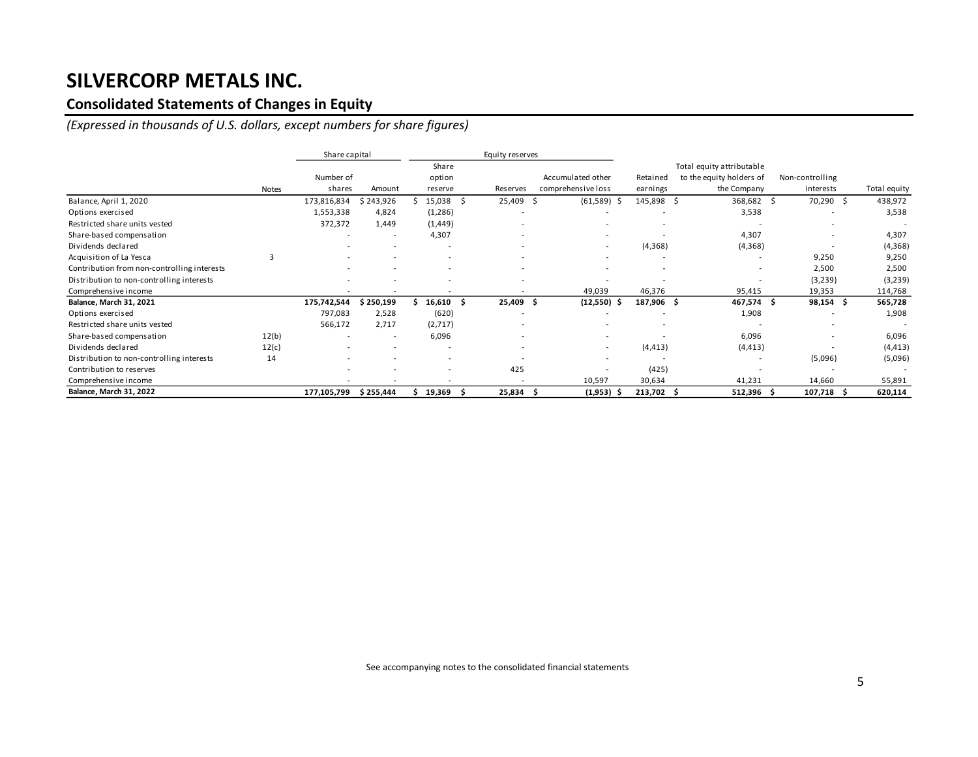## **Consolidated Statements of Changes in Equity**

*(Expressed in thousands of U.S. dollars, except numbers for share figures)*

|                                             |       | Share capital |                          |          |    | Equity reserves          |                      |            |                           |                    |              |
|---------------------------------------------|-------|---------------|--------------------------|----------|----|--------------------------|----------------------|------------|---------------------------|--------------------|--------------|
|                                             |       |               |                          | Share    |    |                          |                      |            | Total equity attributable |                    |              |
|                                             |       | Number of     |                          | option   |    |                          | Accumulated other    | Retained   | to the equity holders of  | Non-controlling    |              |
|                                             | Notes | shares        | Amount                   | reserve  |    | Reserves                 | comprehensive loss   | earnings   | the Company               | interests          | Total equity |
| Balance, April 1, 2020                      |       | 173,816,834   | \$243,926                | 15,038   | Ŝ  | 25,409                   | $(61,589)$ \$<br>-Ŝ  | 145,898 \$ | 368,682                   | 70,290 \$<br>- Ś   | 438,972      |
| Options exercised                           |       | 1,553,338     | 4,824                    | (1, 286) |    |                          |                      |            | 3,538                     |                    | 3,538        |
| Restricted share units vested               |       | 372,372       | 1,449                    | (1, 449) |    |                          |                      |            |                           |                    |              |
| Share-based compensation                    |       |               |                          | 4,307    |    |                          |                      |            | 4,307                     |                    | 4,307        |
| Dividends declared                          |       |               |                          |          |    |                          | $\sim$               | (4,368)    | (4,368)                   |                    | (4,368)      |
| Acquisition of La Yesca                     |       |               |                          |          |    |                          |                      |            |                           | 9,250              | 9,250        |
| Contribution from non-controlling interests |       |               |                          |          |    | $\overline{\phantom{0}}$ |                      |            |                           | 2,500              | 2,500        |
| Distribution to non-controlling interests   |       |               |                          |          |    |                          |                      |            |                           | (3,239)            | (3,239)      |
| Comprehensive income                        |       |               |                          |          |    |                          | 49,039               | 46,376     | 95,415                    | 19,353             | 114,768      |
| Balance, March 31, 2021                     |       | 175,742,544   | \$250,199                | 16,610   | -S | 25,409                   | $(12,550)$ \$<br>- Ś | 187,906 \$ | 467,574                   | $98,154$ \$<br>- Ś | 565,728      |
| Options exercised                           |       | 797,083       | 2,528                    | (620)    |    |                          |                      |            | 1,908                     |                    | 1,908        |
| Restricted share units vested               |       | 566,172       | 2,717                    | (2,717)  |    |                          |                      |            |                           |                    |              |
| Share-based compensation                    | 12(b) |               |                          | 6,096    |    |                          |                      |            | 6,096                     |                    | 6,096        |
| Dividends declared                          | 12(c) |               | $\overline{\phantom{0}}$ |          |    | $\overline{\phantom{a}}$ | $\sim$               | (4, 413)   | (4, 413)                  |                    | (4, 413)     |
| Distribution to non-controlling interests   | 14    |               |                          |          |    |                          |                      |            |                           | (5,096)            | (5,096)      |
| Contribution to reserves                    |       |               |                          |          |    | 425                      |                      | (425)      |                           |                    |              |
| Comprehensive income                        |       |               |                          |          |    |                          | 10,597               | 30,634     | 41,231                    | 14,660             | 55,891       |
| Balance, March 31, 2022                     |       | 177,105,799   | \$255,444                | 19,369   | s. | $25,834$ \$              | $(1,953)$ \$         | 213,702 \$ | $512,396$ \$              | 107,718 \$         | 620,114      |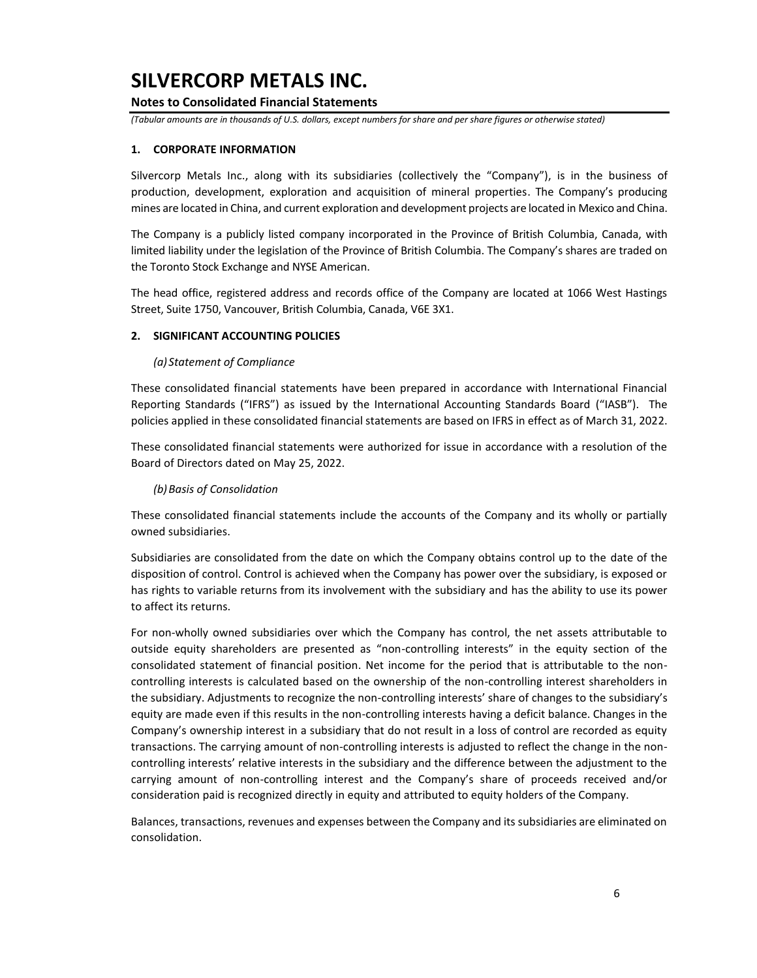### **Notes to Consolidated Financial Statements**

*(Tabular amounts are in thousands of U.S. dollars, except numbers for share and per share figures or otherwise stated)*

#### **1. CORPORATE INFORMATION**

Silvercorp Metals Inc., along with its subsidiaries (collectively the "Company"), is in the business of production, development, exploration and acquisition of mineral properties. The Company's producing mines are located in China, and current exploration and development projects are located in Mexico and China.

The Company is a publicly listed company incorporated in the Province of British Columbia, Canada, with limited liability under the legislation of the Province of British Columbia. The Company's shares are traded on the Toronto Stock Exchange and NYSE American.

The head office, registered address and records office of the Company are located at 1066 West Hastings Street, Suite 1750, Vancouver, British Columbia, Canada, V6E 3X1.

#### **2. SIGNIFICANT ACCOUNTING POLICIES**

#### *(a) Statement of Compliance*

These consolidated financial statements have been prepared in accordance with International Financial Reporting Standards ("IFRS") as issued by the International Accounting Standards Board ("IASB"). The policies applied in these consolidated financial statements are based on IFRS in effect as of March 31, 2022.

These consolidated financial statements were authorized for issue in accordance with a resolution of the Board of Directors dated on May 25, 2022.

#### *(b)Basis of Consolidation*

These consolidated financial statements include the accounts of the Company and its wholly or partially owned subsidiaries.

Subsidiaries are consolidated from the date on which the Company obtains control up to the date of the disposition of control. Control is achieved when the Company has power over the subsidiary, is exposed or has rights to variable returns from its involvement with the subsidiary and has the ability to use its power to affect its returns.

For non-wholly owned subsidiaries over which the Company has control, the net assets attributable to outside equity shareholders are presented as "non-controlling interests" in the equity section of the consolidated statement of financial position. Net income for the period that is attributable to the noncontrolling interests is calculated based on the ownership of the non-controlling interest shareholders in the subsidiary. Adjustments to recognize the non-controlling interests' share of changes to the subsidiary's equity are made even if this results in the non-controlling interests having a deficit balance. Changes in the Company's ownership interest in a subsidiary that do not result in a loss of control are recorded as equity transactions. The carrying amount of non-controlling interests is adjusted to reflect the change in the noncontrolling interests' relative interests in the subsidiary and the difference between the adjustment to the carrying amount of non-controlling interest and the Company's share of proceeds received and/or consideration paid is recognized directly in equity and attributed to equity holders of the Company.

Balances, transactions, revenues and expenses between the Company and its subsidiaries are eliminated on consolidation.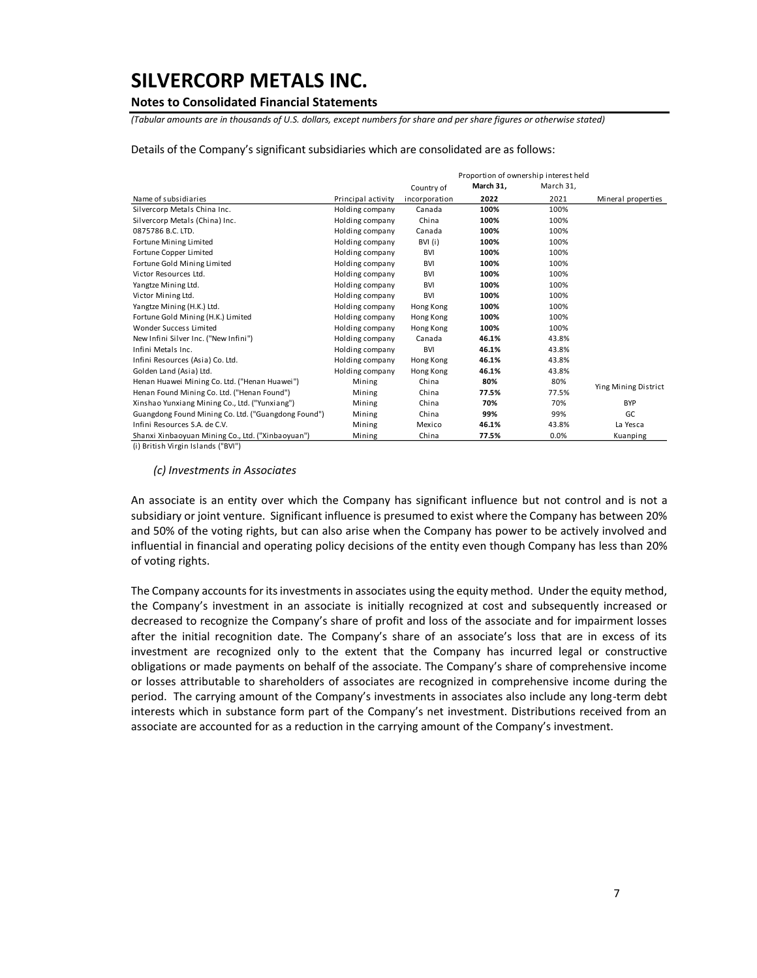#### **Notes to Consolidated Financial Statements**

*(Tabular amounts are in thousands of U.S. dollars, except numbers for share and per share figures or otherwise stated)*

Details of the Company's significant subsidiaries which are consolidated are as follows:

|                                                     |                    | Proportion of ownership interest held |           |           |                      |
|-----------------------------------------------------|--------------------|---------------------------------------|-----------|-----------|----------------------|
|                                                     |                    | Country of                            | March 31, | March 31, |                      |
| Name of subsidiaries                                | Principal activity | incorporation                         | 2022      | 2021      | Mineral properties   |
| Silvercorp Metals China Inc.                        | Holding company    | Canada                                | 100%      | 100%      |                      |
| Silvercorp Metals (China) Inc.                      | Holding company    | China                                 | 100%      | 100%      |                      |
| 0875786 B.C. LTD.                                   | Holding company    | Canada                                | 100%      | 100%      |                      |
| Fortune Mining Limited                              | Holding company    | BVI (i)                               | 100%      | 100%      |                      |
| Fortune Copper Limited                              | Holding company    | <b>BVI</b>                            | 100%      | 100%      |                      |
| Fortune Gold Mining Limited                         | Holding company    | <b>BVI</b>                            | 100%      | 100%      |                      |
| Victor Resources Ltd.                               | Holding company    | <b>BVI</b>                            | 100%      | 100%      |                      |
| Yangtze Mining Ltd.                                 | Holding company    | <b>BVI</b>                            | 100%      | 100%      |                      |
| Victor Mining Ltd.                                  | Holding company    | <b>BVI</b>                            | 100%      | 100%      |                      |
| Yangtze Mining (H.K.) Ltd.                          | Holding company    | Hong Kong                             | 100%      | 100%      |                      |
| Fortune Gold Mining (H.K.) Limited                  | Holding company    | Hong Kong                             | 100%      | 100%      |                      |
| Wonder Success Limited                              | Holding company    | Hong Kong                             | 100%      | 100%      |                      |
| New Infini Silver Inc. ("New Infini")               | Holding company    | Canada                                | 46.1%     | 43.8%     |                      |
| Infini Metals Inc.                                  | Holding company    | <b>BVI</b>                            | 46.1%     | 43.8%     |                      |
| Infini Resources (Asia) Co. Ltd.                    | Holding company    | Hong Kong                             | 46.1%     | 43.8%     |                      |
| Golden Land (Asia) Ltd.                             | Holding company    | Hong Kong                             | 46.1%     | 43.8%     |                      |
| Henan Huawei Mining Co. Ltd. ("Henan Huawei")       | Mining             | China                                 | 80%       | 80%       | Ying Mining District |
| Henan Found Mining Co. Ltd. ("Henan Found")         | Mining             | China                                 | 77.5%     | 77.5%     |                      |
| Xinshao Yunxiang Mining Co., Ltd. ("Yunxiang")      | Mining             | China                                 | 70%       | 70%       | <b>BYP</b>           |
| Guangdong Found Mining Co. Ltd. ("Guangdong Found") | Mining             | China                                 | 99%       | 99%       | GC                   |
| Infini Resources S.A. de C.V.                       | Mining             | Mexico                                | 46.1%     | 43.8%     | La Yesca             |
| Shanxi Xinbaoyuan Mining Co., Ltd. ("Xinbaoyuan")   | Mining             | China                                 | 77.5%     | 0.0%      | Kuanping             |

(i) British Virgin Islands ("BVI")

#### *(c) Investments in Associates*

An associate is an entity over which the Company has significant influence but not control and is not a subsidiary or joint venture. Significant influence is presumed to exist where the Company has between 20% and 50% of the voting rights, but can also arise when the Company has power to be actively involved and influential in financial and operating policy decisions of the entity even though Company has less than 20% of voting rights.

The Company accounts for its investments in associates using the equity method. Under the equity method, the Company's investment in an associate is initially recognized at cost and subsequently increased or decreased to recognize the Company's share of profit and loss of the associate and for impairment losses after the initial recognition date. The Company's share of an associate's loss that are in excess of its investment are recognized only to the extent that the Company has incurred legal or constructive obligations or made payments on behalf of the associate. The Company's share of comprehensive income or losses attributable to shareholders of associates are recognized in comprehensive income during the period. The carrying amount of the Company's investments in associates also include any long-term debt interests which in substance form part of the Company's net investment. Distributions received from an associate are accounted for as a reduction in the carrying amount of the Company's investment.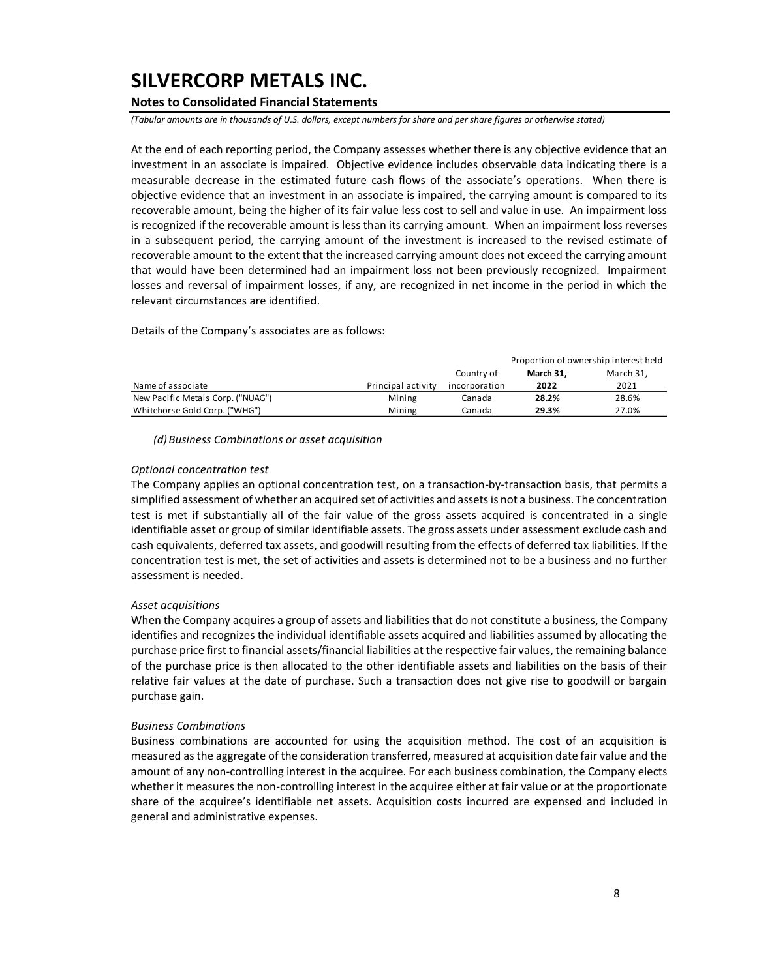### **Notes to Consolidated Financial Statements**

*(Tabular amounts are in thousands of U.S. dollars, except numbers for share and per share figures or otherwise stated)*

At the end of each reporting period, the Company assesses whether there is any objective evidence that an investment in an associate is impaired. Objective evidence includes observable data indicating there is a measurable decrease in the estimated future cash flows of the associate's operations. When there is objective evidence that an investment in an associate is impaired, the carrying amount is compared to its recoverable amount, being the higher of its fair value less cost to sell and value in use. An impairment loss is recognized if the recoverable amount is less than its carrying amount. When an impairment loss reverses in a subsequent period, the carrying amount of the investment is increased to the revised estimate of recoverable amount to the extent that the increased carrying amount does not exceed the carrying amount that would have been determined had an impairment loss not been previously recognized. Impairment losses and reversal of impairment losses, if any, are recognized in net income in the period in which the relevant circumstances are identified.

Details of the Company's associates are as follows:

|                                   |                    |               | Proportion of ownership interest held |           |  |
|-----------------------------------|--------------------|---------------|---------------------------------------|-----------|--|
|                                   |                    | Country of    | March 31.                             | March 31. |  |
| Name of associate                 | Principal activity | incorporation | 2022                                  | 2021      |  |
| New Pacific Metals Corp. ("NUAG") | Mining             | Canada        | 28.2%                                 | 28.6%     |  |
| Whitehorse Gold Corp. ("WHG")     | Mining             | Canada        | 29.3%                                 | 27.0%     |  |

*(d)Business Combinations or asset acquisition* 

#### *Optional concentration test*

The Company applies an optional concentration test, on a transaction-by-transaction basis, that permits a simplified assessment of whether an acquired set of activities and assets is not a business. The concentration test is met if substantially all of the fair value of the gross assets acquired is concentrated in a single identifiable asset or group of similar identifiable assets. The gross assets under assessment exclude cash and cash equivalents, deferred tax assets, and goodwill resulting from the effects of deferred tax liabilities. If the concentration test is met, the set of activities and assets is determined not to be a business and no further assessment is needed.

#### *Asset acquisitions*

When the Company acquires a group of assets and liabilities that do not constitute a business, the Company identifies and recognizes the individual identifiable assets acquired and liabilities assumed by allocating the purchase price first to financial assets/financial liabilities at the respective fair values, the remaining balance of the purchase price is then allocated to the other identifiable assets and liabilities on the basis of their relative fair values at the date of purchase. Such a transaction does not give rise to goodwill or bargain purchase gain.

#### *Business Combinations*

Business combinations are accounted for using the acquisition method. The cost of an acquisition is measured as the aggregate of the consideration transferred, measured at acquisition date fair value and the amount of any non-controlling interest in the acquiree. For each business combination, the Company elects whether it measures the non-controlling interest in the acquiree either at fair value or at the proportionate share of the acquiree's identifiable net assets. Acquisition costs incurred are expensed and included in general and administrative expenses.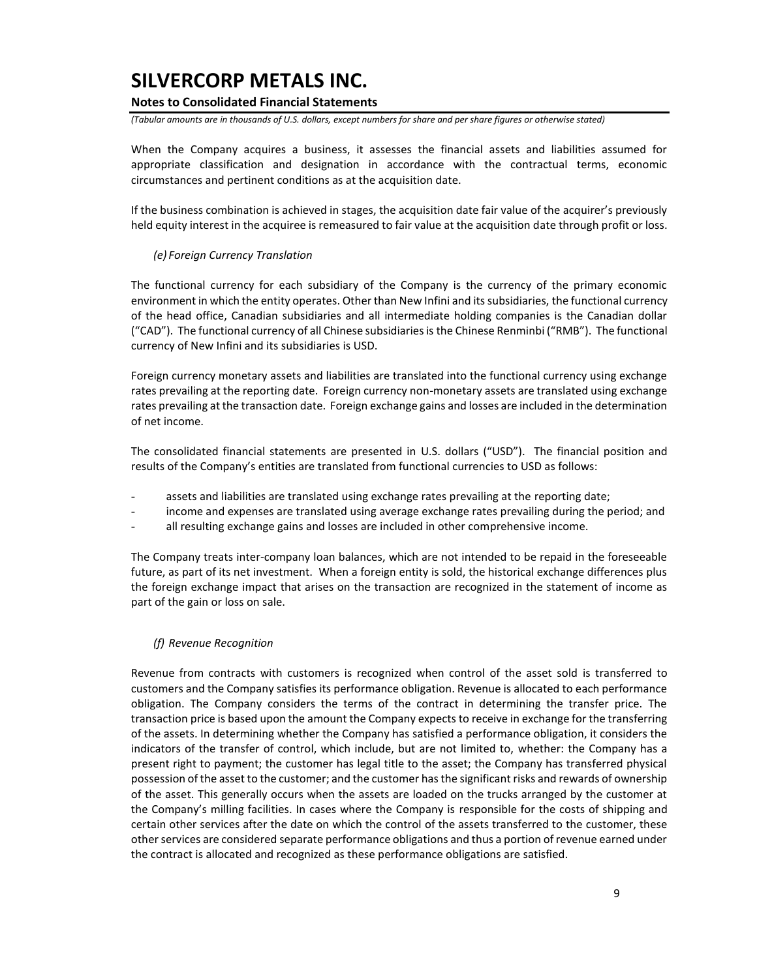### **Notes to Consolidated Financial Statements**

*(Tabular amounts are in thousands of U.S. dollars, except numbers for share and per share figures or otherwise stated)*

When the Company acquires a business, it assesses the financial assets and liabilities assumed for appropriate classification and designation in accordance with the contractual terms, economic circumstances and pertinent conditions as at the acquisition date.

If the business combination is achieved in stages, the acquisition date fair value of the acquirer's previously held equity interest in the acquiree is remeasured to fair value at the acquisition date through profit or loss.

#### *(e) Foreign Currency Translation*

The functional currency for each subsidiary of the Company is the currency of the primary economic environment in which the entity operates. Other than New Infini and its subsidiaries, the functional currency of the head office, Canadian subsidiaries and all intermediate holding companies is the Canadian dollar ("CAD"). The functional currency of all Chinese subsidiaries is the Chinese Renminbi ("RMB"). The functional currency of New Infini and its subsidiaries is USD.

Foreign currency monetary assets and liabilities are translated into the functional currency using exchange rates prevailing at the reporting date. Foreign currency non-monetary assets are translated using exchange rates prevailing at the transaction date. Foreign exchange gains and losses are included in the determination of net income.

The consolidated financial statements are presented in U.S. dollars ("USD"). The financial position and results of the Company's entities are translated from functional currencies to USD as follows:

- assets and liabilities are translated using exchange rates prevailing at the reporting date;
- income and expenses are translated using average exchange rates prevailing during the period; and
- all resulting exchange gains and losses are included in other comprehensive income.

The Company treats inter-company loan balances, which are not intended to be repaid in the foreseeable future, as part of its net investment. When a foreign entity is sold, the historical exchange differences plus the foreign exchange impact that arises on the transaction are recognized in the statement of income as part of the gain or loss on sale.

#### *(f) Revenue Recognition*

Revenue from contracts with customers is recognized when control of the asset sold is transferred to customers and the Company satisfies its performance obligation. Revenue is allocated to each performance obligation. The Company considers the terms of the contract in determining the transfer price. The transaction price is based upon the amount the Company expects to receive in exchange for the transferring of the assets. In determining whether the Company has satisfied a performance obligation, it considers the indicators of the transfer of control, which include, but are not limited to, whether: the Company has a present right to payment; the customer has legal title to the asset; the Company has transferred physical possession of the asset to the customer; and the customer has the significant risks and rewards of ownership of the asset. This generally occurs when the assets are loaded on the trucks arranged by the customer at the Company's milling facilities. In cases where the Company is responsible for the costs of shipping and certain other services after the date on which the control of the assets transferred to the customer, these other services are considered separate performance obligations and thus a portion of revenue earned under the contract is allocated and recognized as these performance obligations are satisfied.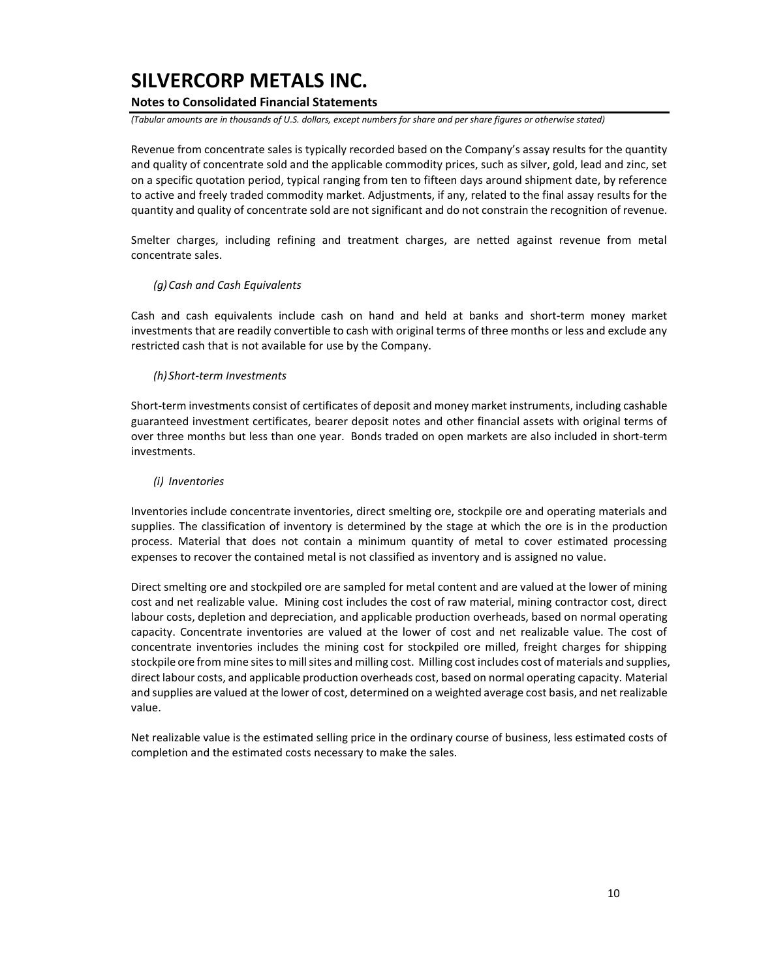### **Notes to Consolidated Financial Statements**

*(Tabular amounts are in thousands of U.S. dollars, except numbers for share and per share figures or otherwise stated)*

Revenue from concentrate sales is typically recorded based on the Company's assay results for the quantity and quality of concentrate sold and the applicable commodity prices, such as silver, gold, lead and zinc, set on a specific quotation period, typical ranging from ten to fifteen days around shipment date, by reference to active and freely traded commodity market. Adjustments, if any, related to the final assay results for the quantity and quality of concentrate sold are not significant and do not constrain the recognition of revenue.

Smelter charges, including refining and treatment charges, are netted against revenue from metal concentrate sales.

#### *(g)Cash and Cash Equivalents*

Cash and cash equivalents include cash on hand and held at banks and short-term money market investments that are readily convertible to cash with original terms of three months or less and exclude any restricted cash that is not available for use by the Company.

#### *(h) Short-term Investments*

Short-term investments consist of certificates of deposit and money market instruments, including cashable guaranteed investment certificates, bearer deposit notes and other financial assets with original terms of over three months but less than one year. Bonds traded on open markets are also included in short-term investments.

#### *(i) Inventories*

Inventories include concentrate inventories, direct smelting ore, stockpile ore and operating materials and supplies. The classification of inventory is determined by the stage at which the ore is in the production process. Material that does not contain a minimum quantity of metal to cover estimated processing expenses to recover the contained metal is not classified as inventory and is assigned no value.

Direct smelting ore and stockpiled ore are sampled for metal content and are valued at the lower of mining cost and net realizable value. Mining cost includes the cost of raw material, mining contractor cost, direct labour costs, depletion and depreciation, and applicable production overheads, based on normal operating capacity. Concentrate inventories are valued at the lower of cost and net realizable value. The cost of concentrate inventories includes the mining cost for stockpiled ore milled, freight charges for shipping stockpile ore from mine sites to mill sites and milling cost. Milling cost includes cost of materials and supplies, direct labour costs, and applicable production overheads cost, based on normal operating capacity. Material and supplies are valued at the lower of cost, determined on a weighted average cost basis, and net realizable value.

Net realizable value is the estimated selling price in the ordinary course of business, less estimated costs of completion and the estimated costs necessary to make the sales.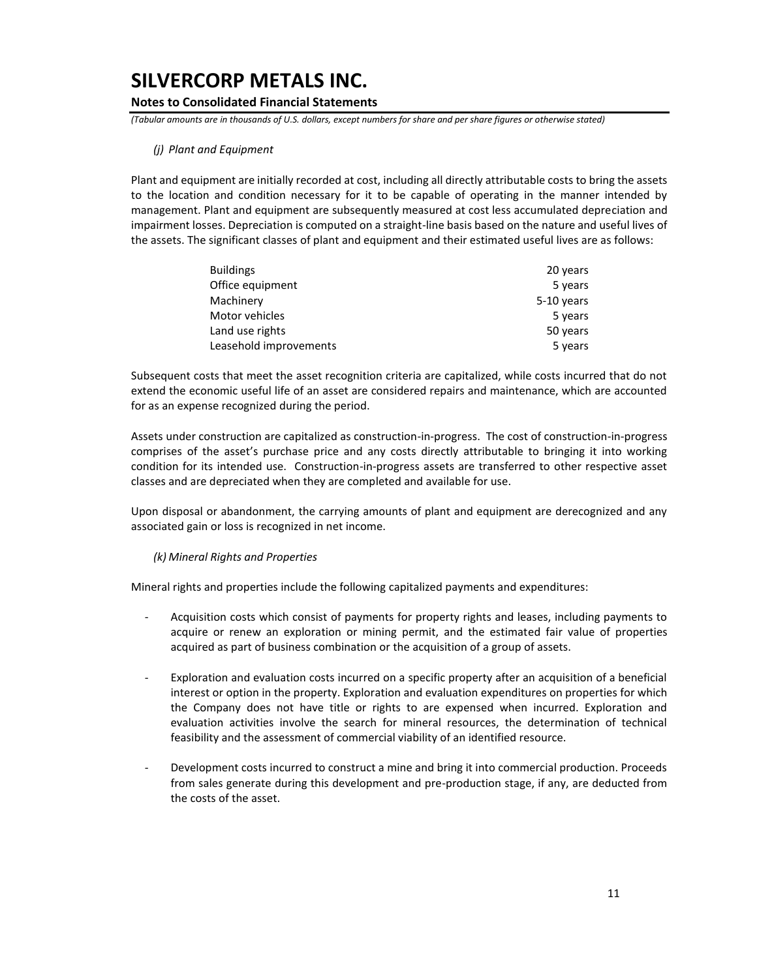### **Notes to Consolidated Financial Statements**

*(Tabular amounts are in thousands of U.S. dollars, except numbers for share and per share figures or otherwise stated)*

#### *(j) Plant and Equipment*

Plant and equipment are initially recorded at cost, including all directly attributable costs to bring the assets to the location and condition necessary for it to be capable of operating in the manner intended by management. Plant and equipment are subsequently measured at cost less accumulated depreciation and impairment losses. Depreciation is computed on a straight-line basis based on the nature and useful lives of the assets. The significant classes of plant and equipment and their estimated useful lives are as follows:

| <b>Buildings</b>       | 20 years   |
|------------------------|------------|
| Office equipment       | 5 years    |
| Machinery              | 5-10 years |
| Motor vehicles         | 5 years    |
| Land use rights        | 50 years   |
| Leasehold improvements | 5 years    |
|                        |            |

Subsequent costs that meet the asset recognition criteria are capitalized, while costs incurred that do not extend the economic useful life of an asset are considered repairs and maintenance, which are accounted for as an expense recognized during the period.

Assets under construction are capitalized as construction-in-progress. The cost of construction-in-progress comprises of the asset's purchase price and any costs directly attributable to bringing it into working condition for its intended use. Construction-in-progress assets are transferred to other respective asset classes and are depreciated when they are completed and available for use.

Upon disposal or abandonment, the carrying amounts of plant and equipment are derecognized and any associated gain or loss is recognized in net income.

#### *(k) Mineral Rights and Properties*

Mineral rights and properties include the following capitalized payments and expenditures:

- Acquisition costs which consist of payments for property rights and leases, including payments to acquire or renew an exploration or mining permit, and the estimated fair value of properties acquired as part of business combination or the acquisition of a group of assets.
- Exploration and evaluation costs incurred on a specific property after an acquisition of a beneficial interest or option in the property. Exploration and evaluation expenditures on properties for which the Company does not have title or rights to are expensed when incurred. Exploration and evaluation activities involve the search for mineral resources, the determination of technical feasibility and the assessment of commercial viability of an identified resource.
- Development costs incurred to construct a mine and bring it into commercial production. Proceeds from sales generate during this development and pre-production stage, if any, are deducted from the costs of the asset.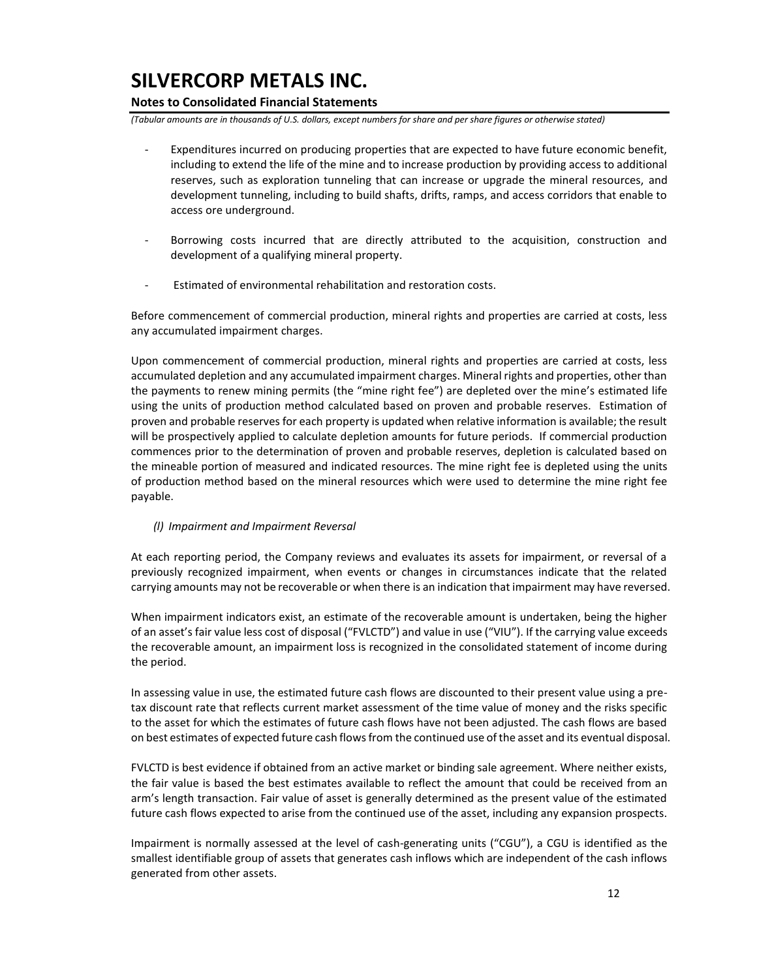### **Notes to Consolidated Financial Statements**

*(Tabular amounts are in thousands of U.S. dollars, except numbers for share and per share figures or otherwise stated)*

- Expenditures incurred on producing properties that are expected to have future economic benefit, including to extend the life of the mine and to increase production by providing access to additional reserves, such as exploration tunneling that can increase or upgrade the mineral resources, and development tunneling, including to build shafts, drifts, ramps, and access corridors that enable to access ore underground.
- Borrowing costs incurred that are directly attributed to the acquisition, construction and development of a qualifying mineral property.
- Estimated of environmental rehabilitation and restoration costs.

Before commencement of commercial production, mineral rights and properties are carried at costs, less any accumulated impairment charges.

Upon commencement of commercial production, mineral rights and properties are carried at costs, less accumulated depletion and any accumulated impairment charges. Mineral rights and properties, other than the payments to renew mining permits (the "mine right fee") are depleted over the mine's estimated life using the units of production method calculated based on proven and probable reserves. Estimation of proven and probable reserves for each property is updated when relative information is available; the result will be prospectively applied to calculate depletion amounts for future periods. If commercial production commences prior to the determination of proven and probable reserves, depletion is calculated based on the mineable portion of measured and indicated resources. The mine right fee is depleted using the units of production method based on the mineral resources which were used to determine the mine right fee payable.

#### *(l) Impairment and Impairment Reversal*

At each reporting period, the Company reviews and evaluates its assets for impairment, or reversal of a previously recognized impairment, when events or changes in circumstances indicate that the related carrying amounts may not be recoverable or when there is an indication that impairment may have reversed.

When impairment indicators exist, an estimate of the recoverable amount is undertaken, being the higher of an asset's fair value less cost of disposal ("FVLCTD") and value in use ("VIU"). If the carrying value exceeds the recoverable amount, an impairment loss is recognized in the consolidated statement of income during the period.

In assessing value in use, the estimated future cash flows are discounted to their present value using a pretax discount rate that reflects current market assessment of the time value of money and the risks specific to the asset for which the estimates of future cash flows have not been adjusted. The cash flows are based on best estimates of expected future cash flows from the continued use of the asset and its eventual disposal.

FVLCTD is best evidence if obtained from an active market or binding sale agreement. Where neither exists, the fair value is based the best estimates available to reflect the amount that could be received from an arm's length transaction. Fair value of asset is generally determined as the present value of the estimated future cash flows expected to arise from the continued use of the asset, including any expansion prospects.

Impairment is normally assessed at the level of cash-generating units ("CGU"), a CGU is identified as the smallest identifiable group of assets that generates cash inflows which are independent of the cash inflows generated from other assets.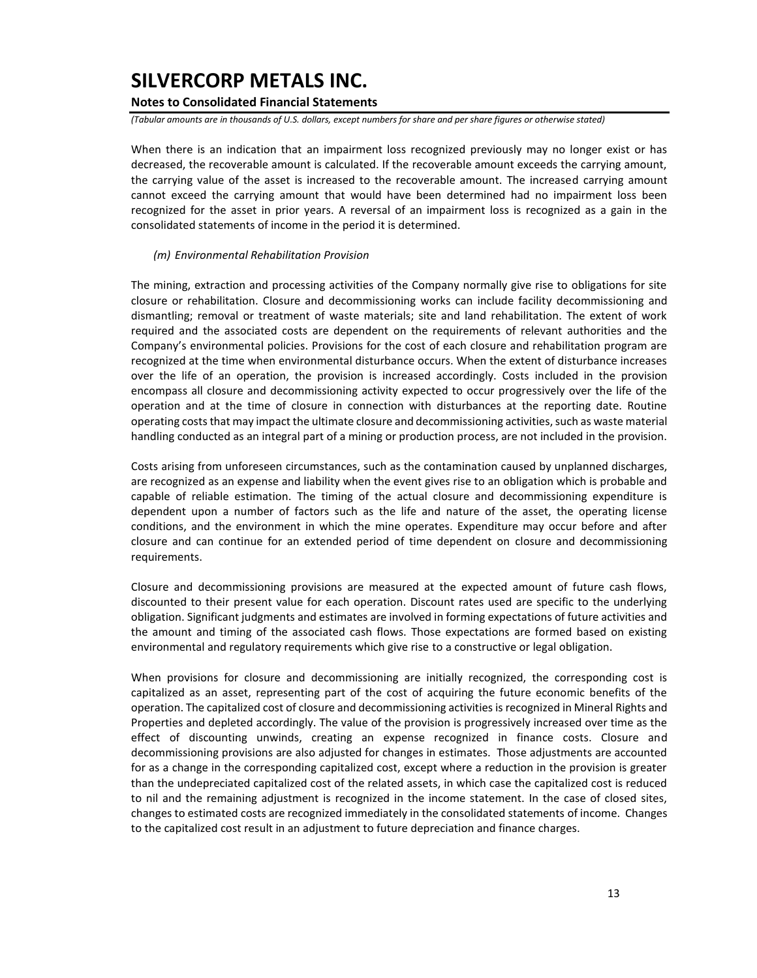### **Notes to Consolidated Financial Statements**

*(Tabular amounts are in thousands of U.S. dollars, except numbers for share and per share figures or otherwise stated)*

When there is an indication that an impairment loss recognized previously may no longer exist or has decreased, the recoverable amount is calculated. If the recoverable amount exceeds the carrying amount, the carrying value of the asset is increased to the recoverable amount. The increased carrying amount cannot exceed the carrying amount that would have been determined had no impairment loss been recognized for the asset in prior years. A reversal of an impairment loss is recognized as a gain in the consolidated statements of income in the period it is determined.

#### *(m) Environmental Rehabilitation Provision*

The mining, extraction and processing activities of the Company normally give rise to obligations for site closure or rehabilitation. Closure and decommissioning works can include facility decommissioning and dismantling; removal or treatment of waste materials; site and land rehabilitation. The extent of work required and the associated costs are dependent on the requirements of relevant authorities and the Company's environmental policies. Provisions for the cost of each closure and rehabilitation program are recognized at the time when environmental disturbance occurs. When the extent of disturbance increases over the life of an operation, the provision is increased accordingly. Costs included in the provision encompass all closure and decommissioning activity expected to occur progressively over the life of the operation and at the time of closure in connection with disturbances at the reporting date. Routine operating costs that may impact the ultimate closure and decommissioning activities, such as waste material handling conducted as an integral part of a mining or production process, are not included in the provision.

Costs arising from unforeseen circumstances, such as the contamination caused by unplanned discharges, are recognized as an expense and liability when the event gives rise to an obligation which is probable and capable of reliable estimation. The timing of the actual closure and decommissioning expenditure is dependent upon a number of factors such as the life and nature of the asset, the operating license conditions, and the environment in which the mine operates. Expenditure may occur before and after closure and can continue for an extended period of time dependent on closure and decommissioning requirements.

Closure and decommissioning provisions are measured at the expected amount of future cash flows, discounted to their present value for each operation. Discount rates used are specific to the underlying obligation. Significant judgments and estimates are involved in forming expectations of future activities and the amount and timing of the associated cash flows. Those expectations are formed based on existing environmental and regulatory requirements which give rise to a constructive or legal obligation.

When provisions for closure and decommissioning are initially recognized, the corresponding cost is capitalized as an asset, representing part of the cost of acquiring the future economic benefits of the operation. The capitalized cost of closure and decommissioning activities is recognized in Mineral Rights and Properties and depleted accordingly. The value of the provision is progressively increased over time as the effect of discounting unwinds, creating an expense recognized in finance costs. Closure and decommissioning provisions are also adjusted for changes in estimates. Those adjustments are accounted for as a change in the corresponding capitalized cost, except where a reduction in the provision is greater than the undepreciated capitalized cost of the related assets, in which case the capitalized cost is reduced to nil and the remaining adjustment is recognized in the income statement. In the case of closed sites, changes to estimated costs are recognized immediately in the consolidated statements of income. Changes to the capitalized cost result in an adjustment to future depreciation and finance charges.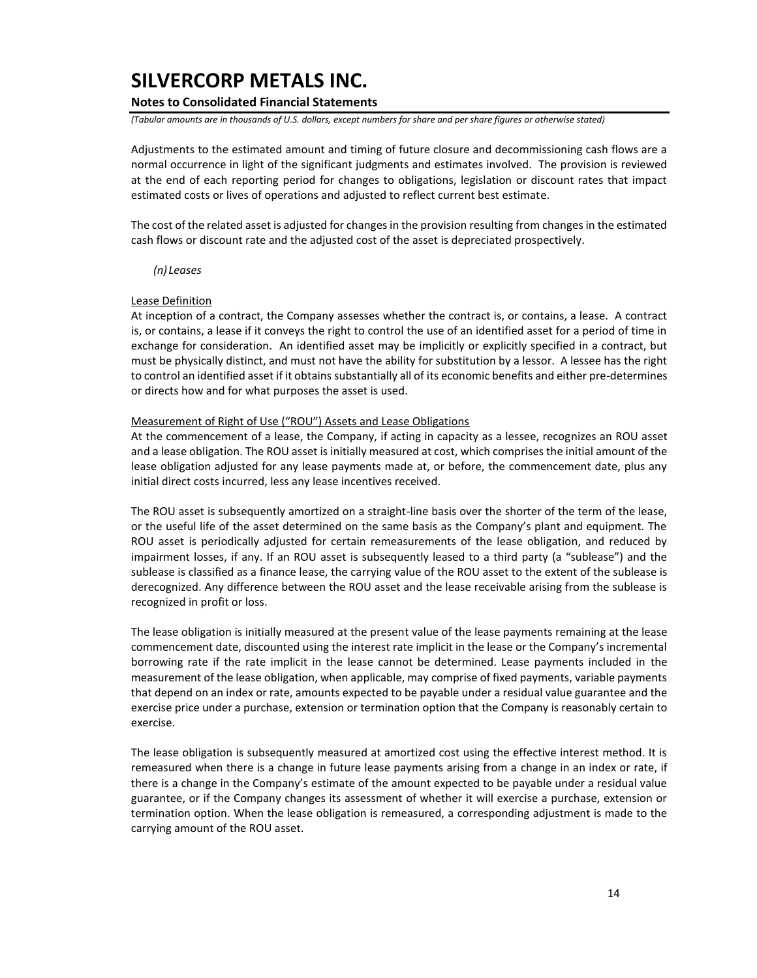### **Notes to Consolidated Financial Statements**

*(Tabular amounts are in thousands of U.S. dollars, except numbers for share and per share figures or otherwise stated)*

Adjustments to the estimated amount and timing of future closure and decommissioning cash flows are a normal occurrence in light of the significant judgments and estimates involved. The provision is reviewed at the end of each reporting period for changes to obligations, legislation or discount rates that impact estimated costs or lives of operations and adjusted to reflect current best estimate.

The cost of the related asset is adjusted for changes in the provision resulting from changes in the estimated cash flows or discount rate and the adjusted cost of the asset is depreciated prospectively.

#### *(n) Leases*

#### Lease Definition

At inception of a contract, the Company assesses whether the contract is, or contains, a lease. A contract is, or contains, a lease if it conveys the right to control the use of an identified asset for a period of time in exchange for consideration. An identified asset may be implicitly or explicitly specified in a contract, but must be physically distinct, and must not have the ability for substitution by a lessor. A lessee has the right to control an identified asset if it obtains substantially all of its economic benefits and either pre-determines or directs how and for what purposes the asset is used.

#### Measurement of Right of Use ("ROU") Assets and Lease Obligations

At the commencement of a lease, the Company, if acting in capacity as a lessee, recognizes an ROU asset and a lease obligation. The ROU asset is initially measured at cost, which comprises the initial amount of the lease obligation adjusted for any lease payments made at, or before, the commencement date, plus any initial direct costs incurred, less any lease incentives received.

The ROU asset is subsequently amortized on a straight-line basis over the shorter of the term of the lease, or the useful life of the asset determined on the same basis as the Company's plant and equipment. The ROU asset is periodically adjusted for certain remeasurements of the lease obligation, and reduced by impairment losses, if any. If an ROU asset is subsequently leased to a third party (a "sublease") and the sublease is classified as a finance lease, the carrying value of the ROU asset to the extent of the sublease is derecognized. Any difference between the ROU asset and the lease receivable arising from the sublease is recognized in profit or loss.

The lease obligation is initially measured at the present value of the lease payments remaining at the lease commencement date, discounted using the interest rate implicit in the lease or the Company's incremental borrowing rate if the rate implicit in the lease cannot be determined. Lease payments included in the measurement of the lease obligation, when applicable, may comprise of fixed payments, variable payments that depend on an index or rate, amounts expected to be payable under a residual value guarantee and the exercise price under a purchase, extension or termination option that the Company is reasonably certain to exercise.

The lease obligation is subsequently measured at amortized cost using the effective interest method. It is remeasured when there is a change in future lease payments arising from a change in an index or rate, if there is a change in the Company's estimate of the amount expected to be payable under a residual value guarantee, or if the Company changes its assessment of whether it will exercise a purchase, extension or termination option. When the lease obligation is remeasured, a corresponding adjustment is made to the carrying amount of the ROU asset.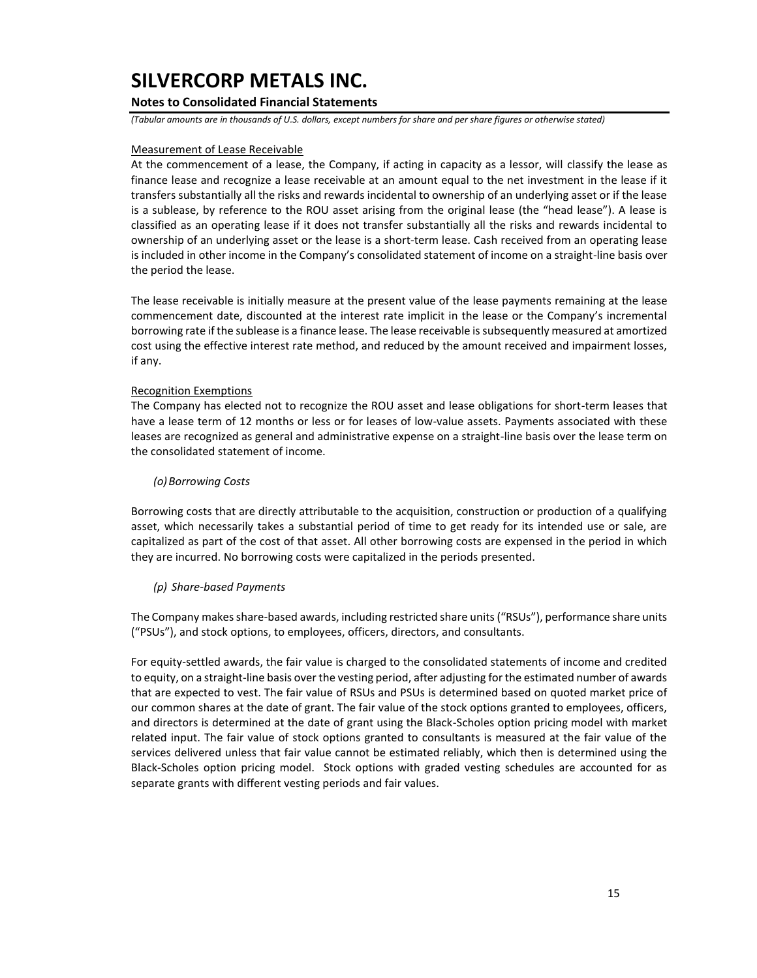### **Notes to Consolidated Financial Statements**

*(Tabular amounts are in thousands of U.S. dollars, except numbers for share and per share figures or otherwise stated)*

#### Measurement of Lease Receivable

At the commencement of a lease, the Company, if acting in capacity as a lessor, will classify the lease as finance lease and recognize a lease receivable at an amount equal to the net investment in the lease if it transfers substantially all the risks and rewards incidental to ownership of an underlying asset or if the lease is a sublease, by reference to the ROU asset arising from the original lease (the "head lease"). A lease is classified as an operating lease if it does not transfer substantially all the risks and rewards incidental to ownership of an underlying asset or the lease is a short-term lease. Cash received from an operating lease is included in other income in the Company's consolidated statement of income on a straight-line basis over the period the lease.

The lease receivable is initially measure at the present value of the lease payments remaining at the lease commencement date, discounted at the interest rate implicit in the lease or the Company's incremental borrowing rate if the sublease is a finance lease. The lease receivable is subsequently measured at amortized cost using the effective interest rate method, and reduced by the amount received and impairment losses, if any.

#### Recognition Exemptions

The Company has elected not to recognize the ROU asset and lease obligations for short-term leases that have a lease term of 12 months or less or for leases of low-value assets. Payments associated with these leases are recognized as general and administrative expense on a straight-line basis over the lease term on the consolidated statement of income.

#### *(o)Borrowing Costs*

Borrowing costs that are directly attributable to the acquisition, construction or production of a qualifying asset, which necessarily takes a substantial period of time to get ready for its intended use or sale, are capitalized as part of the cost of that asset. All other borrowing costs are expensed in the period in which they are incurred. No borrowing costs were capitalized in the periods presented.

#### *(p) Share-based Payments*

The Company makes share-based awards, including restricted share units ("RSUs"), performance share units ("PSUs"), and stock options, to employees, officers, directors, and consultants.

For equity-settled awards, the fair value is charged to the consolidated statements of income and credited to equity, on a straight-line basis over the vesting period, after adjusting for the estimated number of awards that are expected to vest. The fair value of RSUs and PSUs is determined based on quoted market price of our common shares at the date of grant. The fair value of the stock options granted to employees, officers, and directors is determined at the date of grant using the Black-Scholes option pricing model with market related input. The fair value of stock options granted to consultants is measured at the fair value of the services delivered unless that fair value cannot be estimated reliably, which then is determined using the Black-Scholes option pricing model. Stock options with graded vesting schedules are accounted for as separate grants with different vesting periods and fair values.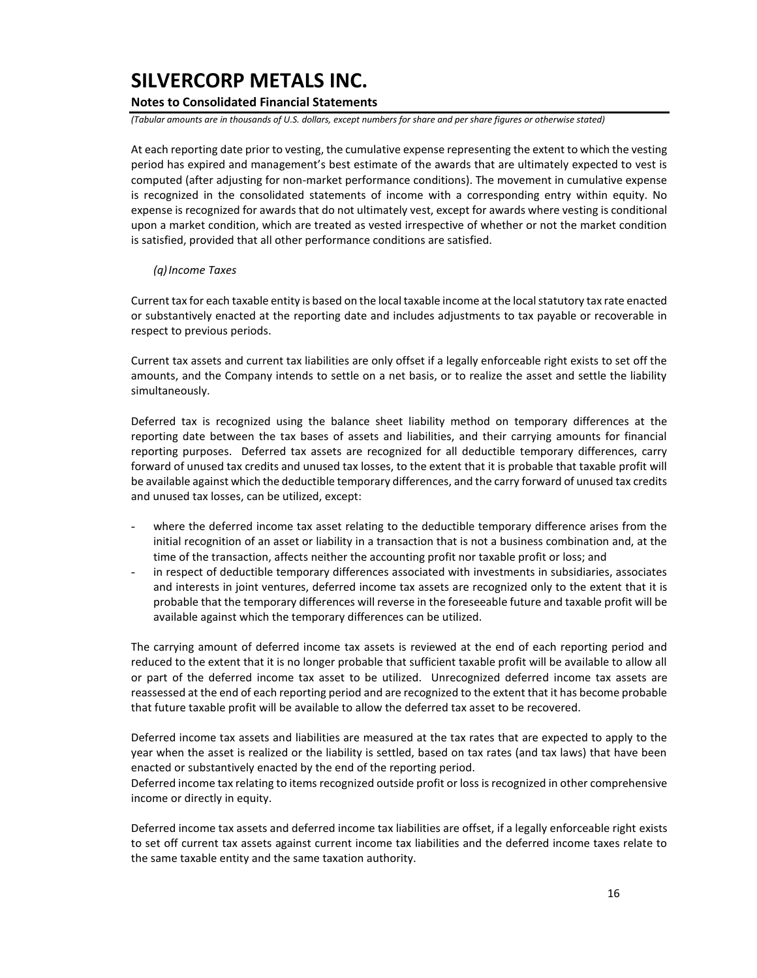### **Notes to Consolidated Financial Statements**

*(Tabular amounts are in thousands of U.S. dollars, except numbers for share and per share figures or otherwise stated)*

At each reporting date prior to vesting, the cumulative expense representing the extent to which the vesting period has expired and management's best estimate of the awards that are ultimately expected to vest is computed (after adjusting for non-market performance conditions). The movement in cumulative expense is recognized in the consolidated statements of income with a corresponding entry within equity. No expense is recognized for awards that do not ultimately vest, except for awards where vesting is conditional upon a market condition, which are treated as vested irrespective of whether or not the market condition is satisfied, provided that all other performance conditions are satisfied.

#### *(q)Income Taxes*

Current tax for each taxable entity is based on the local taxable income at the local statutory tax rate enacted or substantively enacted at the reporting date and includes adjustments to tax payable or recoverable in respect to previous periods.

Current tax assets and current tax liabilities are only offset if a legally enforceable right exists to set off the amounts, and the Company intends to settle on a net basis, or to realize the asset and settle the liability simultaneously.

Deferred tax is recognized using the balance sheet liability method on temporary differences at the reporting date between the tax bases of assets and liabilities, and their carrying amounts for financial reporting purposes. Deferred tax assets are recognized for all deductible temporary differences, carry forward of unused tax credits and unused tax losses, to the extent that it is probable that taxable profit will be available against which the deductible temporary differences, and the carry forward of unused tax credits and unused tax losses, can be utilized, except:

- where the deferred income tax asset relating to the deductible temporary difference arises from the initial recognition of an asset or liability in a transaction that is not a business combination and, at the time of the transaction, affects neither the accounting profit nor taxable profit or loss; and
- in respect of deductible temporary differences associated with investments in subsidiaries, associates and interests in joint ventures, deferred income tax assets are recognized only to the extent that it is probable that the temporary differences will reverse in the foreseeable future and taxable profit will be available against which the temporary differences can be utilized.

The carrying amount of deferred income tax assets is reviewed at the end of each reporting period and reduced to the extent that it is no longer probable that sufficient taxable profit will be available to allow all or part of the deferred income tax asset to be utilized. Unrecognized deferred income tax assets are reassessed at the end of each reporting period and are recognized to the extent that it has become probable that future taxable profit will be available to allow the deferred tax asset to be recovered.

Deferred income tax assets and liabilities are measured at the tax rates that are expected to apply to the year when the asset is realized or the liability is settled, based on tax rates (and tax laws) that have been enacted or substantively enacted by the end of the reporting period.

Deferred income tax relating to items recognized outside profit or loss is recognized in other comprehensive income or directly in equity.

Deferred income tax assets and deferred income tax liabilities are offset, if a legally enforceable right exists to set off current tax assets against current income tax liabilities and the deferred income taxes relate to the same taxable entity and the same taxation authority.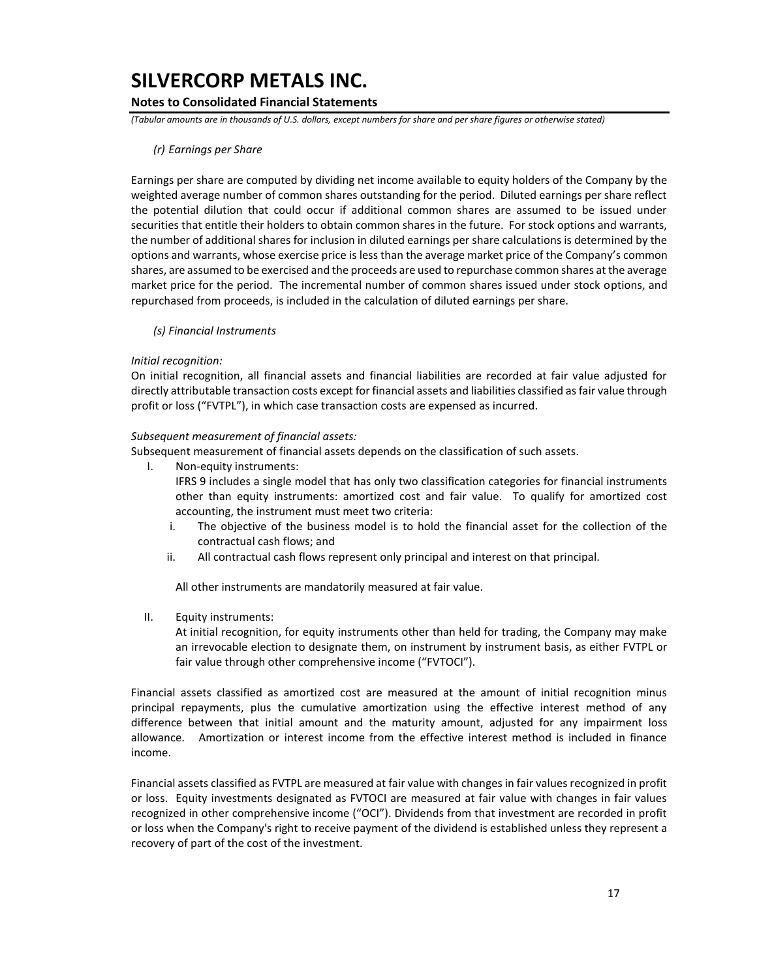### **Notes to Consolidated Financial Statements**

*(Tabular amounts are in thousands of U.S. dollars, except numbers for share and per share figures or otherwise stated)*

#### *(r) Earnings per Share*

Earnings per share are computed by dividing net income available to equity holders of the Company by the weighted average number of common shares outstanding for the period. Diluted earnings per share reflect the potential dilution that could occur if additional common shares are assumed to be issued under securities that entitle their holders to obtain common shares in the future. For stock options and warrants, the number of additional shares for inclusion in diluted earnings per share calculations is determined by the options and warrants, whose exercise price is less than the average market price of the Company's common shares, are assumed to be exercised and the proceeds are used to repurchase common shares at the average market price for the period. The incremental number of common shares issued under stock options, and repurchased from proceeds, is included in the calculation of diluted earnings per share.

#### *(s) Financial Instruments*

#### *Initial recognition:*

On initial recognition, all financial assets and financial liabilities are recorded at fair value adjusted for directly attributable transaction costs except for financial assets and liabilities classified as fair value through profit or loss ("FVTPL"), in which case transaction costs are expensed as incurred.

#### *Subsequent measurement of financial assets:*

Subsequent measurement of financial assets depends on the classification of such assets.

I. Non-equity instruments:

IFRS 9 includes a single model that has only two classification categories for financial instruments other than equity instruments: amortized cost and fair value. To qualify for amortized cost accounting, the instrument must meet two criteria:

- i. The objective of the business model is to hold the financial asset for the collection of the contractual cash flows; and
- ii. All contractual cash flows represent only principal and interest on that principal.

All other instruments are mandatorily measured at fair value.

II. Equity instruments:

At initial recognition, for equity instruments other than held for trading, the Company may make an irrevocable election to designate them, on instrument by instrument basis, as either FVTPL or fair value through other comprehensive income ("FVTOCI").

Financial assets classified as amortized cost are measured at the amount of initial recognition minus principal repayments, plus the cumulative amortization using the effective interest method of any difference between that initial amount and the maturity amount, adjusted for any impairment loss allowance. Amortization or interest income from the effective interest method is included in finance income.

Financial assets classified as FVTPL are measured at fair value with changes in fair values recognized in profit or loss. Equity investments designated as FVTOCI are measured at fair value with changes in fair values recognized in other comprehensive income ("OCI"). Dividends from that investment are recorded in profit or loss when the Company's right to receive payment of the dividend is established unless they represent a recovery of part of the cost of the investment.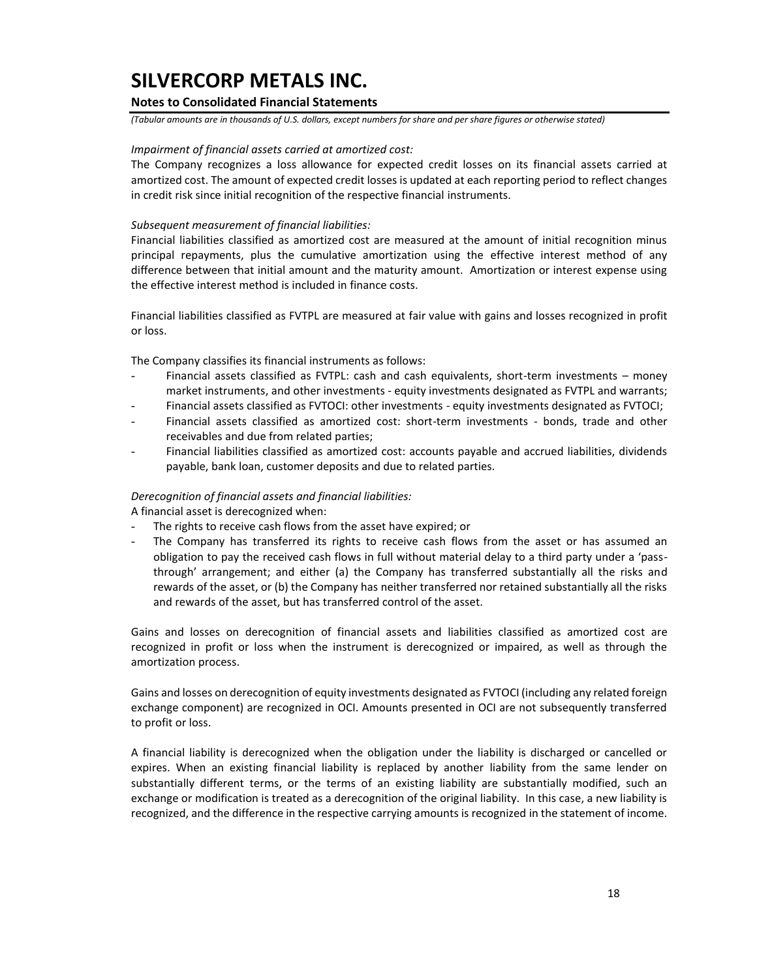### **Notes to Consolidated Financial Statements**

*(Tabular amounts are in thousands of U.S. dollars, except numbers for share and per share figures or otherwise stated)*

#### *Impairment of financial assets carried at amortized cost:*

The Company recognizes a loss allowance for expected credit losses on its financial assets carried at amortized cost. The amount of expected credit losses is updated at each reporting period to reflect changes in credit risk since initial recognition of the respective financial instruments.

#### *Subsequent measurement of financial liabilities:*

Financial liabilities classified as amortized cost are measured at the amount of initial recognition minus principal repayments, plus the cumulative amortization using the effective interest method of any difference between that initial amount and the maturity amount. Amortization or interest expense using the effective interest method is included in finance costs.

Financial liabilities classified as FVTPL are measured at fair value with gains and losses recognized in profit or loss.

The Company classifies its financial instruments as follows:

- Financial assets classified as FVTPL: cash and cash equivalents, short-term investments money market instruments, and other investments - equity investments designated as FVTPL and warrants;
- Financial assets classified as FVTOCI: other investments equity investments designated as FVTOCI;
- Financial assets classified as amortized cost: short-term investments bonds, trade and other receivables and due from related parties;
- Financial liabilities classified as amortized cost: accounts payable and accrued liabilities, dividends payable, bank loan, customer deposits and due to related parties.

#### *Derecognition of financial assets and financial liabilities:*

A financial asset is derecognized when:

- The rights to receive cash flows from the asset have expired; or
- The Company has transferred its rights to receive cash flows from the asset or has assumed an obligation to pay the received cash flows in full without material delay to a third party under a 'passthrough' arrangement; and either (a) the Company has transferred substantially all the risks and rewards of the asset, or (b) the Company has neither transferred nor retained substantially all the risks and rewards of the asset, but has transferred control of the asset.

Gains and losses on derecognition of financial assets and liabilities classified as amortized cost are recognized in profit or loss when the instrument is derecognized or impaired, as well as through the amortization process.

Gains and losses on derecognition of equity investments designated as FVTOCI (including any related foreign exchange component) are recognized in OCI. Amounts presented in OCI are not subsequently transferred to profit or loss.

A financial liability is derecognized when the obligation under the liability is discharged or cancelled or expires. When an existing financial liability is replaced by another liability from the same lender on substantially different terms, or the terms of an existing liability are substantially modified, such an exchange or modification is treated as a derecognition of the original liability. In this case, a new liability is recognized, and the difference in the respective carrying amounts is recognized in the statement of income.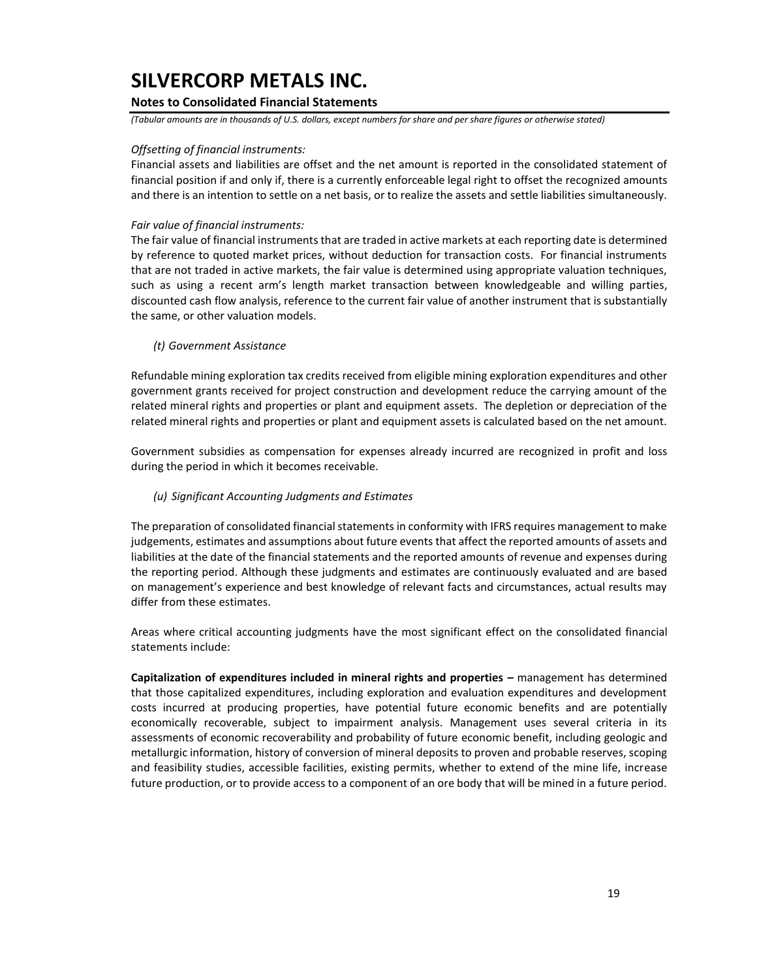### **Notes to Consolidated Financial Statements**

*(Tabular amounts are in thousands of U.S. dollars, except numbers for share and per share figures or otherwise stated)*

#### *Offsetting of financial instruments:*

Financial assets and liabilities are offset and the net amount is reported in the consolidated statement of financial position if and only if, there is a currently enforceable legal right to offset the recognized amounts and there is an intention to settle on a net basis, or to realize the assets and settle liabilities simultaneously.

#### *Fair value of financial instruments:*

The fair value of financial instruments that are traded in active markets at each reporting date is determined by reference to quoted market prices, without deduction for transaction costs. For financial instruments that are not traded in active markets, the fair value is determined using appropriate valuation techniques, such as using a recent arm's length market transaction between knowledgeable and willing parties, discounted cash flow analysis, reference to the current fair value of another instrument that is substantially the same, or other valuation models.

#### *(t) Government Assistance*

Refundable mining exploration tax credits received from eligible mining exploration expenditures and other government grants received for project construction and development reduce the carrying amount of the related mineral rights and properties or plant and equipment assets. The depletion or depreciation of the related mineral rights and properties or plant and equipment assets is calculated based on the net amount.

Government subsidies as compensation for expenses already incurred are recognized in profit and loss during the period in which it becomes receivable.

#### *(u) Significant Accounting Judgments and Estimates*

The preparation of consolidated financial statements in conformity with IFRS requires management to make judgements, estimates and assumptions about future events that affect the reported amounts of assets and liabilities at the date of the financial statements and the reported amounts of revenue and expenses during the reporting period. Although these judgments and estimates are continuously evaluated and are based on management's experience and best knowledge of relevant facts and circumstances, actual results may differ from these estimates.

Areas where critical accounting judgments have the most significant effect on the consolidated financial statements include:

**Capitalization of expenditures included in mineral rights and properties –** management has determined that those capitalized expenditures, including exploration and evaluation expenditures and development costs incurred at producing properties, have potential future economic benefits and are potentially economically recoverable, subject to impairment analysis. Management uses several criteria in its assessments of economic recoverability and probability of future economic benefit, including geologic and metallurgic information, history of conversion of mineral deposits to proven and probable reserves, scoping and feasibility studies, accessible facilities, existing permits, whether to extend of the mine life, increase future production, or to provide access to a component of an ore body that will be mined in a future period.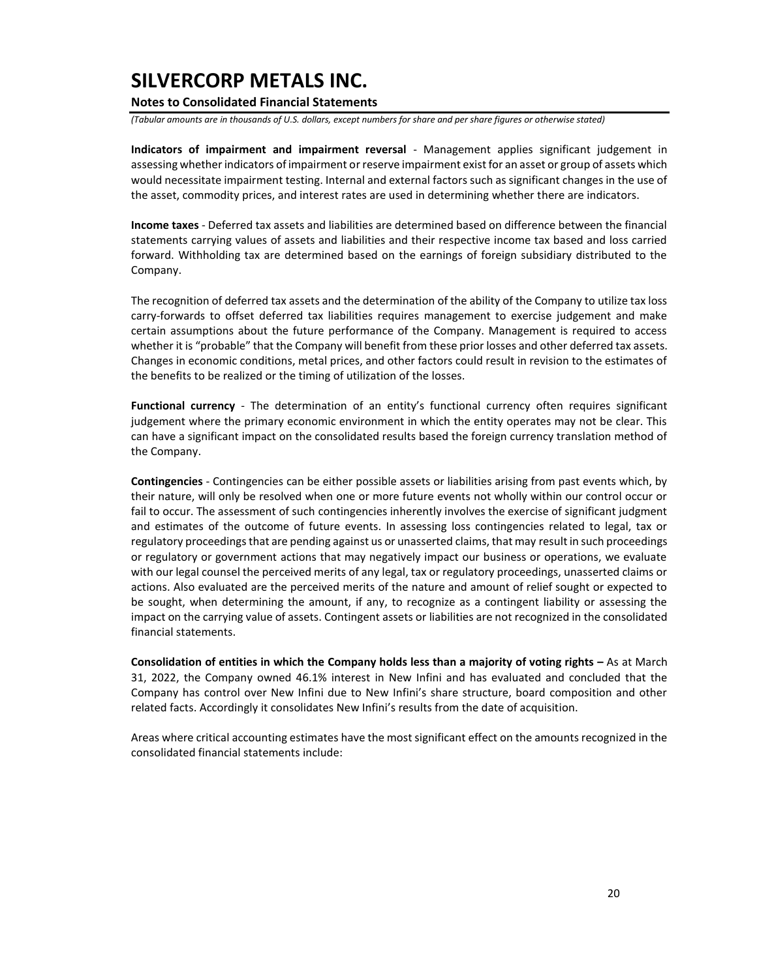### **Notes to Consolidated Financial Statements**

*(Tabular amounts are in thousands of U.S. dollars, except numbers for share and per share figures or otherwise stated)*

**Indicators of impairment and impairment reversal** - Management applies significant judgement in assessing whether indicators of impairment or reserve impairment exist for an asset or group of assets which would necessitate impairment testing. Internal and external factors such as significant changes in the use of the asset, commodity prices, and interest rates are used in determining whether there are indicators.

**Income taxes** - Deferred tax assets and liabilities are determined based on difference between the financial statements carrying values of assets and liabilities and their respective income tax based and loss carried forward. Withholding tax are determined based on the earnings of foreign subsidiary distributed to the Company.

The recognition of deferred tax assets and the determination of the ability of the Company to utilize tax loss carry-forwards to offset deferred tax liabilities requires management to exercise judgement and make certain assumptions about the future performance of the Company. Management is required to access whether it is "probable" that the Company will benefit from these prior losses and other deferred tax assets. Changes in economic conditions, metal prices, and other factors could result in revision to the estimates of the benefits to be realized or the timing of utilization of the losses.

**Functional currency** - The determination of an entity's functional currency often requires significant judgement where the primary economic environment in which the entity operates may not be clear. This can have a significant impact on the consolidated results based the foreign currency translation method of the Company.

**Contingencies** - Contingencies can be either possible assets or liabilities arising from past events which, by their nature, will only be resolved when one or more future events not wholly within our control occur or fail to occur. The assessment of such contingencies inherently involves the exercise of significant judgment and estimates of the outcome of future events. In assessing loss contingencies related to legal, tax or regulatory proceedings that are pending against us or unasserted claims, that may result in such proceedings or regulatory or government actions that may negatively impact our business or operations, we evaluate with our legal counsel the perceived merits of any legal, tax or regulatory proceedings, unasserted claims or actions. Also evaluated are the perceived merits of the nature and amount of relief sought or expected to be sought, when determining the amount, if any, to recognize as a contingent liability or assessing the impact on the carrying value of assets. Contingent assets or liabilities are not recognized in the consolidated financial statements.

**Consolidation of entities in which the Company holds less than a majority of voting rights – As at March** 31, 2022, the Company owned 46.1% interest in New Infini and has evaluated and concluded that the Company has control over New Infini due to New Infini's share structure, board composition and other related facts. Accordingly it consolidates New Infini's results from the date of acquisition.

Areas where critical accounting estimates have the most significant effect on the amounts recognized in the consolidated financial statements include: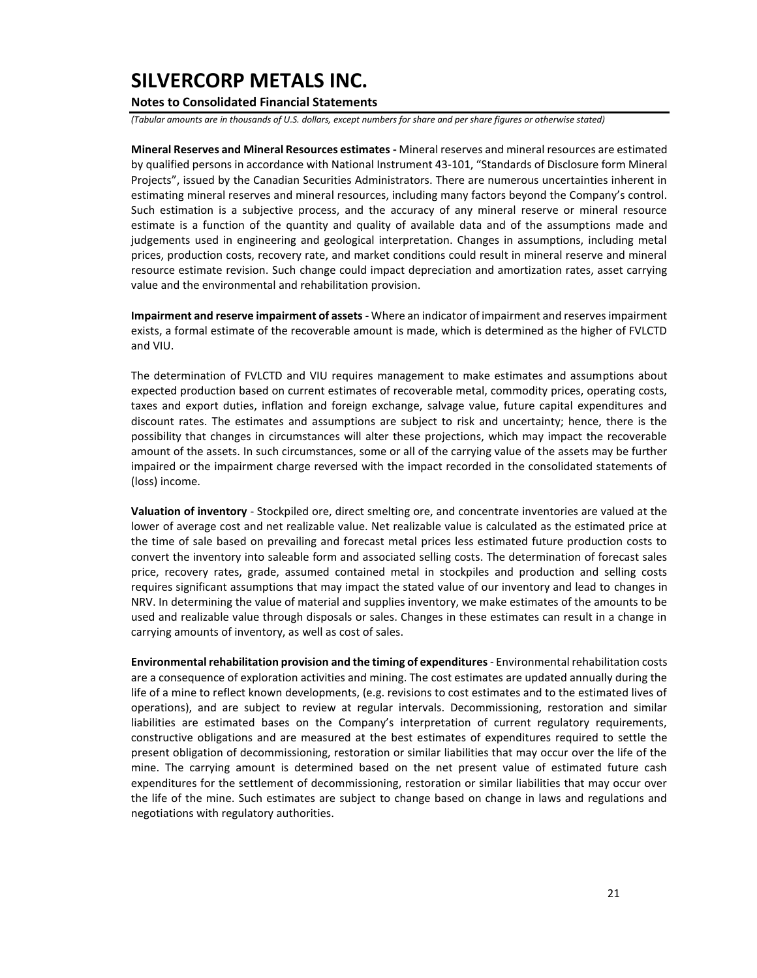### **Notes to Consolidated Financial Statements**

*(Tabular amounts are in thousands of U.S. dollars, except numbers for share and per share figures or otherwise stated)*

**Mineral Reserves and Mineral Resources estimates -** Mineral reserves and mineral resources are estimated by qualified persons in accordance with National Instrument 43-101, "Standards of Disclosure form Mineral Projects", issued by the Canadian Securities Administrators. There are numerous uncertainties inherent in estimating mineral reserves and mineral resources, including many factors beyond the Company's control. Such estimation is a subjective process, and the accuracy of any mineral reserve or mineral resource estimate is a function of the quantity and quality of available data and of the assumptions made and judgements used in engineering and geological interpretation. Changes in assumptions, including metal prices, production costs, recovery rate, and market conditions could result in mineral reserve and mineral resource estimate revision. Such change could impact depreciation and amortization rates, asset carrying value and the environmental and rehabilitation provision.

**Impairment and reserve impairment of assets** *-* Where an indicator of impairment and reserves impairment exists, a formal estimate of the recoverable amount is made, which is determined as the higher of FVLCTD and VIU.

The determination of FVLCTD and VIU requires management to make estimates and assumptions about expected production based on current estimates of recoverable metal, commodity prices, operating costs, taxes and export duties, inflation and foreign exchange, salvage value, future capital expenditures and discount rates. The estimates and assumptions are subject to risk and uncertainty; hence, there is the possibility that changes in circumstances will alter these projections, which may impact the recoverable amount of the assets. In such circumstances, some or all of the carrying value of the assets may be further impaired or the impairment charge reversed with the impact recorded in the consolidated statements of (loss) income.

**Valuation of inventory** - Stockpiled ore, direct smelting ore, and concentrate inventories are valued at the lower of average cost and net realizable value. Net realizable value is calculated as the estimated price at the time of sale based on prevailing and forecast metal prices less estimated future production costs to convert the inventory into saleable form and associated selling costs. The determination of forecast sales price, recovery rates, grade, assumed contained metal in stockpiles and production and selling costs requires significant assumptions that may impact the stated value of our inventory and lead to changes in NRV. In determining the value of material and supplies inventory, we make estimates of the amounts to be used and realizable value through disposals or sales. Changes in these estimates can result in a change in carrying amounts of inventory, as well as cost of sales.

**Environmental rehabilitation provision and the timing of expenditures**- Environmental rehabilitation costs are a consequence of exploration activities and mining. The cost estimates are updated annually during the life of a mine to reflect known developments, (e.g. revisions to cost estimates and to the estimated lives of operations), and are subject to review at regular intervals. Decommissioning, restoration and similar liabilities are estimated bases on the Company's interpretation of current regulatory requirements, constructive obligations and are measured at the best estimates of expenditures required to settle the present obligation of decommissioning, restoration or similar liabilities that may occur over the life of the mine. The carrying amount is determined based on the net present value of estimated future cash expenditures for the settlement of decommissioning, restoration or similar liabilities that may occur over the life of the mine. Such estimates are subject to change based on change in laws and regulations and negotiations with regulatory authorities.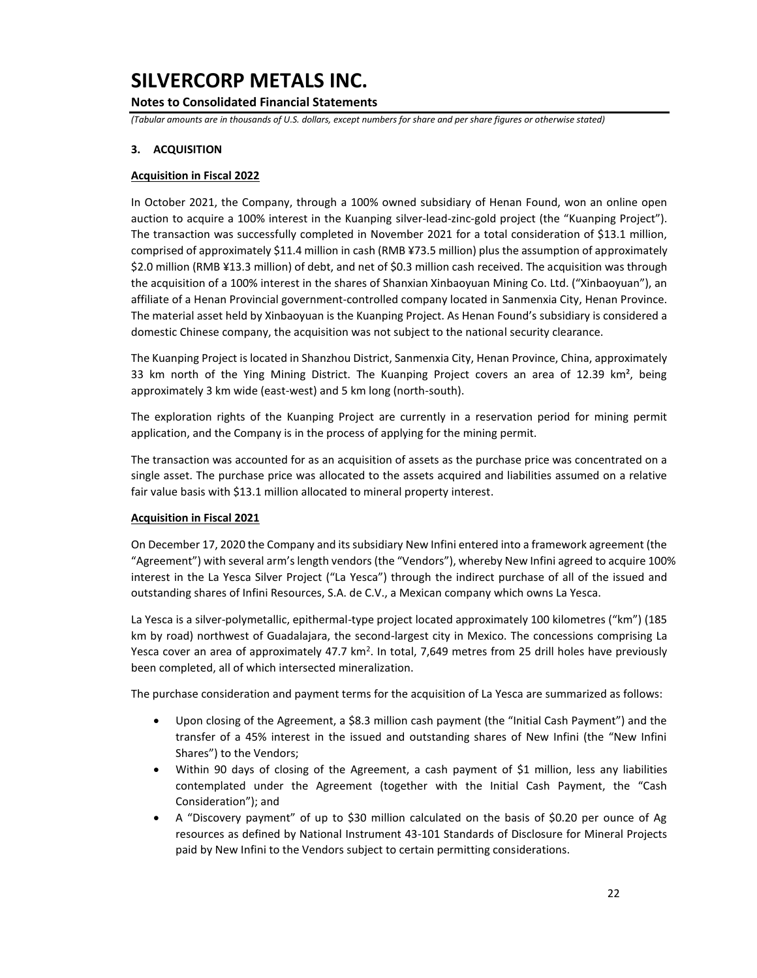### **Notes to Consolidated Financial Statements**

*(Tabular amounts are in thousands of U.S. dollars, except numbers for share and per share figures or otherwise stated)*

### **3. ACQUISITION**

#### **Acquisition in Fiscal 2022**

In October 2021, the Company, through a 100% owned subsidiary of Henan Found, won an online open auction to acquire a 100% interest in the Kuanping silver-lead-zinc-gold project (the "Kuanping Project"). The transaction was successfully completed in November 2021 for a total consideration of \$13.1 million, comprised of approximately \$11.4 million in cash (RMB ¥73.5 million) plus the assumption of approximately \$2.0 million (RMB ¥13.3 million) of debt, and net of \$0.3 million cash received. The acquisition was through the acquisition of a 100% interest in the shares of Shanxian Xinbaoyuan Mining Co. Ltd. ("Xinbaoyuan"), an affiliate of a Henan Provincial government-controlled company located in Sanmenxia City, Henan Province. The material asset held by Xinbaoyuan is the Kuanping Project. As Henan Found's subsidiary is considered a domestic Chinese company, the acquisition was not subject to the national security clearance.

The Kuanping Project is located in Shanzhou District, Sanmenxia City, Henan Province, China, approximately 33 km north of the Ying Mining District. The Kuanping Project covers an area of 12.39 km<sup>2</sup>, being approximately 3 km wide (east-west) and 5 km long (north-south).

The exploration rights of the Kuanping Project are currently in a reservation period for mining permit application, and the Company is in the process of applying for the mining permit.

The transaction was accounted for as an acquisition of assets as the purchase price was concentrated on a single asset. The purchase price was allocated to the assets acquired and liabilities assumed on a relative fair value basis with \$13.1 million allocated to mineral property interest.

#### **Acquisition in Fiscal 2021**

On December 17, 2020 the Company and its subsidiary New Infini entered into a framework agreement (the "Agreement") with several arm's length vendors (the "Vendors"), whereby New Infini agreed to acquire 100% interest in the La Yesca Silver Project ("La Yesca") through the indirect purchase of all of the issued and outstanding shares of Infini Resources, S.A. de C.V., a Mexican company which owns La Yesca.

La Yesca is a silver-polymetallic, epithermal-type project located approximately 100 kilometres ("km") (185 km by road) northwest of Guadalajara, the second-largest city in Mexico. The concessions comprising La Yesca cover an area of approximately 47.7 km<sup>2</sup>. In total, 7,649 metres from 25 drill holes have previously been completed, all of which intersected mineralization.

The purchase consideration and payment terms for the acquisition of La Yesca are summarized as follows:

- Upon closing of the Agreement, a \$8.3 million cash payment (the "Initial Cash Payment") and the transfer of a 45% interest in the issued and outstanding shares of New Infini (the "New Infini Shares") to the Vendors;
- Within 90 days of closing of the Agreement, a cash payment of \$1 million, less any liabilities contemplated under the Agreement (together with the Initial Cash Payment, the "Cash Consideration"); and
- A "Discovery payment" of up to \$30 million calculated on the basis of \$0.20 per ounce of Ag resources as defined by National Instrument 43-101 Standards of Disclosure for Mineral Projects paid by New Infini to the Vendors subject to certain permitting considerations.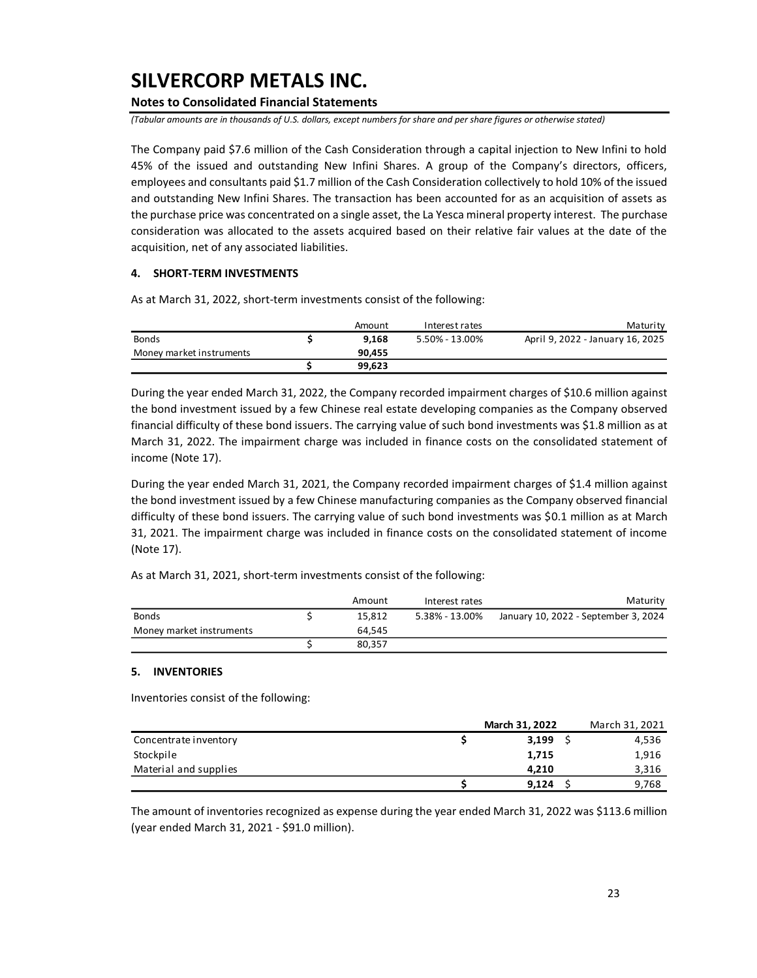### **Notes to Consolidated Financial Statements**

*(Tabular amounts are in thousands of U.S. dollars, except numbers for share and per share figures or otherwise stated)*

The Company paid \$7.6 million of the Cash Consideration through a capital injection to New Infini to hold 45% of the issued and outstanding New Infini Shares. A group of the Company's directors, officers, employees and consultants paid \$1.7 million of the Cash Consideration collectively to hold 10% of the issued and outstanding New Infini Shares. The transaction has been accounted for as an acquisition of assets as the purchase price was concentrated on a single asset, the La Yesca mineral property interest. The purchase consideration was allocated to the assets acquired based on their relative fair values at the date of the acquisition, net of any associated liabilities.

#### **4. SHORT-TERM INVESTMENTS**

As at March 31, 2022, short-term investments consist of the following:

|                          | Amount | Interest rates | Maturity                         |
|--------------------------|--------|----------------|----------------------------------|
| Bonds                    | 9.168  | 5.50% - 13.00% | April 9, 2022 - January 16, 2025 |
| Money market instruments | 90.455 |                |                                  |
|                          | 99.623 |                |                                  |

During the year ended March 31, 2022, the Company recorded impairment charges of \$10.6 million against the bond investment issued by a few Chinese real estate developing companies as the Company observed financial difficulty of these bond issuers. The carrying value of such bond investments was \$1.8 million as at March 31, 2022. The impairment charge was included in finance costs on the consolidated statement of income (Note 17).

During the year ended March 31, 2021, the Company recorded impairment charges of \$1.4 million against the bond investment issued by a few Chinese manufacturing companies as the Company observed financial difficulty of these bond issuers. The carrying value of such bond investments was \$0.1 million as at March 31, 2021. The impairment charge was included in finance costs on the consolidated statement of income (Note 17).

As at March 31, 2021, short-term investments consist of the following:

|                          | Amount | Interest rates | Maturity                             |
|--------------------------|--------|----------------|--------------------------------------|
| <b>Bonds</b>             | 15.812 | 5.38% - 13.00% | January 10, 2022 - September 3, 2024 |
| Money market instruments | 64.545 |                |                                      |
|                          | 80.357 |                |                                      |

#### **5. INVENTORIES**

Inventories consist of the following:

|                       | March 31, 2022 | March 31, 2021 |
|-----------------------|----------------|----------------|
| Concentrate inventory | $3,199$ \$     | 4.536          |
| Stockpile             | 1.715          | 1,916          |
| Material and supplies | 4.210          | 3,316          |
|                       | 9,124          | 9,768          |

The amount of inventories recognized as expense during the year ended March 31, 2022 was \$113.6 million (year ended March 31, 2021 - \$91.0 million).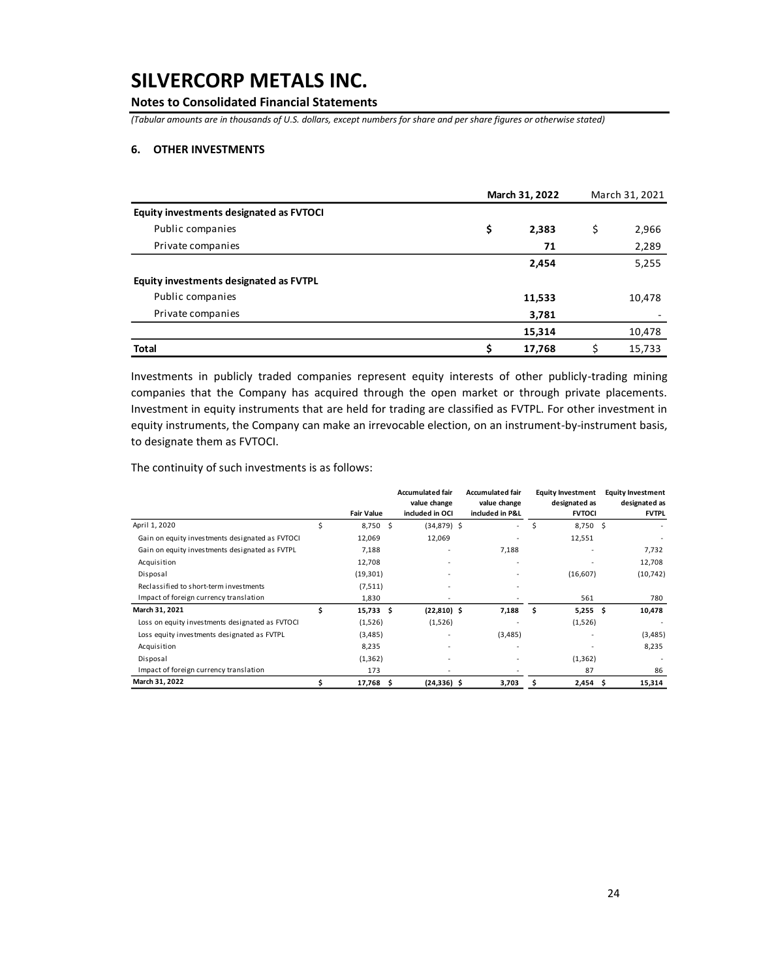### **Notes to Consolidated Financial Statements**

*(Tabular amounts are in thousands of U.S. dollars, except numbers for share and per share figures or otherwise stated)*

#### **6. OTHER INVESTMENTS**

|                                         |    | March 31, 2022 |    | March 31, 2021 |  |  |
|-----------------------------------------|----|----------------|----|----------------|--|--|
| Equity investments designated as FVTOCI |    |                |    |                |  |  |
| Public companies                        | \$ | 2,383          | \$ | 2,966          |  |  |
| Private companies                       |    | 71             |    | 2,289          |  |  |
|                                         |    | 2,454          |    | 5,255          |  |  |
| Equity investments designated as FVTPL  |    |                |    |                |  |  |
| Public companies                        |    | 11,533         |    | 10,478         |  |  |
| Private companies                       |    | 3,781          |    |                |  |  |
|                                         |    | 15,314         |    | 10,478         |  |  |
| <b>Total</b>                            | Ś  | 17.768         |    | 15,733         |  |  |

Investments in publicly traded companies represent equity interests of other publicly-trading mining companies that the Company has acquired through the open market or through private placements. Investment in equity instruments that are held for trading are classified as FVTPL. For other investment in equity instruments, the Company can make an irrevocable election, on an instrument-by-instrument basis, to designate them as FVTOCI.

The continuity of such investments is as follows:

|                                                 | <b>Fair Value</b> | <b>Accumulated fair</b><br>value change<br>included in OCI | <b>Accumulated fair</b><br>value change<br>included in P&L |    | <b>Equity Investment</b><br>designated as<br><b>FVTOCI</b> | <b>Equity Investment</b><br>designated as<br><b>FVTPL</b> |
|-------------------------------------------------|-------------------|------------------------------------------------------------|------------------------------------------------------------|----|------------------------------------------------------------|-----------------------------------------------------------|
| April 1, 2020                                   | \$<br>8,750 \$    | $(34,879)$ \$                                              | $\sim$                                                     | \$ | $8,750$ \$                                                 |                                                           |
| Gain on equity investments designated as FVTOCI | 12,069            | 12,069                                                     |                                                            |    | 12,551                                                     |                                                           |
| Gain on equity investments designated as FVTPL  | 7,188             |                                                            | 7,188                                                      |    |                                                            | 7,732                                                     |
| Acquisition                                     | 12,708            |                                                            |                                                            |    |                                                            | 12,708                                                    |
| Disposal                                        | (19, 301)         | $\overline{\phantom{a}}$                                   |                                                            |    | (16,607)                                                   | (10, 742)                                                 |
| Reclassified to short-term investments          | (7, 511)          |                                                            |                                                            |    |                                                            |                                                           |
| Impact of foreign currency translation          | 1,830             |                                                            |                                                            |    | 561                                                        | 780                                                       |
| March 31, 2021                                  | \$<br>$15,733$ \$ | $(22,810)$ \$                                              | 7,188                                                      | Ŝ  | $5,255$ \$                                                 | 10,478                                                    |
| Loss on equity investments designated as FVTOCI | (1,526)           | (1,526)                                                    |                                                            |    | (1,526)                                                    |                                                           |
| Loss equity investments designated as FVTPL     | (3, 485)          |                                                            | (3,485)                                                    |    |                                                            | (3,485)                                                   |
| Acquisition                                     | 8,235             |                                                            |                                                            |    |                                                            | 8,235                                                     |
| Disposal                                        | (1, 362)          | ٠                                                          |                                                            |    | (1, 362)                                                   |                                                           |
| Impact of foreign currency translation          | 173               |                                                            |                                                            |    | 87                                                         | 86                                                        |
| March 31, 2022                                  | \$<br>17,768 \$   | $(24, 336)$ \$                                             | 3,703                                                      | Ś  | $2,454$ \$                                                 | 15,314                                                    |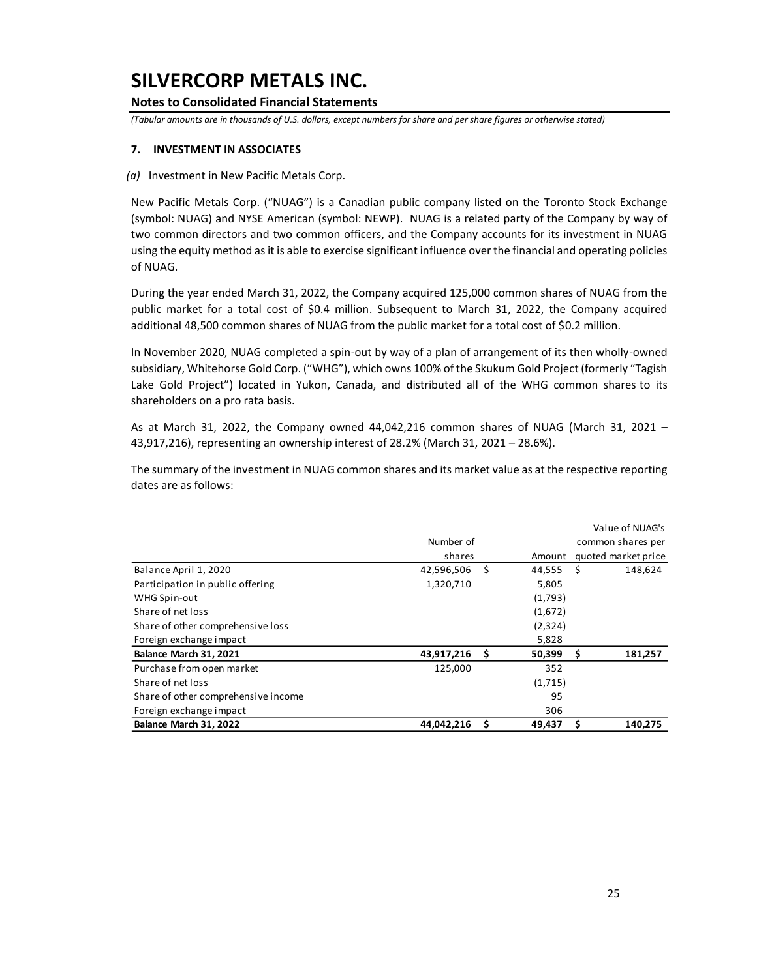### **Notes to Consolidated Financial Statements**

*(Tabular amounts are in thousands of U.S. dollars, except numbers for share and per share figures or otherwise stated)*

#### **7. INVESTMENT IN ASSOCIATES**

*(a)* Investment in New Pacific Metals Corp.

New Pacific Metals Corp. ("NUAG") is a Canadian public company listed on the Toronto Stock Exchange (symbol: NUAG) and NYSE American (symbol: NEWP). NUAG is a related party of the Company by way of two common directors and two common officers, and the Company accounts for its investment in NUAG using the equity method as it is able to exercise significant influence over the financial and operating policies of NUAG.

During the year ended March 31, 2022, the Company acquired 125,000 common shares of NUAG from the public market for a total cost of \$0.4 million. Subsequent to March 31, 2022, the Company acquired additional 48,500 common shares of NUAG from the public market for a total cost of \$0.2 million.

In November 2020, NUAG completed a spin-out by way of a plan of arrangement of its then wholly-owned subsidiary, Whitehorse Gold Corp. ("WHG"), which owns 100% of the Skukum Gold Project (formerly "Tagish Lake Gold Project") located in Yukon, Canada, and distributed all of the WHG common shares to its shareholders on a pro rata basis.

As at March 31, 2022, the Company owned 44,042,216 common shares of NUAG (March 31, 2021 – 43,917,216), representing an ownership interest of 28.2% (March 31, 2021 – 28.6%).

The summary of the investment in NUAG common shares and its market value as at the respective reporting dates are as follows:

|                                     |            |    |         |    | Value of NUAG's     |
|-------------------------------------|------------|----|---------|----|---------------------|
|                                     | Number of  |    |         |    | common shares per   |
|                                     | shares     |    | Amount  |    | quoted market price |
| Balance April 1, 2020               | 42,596,506 | \$ | 44,555  | Ŝ. | 148,624             |
| Participation in public offering    | 1,320,710  |    | 5,805   |    |                     |
| WHG Spin-out                        |            |    | (1,793) |    |                     |
| Share of net loss                   |            |    | (1,672) |    |                     |
| Share of other comprehensive loss   |            |    | (2,324) |    |                     |
| Foreign exchange impact             |            |    | 5,828   |    |                     |
| Balance March 31, 2021              | 43,917,216 | S  | 50,399  | \$ | 181,257             |
| Purchase from open market           | 125,000    |    | 352     |    |                     |
| Share of net loss                   |            |    | (1,715) |    |                     |
| Share of other comprehensive income |            |    | 95      |    |                     |
| Foreign exchange impact             |            |    | 306     |    |                     |
| Balance March 31, 2022              | 44.042.216 | Ś  | 49,437  | Ś  | 140,275             |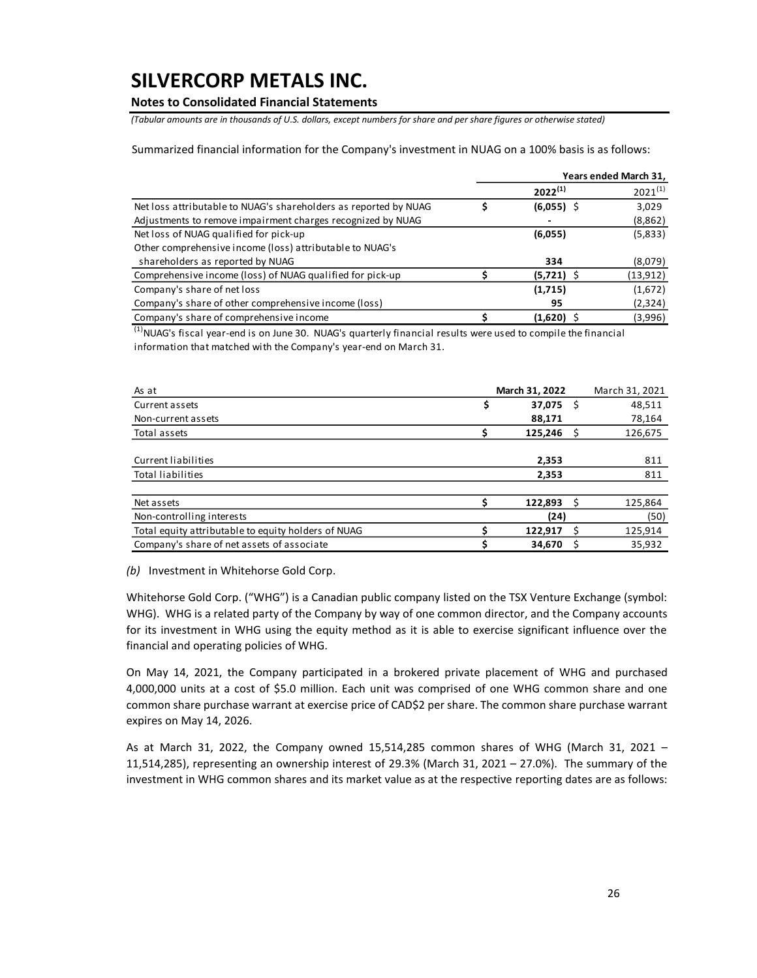### **Notes to Consolidated Financial Statements**

*(Tabular amounts are in thousands of U.S. dollars, except numbers for share and per share figures or otherwise stated)*

Summarized financial information for the Company's investment in NUAG on a 100% basis is as follows:

|                                                                  |              | Years ended March 31, |
|------------------------------------------------------------------|--------------|-----------------------|
|                                                                  | $2022^{(1)}$ | $2021^{(1)}$          |
| Net loss attributable to NUAG's shareholders as reported by NUAG | $(6,055)$ \$ | 3,029                 |
| Adjustments to remove impairment charges recognized by NUAG      |              | (8,862)               |
| Net loss of NUAG qualified for pick-up                           | (6,055)      | (5,833)               |
| Other comprehensive income (loss) attributable to NUAG's         |              |                       |
| shareholders as reported by NUAG                                 | 334          | (8,079)               |
| Comprehensive income (loss) of NUAG qualified for pick-up        | $(5,721)$ \$ | (13, 912)             |
| Company's share of net loss                                      | (1,715)      | (1,672)               |
| Company's share of other comprehensive income (loss)             | 95           | (2,324)               |
| Company's share of comprehensive income                          | $(1,620)$ \$ | (3,996)               |

 $\frac{(1)}{(1)}$ NUAG's fiscal year-end is on June 30. NUAG's quarterly financial results were used to compile the financial information that matched with the Company's year-end on March 31.

| As at                                               | March 31, 2022 |      | March 31, 2021 |
|-----------------------------------------------------|----------------|------|----------------|
| Current assets                                      | \$<br>37,075   | - \$ | 48.511         |
| Non-current assets                                  | 88,171         |      | 78,164         |
| Total assets                                        | 125,246        |      | 126,675        |
|                                                     |                |      |                |
| Current liabilities                                 | 2,353          |      | 811            |
| Total liabilities                                   | 2,353          |      | 811            |
|                                                     |                |      |                |
| Net assets                                          | 122,893        |      | 125,864        |
| Non-controlling interests                           | (24)           |      | (50)           |
| Total equity attributable to equity holders of NUAG | 122,917        |      | 125,914        |
| Company's share of net assets of associate          | 34,670         |      | 35,932         |

*(b)* Investment in Whitehorse Gold Corp.

Whitehorse Gold Corp. ("WHG") is a Canadian public company listed on the TSX Venture Exchange (symbol: WHG). WHG is a related party of the Company by way of one common director, and the Company accounts for its investment in WHG using the equity method as it is able to exercise significant influence over the financial and operating policies of WHG.

On May 14, 2021, the Company participated in a brokered private placement of WHG and purchased 4,000,000 units at a cost of \$5.0 million. Each unit was comprised of one WHG common share and one common share purchase warrant at exercise price of CAD\$2 per share. The common share purchase warrant expires on May 14, 2026.

As at March 31, 2022, the Company owned 15,514,285 common shares of WHG (March 31, 2021 – 11,514,285), representing an ownership interest of 29.3% (March 31, 2021 – 27.0%). The summary of the investment in WHG common shares and its market value as at the respective reporting dates are as follows: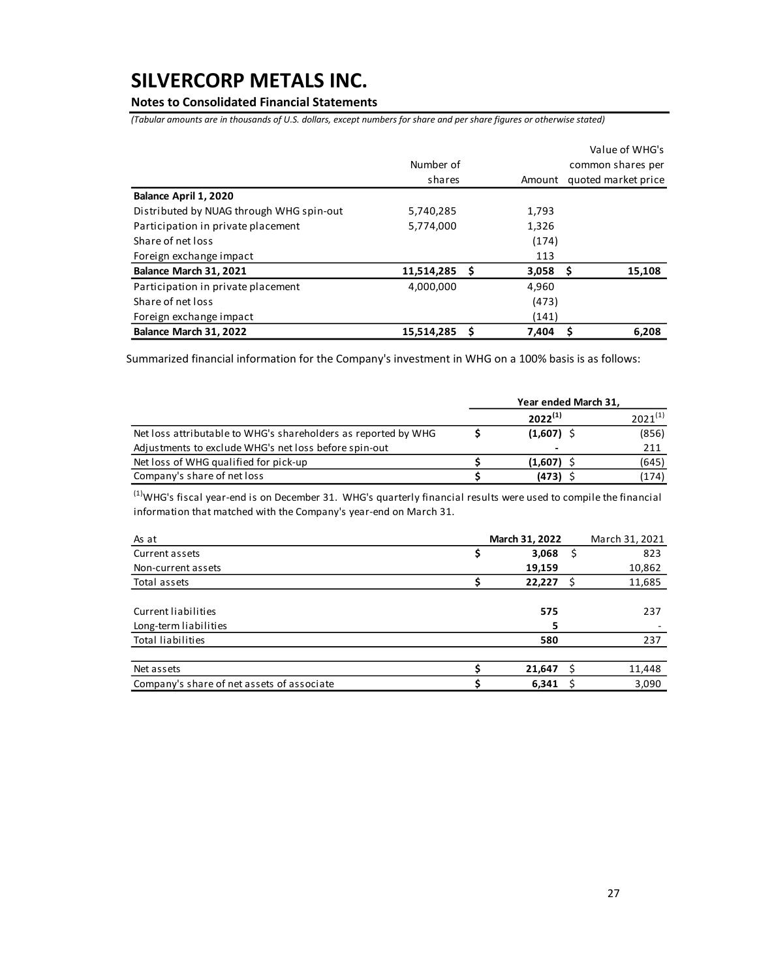### **Notes to Consolidated Financial Statements**

*(Tabular amounts are in thousands of U.S. dollars, except numbers for share and per share figures or otherwise stated)*

|                                          |            |   |                   |  | Value of WHG's      |  |
|------------------------------------------|------------|---|-------------------|--|---------------------|--|
|                                          | Number of  |   | common shares per |  |                     |  |
|                                          | shares     |   | Amount            |  | quoted market price |  |
| Balance April 1, 2020                    |            |   |                   |  |                     |  |
| Distributed by NUAG through WHG spin-out | 5,740,285  |   | 1,793             |  |                     |  |
| Participation in private placement       | 5,774,000  |   | 1,326             |  |                     |  |
| Share of net loss                        |            |   | (174)             |  |                     |  |
| Foreign exchange impact                  |            |   | 113               |  |                     |  |
| Balance March 31, 2021                   | 11,514,285 | S | $3,058$ \$        |  | 15,108              |  |
| Participation in private placement       | 4,000,000  |   | 4,960             |  |                     |  |
| Share of net loss                        |            |   | (473)             |  |                     |  |
| Foreign exchange impact                  |            |   | (141)             |  |                     |  |
| Balance March 31, 2022                   | 15,514,285 | S | 7.404             |  | 6.208               |  |

Summarized financial information for the Company's investment in WHG on a 100% basis is as follows:

|                                                                | Year ended March 31, |              |
|----------------------------------------------------------------|----------------------|--------------|
|                                                                | $2022^{(1)}$         | $2021^{(1)}$ |
| Net loss attributable to WHG's shareholders as reported by WHG | $(1,607)$ \$         | (856)        |
| Adjustments to exclude WHG's net loss before spin-out          | -                    | 211          |
| Net loss of WHG qualified for pick-up                          | (1,607)              | (645)        |
| Company's share of net loss                                    | (473)                | (174)        |

 $<sup>(1)</sup>$ WHG's fiscal year-end is on December 31. WHG's quarterly financial results were used to compile the financial</sup> information that matched with the Company's year-end on March 31.

| As at                                      | March 31, 2022 |   | March 31, 2021 |
|--------------------------------------------|----------------|---|----------------|
| Current assets                             | 3,068          | S | 823            |
| Non-current assets                         | 19,159         |   | 10,862         |
| Total assets                               | 22,227         | S | 11,685         |
|                                            |                |   |                |
| Current liabilities                        | 575            |   | 237            |
| Long-term liabilities                      |                |   |                |
| Total liabilities                          | 580            |   | 237            |
|                                            |                |   |                |
| Net assets                                 | 21,647         |   | 11,448         |
| Company's share of net assets of associate | 6,341          |   | 3,090          |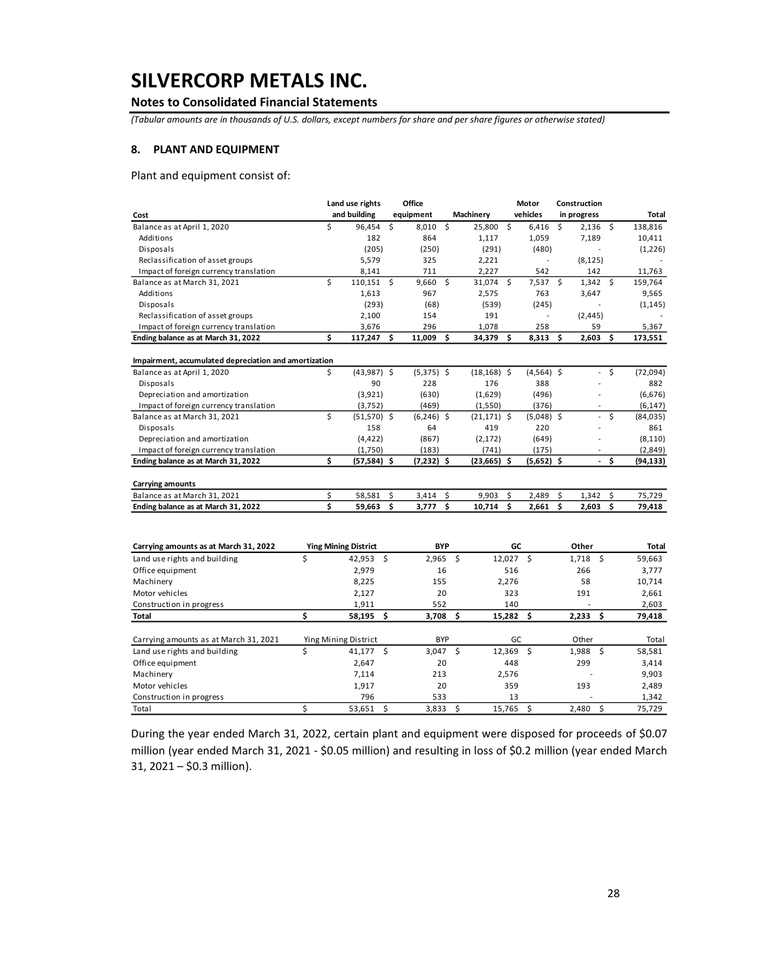### **Notes to Consolidated Financial Statements**

*(Tabular amounts are in thousands of U.S. dollars, except numbers for share and per share figures or otherwise stated)*

#### **8. PLANT AND EQUIPMENT**

Plant and equipment consist of:

|                                                       |    | Land use rights             | Office       |    |                |        | Motor        |    | Construction     |                 |
|-------------------------------------------------------|----|-----------------------------|--------------|----|----------------|--------|--------------|----|------------------|-----------------|
| Cost                                                  |    | and building                | equipment    |    | Machinery      |        | vehicles     |    | in progress      | <b>Total</b>    |
| Balance as at April 1, 2020                           | Ś  | 96,454                      | \$<br>8,010  | Ś. | 25,800         | \$     | 6,416        | Ŝ. | $2,136$ \$       | 138,816         |
| Additions                                             |    | 182                         | 864          |    | 1,117          |        | 1,059        |    | 7,189            | 10,411          |
| Disposals                                             |    | (205)                       | (250)        |    | (291)          |        | (480)        |    |                  | (1,226)         |
| Reclassification of asset groups                      |    | 5,579                       | 325          |    | 2,221          |        |              |    | (8, 125)         |                 |
| Impact of foreign currency translation                |    | 8,141                       | 711          |    | 2,227          |        | 542          |    | 142              | 11,763          |
| Balance as at March 31, 2021                          | \$ | 110,151                     | \$<br>9,660  | \$ | 31,074 \$      |        | 7,537 \$     |    | $1,342 \quad$ \$ | 159,764         |
| Additions                                             |    | 1,613                       | 967          |    | 2,575          |        | 763          |    | 3,647            | 9,565           |
| Disposals                                             |    | (293)                       | (68)         |    | (539)          |        | (245)        |    |                  | (1, 145)        |
| Reclassification of asset groups                      |    | 2,100                       | 154          |    | 191            |        |              |    | (2, 445)         |                 |
| Impact of foreign currency translation                |    | 3,676                       | 296          |    | 1,078          |        | 258          |    | 59               | 5,367           |
| Ending balance as at March 31, 2022                   | \$ | 117,247                     | \$<br>11,009 | \$ | 34,379         | Ś      | 8,313        | \$ | 2,603            | \$<br>173,551   |
| Impairment, accumulated depreciation and amortization |    |                             |              |    |                |        |              |    |                  |                 |
| Balance as at April 1, 2020                           | \$ | $(43,987)$ \$               | $(5,375)$ \$ |    | $(18, 168)$ \$ |        | $(4,564)$ \$ |    | $\sim$           | \$<br>(72,094)  |
| Disposals                                             |    | 90                          | 228          |    | 176            |        | 388          |    |                  | 882             |
| Depreciation and amortization                         |    | (3,921)                     | (630)        |    | (1,629)        |        | (496)        |    |                  | (6,676)         |
| Impact of foreign currency translation                |    | (3, 752)                    | (469)        |    | (1,550)        |        | (376)        |    |                  | (6, 147)        |
| Balance as at March 31, 2021                          | Ś  | $(51,570)$ \$               | $(6,246)$ \$ |    | $(21, 171)$ \$ |        | $(5,048)$ \$ |    | ÷,               | \$<br>(84, 035) |
| Disposals                                             |    | 158                         | 64           |    | 419            |        | 220          |    |                  | 861             |
| Depreciation and amortization                         |    | (4, 422)                    | (867)        |    | (2, 172)       |        | (649)        |    |                  | (8, 110)        |
| Impact of foreign currency translation                |    | (1,750)                     | (183)        |    | (741)          |        | (175)        |    |                  | (2,849)         |
| Ending balance as at March 31, 2022                   | \$ | $(57,584)$ \$               | (7,232) \$   |    | (23,665) \$    |        | $(5,652)$ \$ |    | $\blacksquare$   | \$<br>(94, 133) |
| <b>Carrying amounts</b>                               |    |                             |              |    |                |        |              |    |                  |                 |
| Balance as at March 31, 2021                          | \$ | 58,581                      | \$<br>3,414  | \$ | 9,903          | \$     | 2,489        | \$ | 1,342            | \$<br>75,729    |
| Ending balance as at March 31, 2022                   | Ś  | 59,663                      | \$<br>3,777  | \$ | 10,714         | Ś      | 2,661        | Ś  | 2,603            | \$<br>79,418    |
|                                                       |    |                             |              |    |                |        |              |    |                  |                 |
| Carrying amounts as at March 31, 2022                 |    | <b>Ying Mining District</b> | <b>BYP</b>   |    |                | GC     |              |    | Other            | Total           |
| Land use rights and building                          | \$ | 42,953                      | \$<br>2,965  |    | \$             | 12,027 | \$           |    | 1,718<br>Ŝ.      | 59,663          |
| Office equipment                                      |    | 2,979                       | 16           |    |                | 516    |              |    | 266              | 3,777           |
| Machinery                                             |    | 8,225                       | 155          |    |                | 2,276  |              |    | 58               | 10,714          |
| Motor vehicles                                        |    | 2,127                       | 20           |    |                | 323    |              |    | 191              | 2,661           |
| Construction in progress                              |    | 1,911                       | 552          |    |                | 140    |              |    |                  | 2,603           |
| <b>Total</b>                                          | Ś  | 58,195                      | \$<br>3,708  |    | \$             | 15,282 | \$           |    | 2,233<br>\$      | 79,418          |
|                                                       |    |                             |              |    |                |        |              |    |                  |                 |
| Carrying amounts as at March 31, 2021                 |    | Ying Mining District        | <b>BYP</b>   |    |                | GC     |              |    | Other            | Total           |
| Land use rights and building                          | \$ | 41,177                      | \$<br>3,047  |    | \$             | 12,369 | \$           |    | 1,988<br>\$      | 58,581          |
| Office equipment                                      |    | 2,647                       | 20           |    |                | 448    |              |    | 299              | 3,414           |
| Machinery                                             |    | 7,114                       | 213          |    |                | 2,576  |              |    |                  | 9,903           |
| Motor vehicles                                        |    | 1,917                       | 20           |    |                | 359    |              |    | 193              | 2,489           |
| Construction in progress                              |    | 796                         | 533          |    |                | 13     |              |    |                  | 1,342           |
| Total                                                 | \$ | 53,651                      | \$<br>3,833  |    | \$             | 15,765 | \$           |    | 2,480<br>\$      | 75,729          |

During the year ended March 31, 2022, certain plant and equipment were disposed for proceeds of \$0.07 million (year ended March 31, 2021 - \$0.05 million) and resulting in loss of \$0.2 million (year ended March 31, 2021 – \$0.3 million).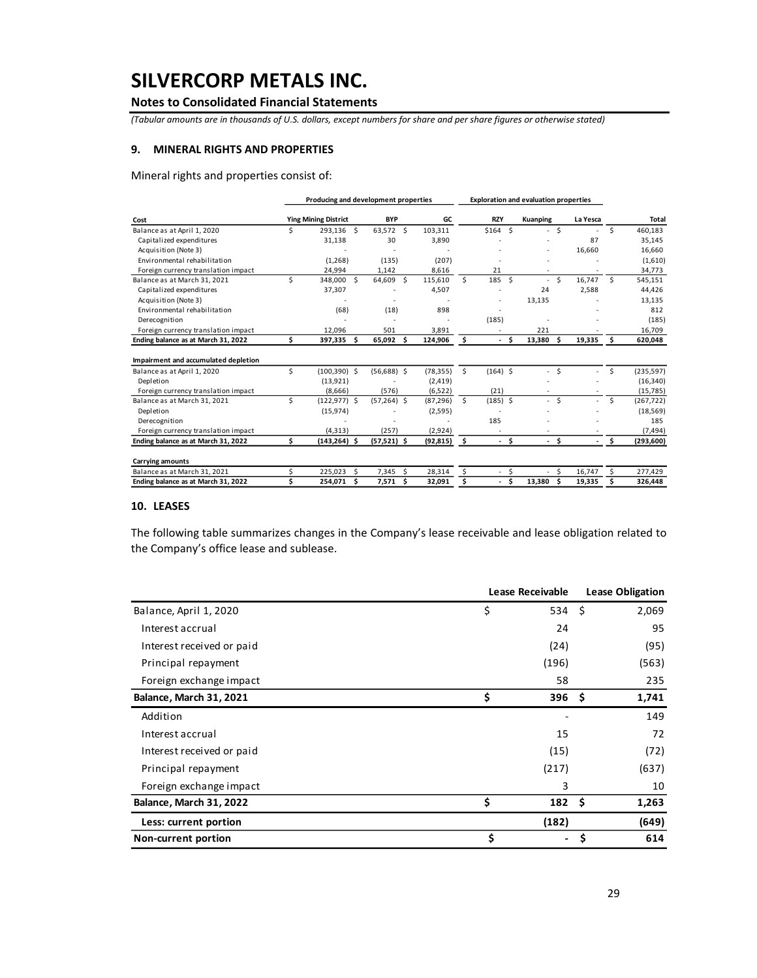### **Notes to Consolidated Financial Statements**

*(Tabular amounts are in thousands of U.S. dollars, except numbers for share and per share figures or otherwise stated)*

#### **9. MINERAL RIGHTS AND PROPERTIES**

Mineral rights and properties consist of:

|                                      |     | Producing and development properties |     |                          |    |           |     |                          |    | <b>Exploration and evaluation properties</b> |      |          |     |            |
|--------------------------------------|-----|--------------------------------------|-----|--------------------------|----|-----------|-----|--------------------------|----|----------------------------------------------|------|----------|-----|------------|
| Cost                                 |     | <b>Ying Mining District</b>          |     | <b>BYP</b>               |    | GC        |     | <b>RZY</b>               |    | Kuanping                                     |      | La Yesca |     | Total      |
| Balance as at April 1, 2020          | Ś   | 293,136                              | Ŝ.  | 63,572 \$                |    | 103,311   |     | $$164$ \$                |    | $\overline{\phantom{a}}$                     | Ŝ.   |          | Ś   | 460,183    |
| Capitalized expenditures             |     | 31,138                               |     | 30                       |    | 3,890     |     |                          |    |                                              |      | 87       |     | 35,145     |
| Acquisition (Note 3)                 |     |                                      |     |                          |    |           |     |                          |    |                                              |      | 16,660   |     | 16,660     |
| Environmental rehabilitation         |     | (1, 268)                             |     | (135)                    |    | (207)     |     |                          |    |                                              |      |          |     | (1,610)    |
| Foreign currency translation impact  |     | 24,994                               |     | 1,142                    |    | 8,616     |     | 21                       |    |                                              |      |          |     | 34,773     |
| Balance as at March 31, 2021         | Ś.  | 348,000                              | Ŝ.  | 64,609 \$                |    | 115,610   | Ś.  | 185 \$                   |    |                                              | $-5$ | 16.747   | Ŝ.  | 545,151    |
| Capitalized expenditures             |     | 37,307                               |     |                          |    | 4,507     |     |                          |    | 24                                           |      | 2,588    |     | 44,426     |
| Acquisition (Note 3)                 |     |                                      |     | $\overline{\phantom{a}}$ |    |           |     |                          |    | 13,135                                       |      |          |     | 13,135     |
| Environmental rehabilitation         |     | (68)                                 |     | (18)                     |    | 898       |     |                          |    |                                              |      |          |     | 812        |
| Derecognition                        |     |                                      |     |                          |    |           |     | (185)                    |    |                                              |      |          |     | (185)      |
| Foreign currency translation impact  |     | 12,096                               |     | 501                      |    | 3,891     |     |                          |    | 221                                          |      |          |     | 16,709     |
| Ending balance as at March 31, 2022  | Ś.  | 397,335                              | Ś.  | 65,092                   | Ŝ. | 124,906   | \$. | $\sim$                   | Ŝ. | 13,380                                       | \$.  | 19,335   | s.  | 620,048    |
| Impairment and accumulated depletion |     |                                      |     |                          |    |           |     |                          |    |                                              |      |          |     |            |
| Balance as at April 1, 2020          | Ś   | $(100.390)$ \$                       |     | $(56,688)$ \$            |    | (78, 355) | Ŝ.  | $(164)$ \$               |    |                                              | - \$ |          | Ś   | (235, 597) |
| Depletion                            |     | (13, 921)                            |     |                          |    | (2, 419)  |     |                          |    |                                              |      |          |     | (16, 340)  |
| Foreign currency translation impact  |     | (8,666)                              |     | (576)                    |    | (6, 522)  |     | (21)                     |    |                                              |      |          |     | (15, 785)  |
| Balance as at March 31, 2021         | Ś.  | $(122, 977)$ \$                      |     | $(57, 264)$ \$           |    | (87, 296) | \$  | $(185)$ \$               |    | ÷.                                           | S.   |          | Ś.  | (267, 722) |
| Depletion                            |     | (15, 974)                            |     |                          |    | (2,595)   |     |                          |    |                                              |      |          |     | (18, 569)  |
| Derecognition                        |     |                                      |     |                          |    |           |     | 185                      |    |                                              |      |          |     | 185        |
| Foreign currency translation impact  |     | (4, 313)                             |     | (257)                    |    | (2,924)   |     |                          |    |                                              |      |          |     | (7, 494)   |
| Ending balance as at March 31, 2022  | \$. | $(143, 264)$ \$                      |     | $(57,521)$ \$            |    | (92, 815) | \$  | - \$                     |    |                                              | - \$ | $\sim$   | \$  | (293, 600) |
| <b>Carrying amounts</b>              |     |                                      |     |                          |    |           |     |                          |    |                                              |      |          |     |            |
| Balance as at March 31, 2021         | Ś   | 225,023                              | \$  | 7,345                    | Ś  | 28,314    | \$  | $\overline{\phantom{a}}$ | \$ |                                              | \$   | 16,747   | Ŝ.  | 277,429    |
| Ending balance as at March 31, 2022  | \$  | 254,071                              | \$. | 7,571                    | Ŝ. | 32,091    | \$  | ٠                        | Ś  | 13,380                                       | Ś    | 19,335   | \$. | 326,448    |

#### **10. LEASES**

The following table summarizes changes in the Company's lease receivable and lease obligation related to the Company's office lease and sublease.

|                                | Lease Receivable               |    |       |  |  |
|--------------------------------|--------------------------------|----|-------|--|--|
| Balance, April 1, 2020         | \$<br>534 \$                   |    | 2,069 |  |  |
| Interest accrual               | 24                             |    | 95    |  |  |
| Interest received or paid      | (24)                           |    | (95)  |  |  |
| Principal repayment            | (196)                          |    | (563) |  |  |
| Foreign exchange impact        | 58                             |    | 235   |  |  |
| <b>Balance, March 31, 2021</b> | \$<br>396 <sup>5</sup>         |    | 1,741 |  |  |
| Addition                       |                                |    | 149   |  |  |
| Interest accrual               | 15                             |    | 72    |  |  |
| Interest received or paid      | (15)                           |    | (72)  |  |  |
| Principal repayment            | (217)                          |    | (637) |  |  |
| Foreign exchange impact        | 3                              |    | 10    |  |  |
| <b>Balance, March 31, 2022</b> | \$<br>182 \$                   |    | 1,263 |  |  |
| Less: current portion          | (182)                          |    | (649) |  |  |
| Non-current portion            | \$<br>$\overline{\phantom{0}}$ | \$ | 614   |  |  |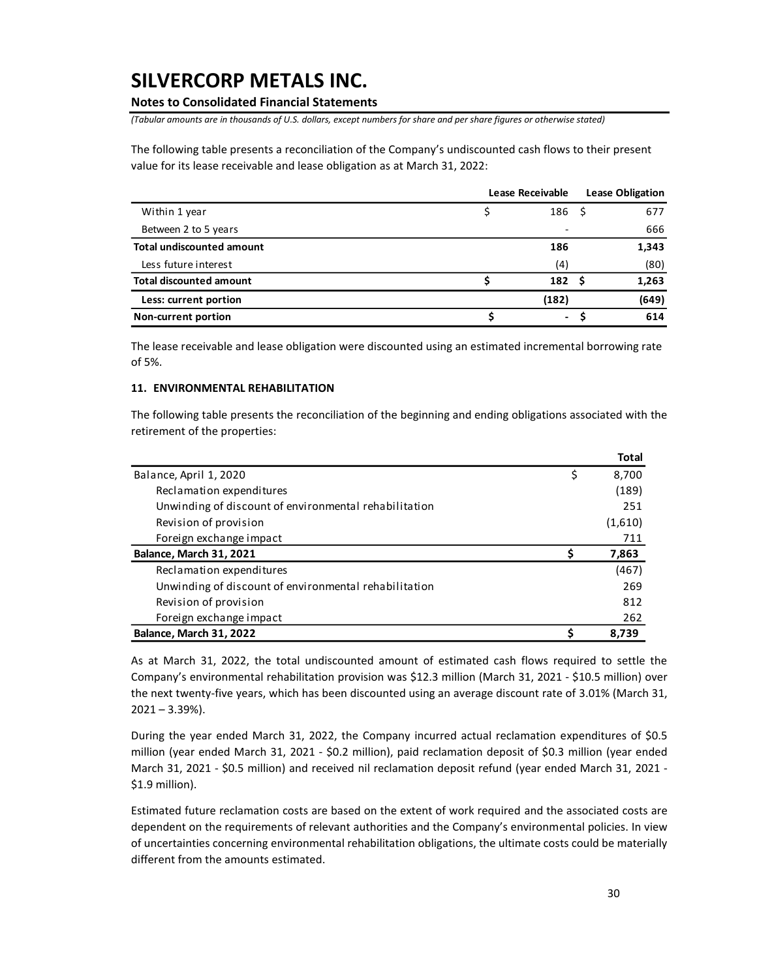### **Notes to Consolidated Financial Statements**

*(Tabular amounts are in thousands of U.S. dollars, except numbers for share and per share figures or otherwise stated)*

The following table presents a reconciliation of the Company's undiscounted cash flows to their present value for its lease receivable and lease obligation as at March 31, 2022:

|                                  | Lease Receivable | <b>Lease Obligation</b> |       |  |
|----------------------------------|------------------|-------------------------|-------|--|
| Within 1 year                    | 186 <sup>5</sup> |                         | 677   |  |
| Between 2 to 5 years             |                  |                         | 666   |  |
| <b>Total undiscounted amount</b> | 186              |                         | 1,343 |  |
| Less future interest             | (4)              |                         | (80)  |  |
| <b>Total discounted amount</b>   | $182 \quad$ \$   |                         | 1,263 |  |
| Less: current portion            | (182)            |                         | (649) |  |
| Non-current portion              | $\sim$           |                         | 614   |  |

The lease receivable and lease obligation were discounted using an estimated incremental borrowing rate of 5%.

#### **11. ENVIRONMENTAL REHABILITATION**

The following table presents the reconciliation of the beginning and ending obligations associated with the retirement of the properties:

|                                                       |    | <b>Total</b> |
|-------------------------------------------------------|----|--------------|
| Balance, April 1, 2020                                | \$ | 8,700        |
| Reclamation expenditures                              |    | (189)        |
| Unwinding of discount of environmental rehabilitation |    | 251          |
| Revision of provision                                 |    | (1,610)      |
| Foreign exchange impact                               |    | 711          |
| <b>Balance, March 31, 2021</b>                        | Ś  | 7,863        |
| Reclamation expenditures                              |    | (467)        |
| Unwinding of discount of environmental rehabilitation |    | 269          |
| Revision of provision                                 |    | 812          |
| Foreign exchange impact                               |    | 262          |
| <b>Balance, March 31, 2022</b>                        | Ś  | 8.739        |

As at March 31, 2022, the total undiscounted amount of estimated cash flows required to settle the Company's environmental rehabilitation provision was \$12.3 million (March 31, 2021 - \$10.5 million) over the next twenty-five years, which has been discounted using an average discount rate of 3.01% (March 31,  $2021 - 3.39%$ ).

During the year ended March 31, 2022, the Company incurred actual reclamation expenditures of \$0.5 million (year ended March 31, 2021 - \$0.2 million), paid reclamation deposit of \$0.3 million (year ended March 31, 2021 - \$0.5 million) and received nil reclamation deposit refund (year ended March 31, 2021 - \$1.9 million).

Estimated future reclamation costs are based on the extent of work required and the associated costs are dependent on the requirements of relevant authorities and the Company's environmental policies. In view of uncertainties concerning environmental rehabilitation obligations, the ultimate costs could be materially different from the amounts estimated.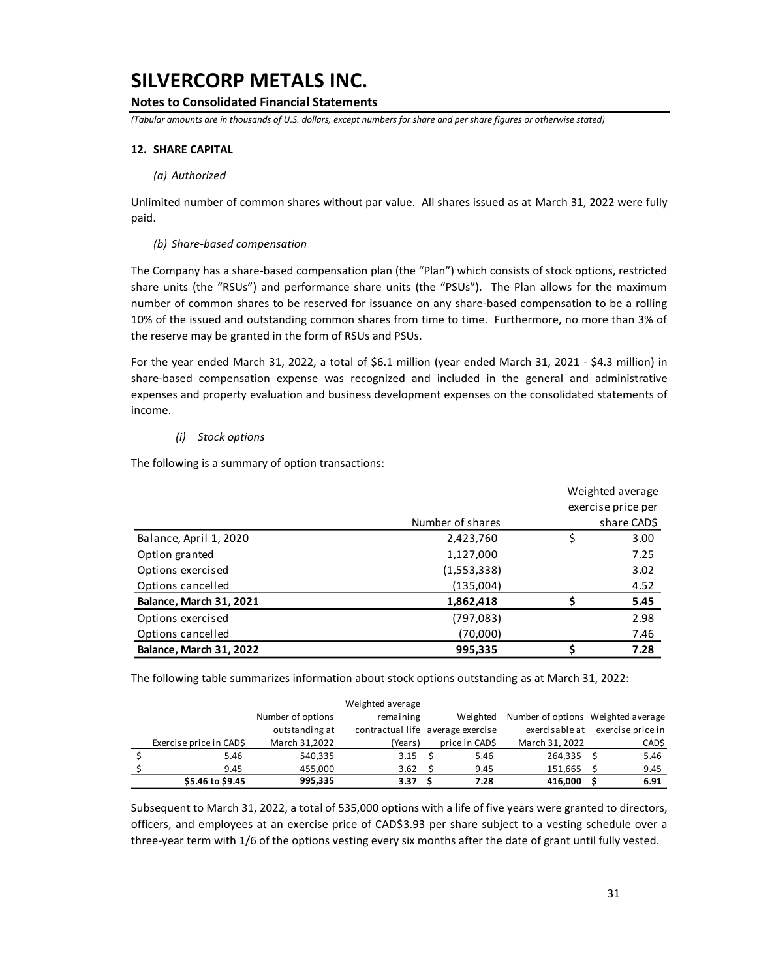### **Notes to Consolidated Financial Statements**

*(Tabular amounts are in thousands of U.S. dollars, except numbers for share and per share figures or otherwise stated)*

#### **12. SHARE CAPITAL**

#### *(a) Authorized*

Unlimited number of common shares without par value. All shares issued as at March 31, 2022 were fully paid.

#### *(b) Share-based compensation*

The Company has a share-based compensation plan (the "Plan") which consists of stock options, restricted share units (the "RSUs") and performance share units (the "PSUs"). The Plan allows for the maximum number of common shares to be reserved for issuance on any share-based compensation to be a rolling 10% of the issued and outstanding common shares from time to time. Furthermore, no more than 3% of the reserve may be granted in the form of RSUs and PSUs.

For the year ended March 31, 2022, a total of \$6.1 million (year ended March 31, 2021 - \$4.3 million) in share-based compensation expense was recognized and included in the general and administrative expenses and property evaluation and business development expenses on the consolidated statements of income.

#### *(i) Stock options*

The following is a summary of option transactions:

|                                |                  | Weighted average   |
|--------------------------------|------------------|--------------------|
|                                |                  | exercise price per |
|                                | Number of shares | share CAD\$        |
| Balance, April 1, 2020         | 2,423,760        | 3.00               |
| Option granted                 | 1,127,000        | 7.25               |
| Options exercised              | (1,553,338)      | 3.02               |
| Options cancelled              | (135,004)        | 4.52               |
| Balance, March 31, 2021        | 1,862,418        | 5.45               |
| Options exercised              | (797,083)        | 2.98               |
| Options cancelled              | (70,000)         | 7.46               |
| <b>Balance, March 31, 2022</b> | 995,335          | 7.28               |

The following table summarizes information about stock options outstanding as at March 31, 2022:

|                         |                   | Weighted average |                                   |                                    |                   |
|-------------------------|-------------------|------------------|-----------------------------------|------------------------------------|-------------------|
|                         | Number of options | remaining        | Weighted                          | Number of options Weighted average |                   |
|                         | outstanding at    |                  | contractual life average exercise | exercisable at                     | exercise price in |
| Exercise price in CAD\$ | March 31,2022     | (Years)          | price in CAD\$                    | March 31, 2022                     | CAD\$             |
| 5.46                    | 540,335           | 3.15             | 5.46                              | 264.335                            | 5.46              |
| 9.45                    | 455.000           | 3.62             | 9.45                              | 151,665                            | 9.45              |
| \$5.46 to \$9.45        | 995,335           | 3.37             | 7.28                              | 416,000                            | 6.91              |

Subsequent to March 31, 2022, a total of 535,000 options with a life of five years were granted to directors, officers, and employees at an exercise price of CAD\$3.93 per share subject to a vesting schedule over a three-year term with 1/6 of the options vesting every six months after the date of grant until fully vested.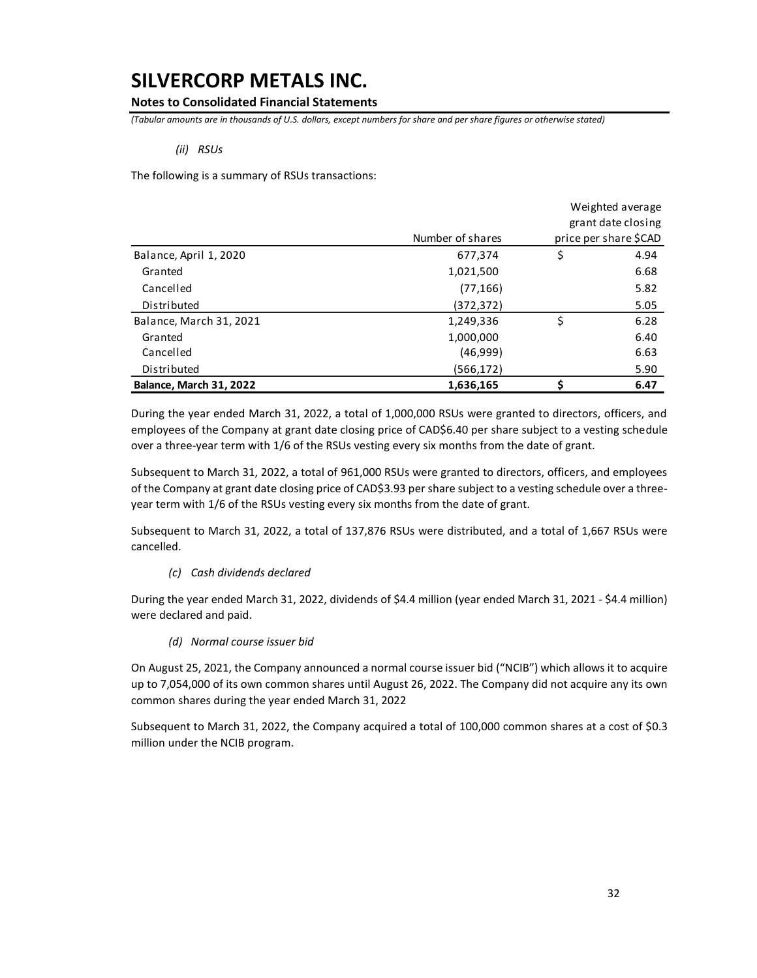### **Notes to Consolidated Financial Statements**

*(Tabular amounts are in thousands of U.S. dollars, except numbers for share and per share figures or otherwise stated)*

#### *(ii) RSUs*

The following is a summary of RSUs transactions:

|                                |                  | Weighted average      |
|--------------------------------|------------------|-----------------------|
|                                |                  | grant date closing    |
|                                | Number of shares | price per share \$CAD |
| Balance, April 1, 2020         | 677,374          | \$<br>4.94            |
| Granted                        | 1,021,500        | 6.68                  |
| Cancelled                      | (77, 166)        | 5.82                  |
| Distributed                    | (372, 372)       | 5.05                  |
| Balance, March 31, 2021        | 1,249,336        | \$<br>6.28            |
| Granted                        | 1,000,000        | 6.40                  |
| Cancelled                      | (46,999)         | 6.63                  |
| Distributed                    | (566, 172)       | 5.90                  |
| <b>Balance, March 31, 2022</b> | 1,636,165        | \$<br>6.47            |

During the year ended March 31, 2022, a total of 1,000,000 RSUs were granted to directors, officers, and employees of the Company at grant date closing price of CAD\$6.40 per share subject to a vesting schedule over a three-year term with 1/6 of the RSUs vesting every six months from the date of grant.

Subsequent to March 31, 2022, a total of 961,000 RSUs were granted to directors, officers, and employees of the Company at grant date closing price of CAD\$3.93 per share subject to a vesting schedule over a threeyear term with 1/6 of the RSUs vesting every six months from the date of grant.

Subsequent to March 31, 2022, a total of 137,876 RSUs were distributed, and a total of 1,667 RSUs were cancelled.

#### *(c) Cash dividends declared*

During the year ended March 31, 2022, dividends of \$4.4 million (year ended March 31, 2021 - \$4.4 million) were declared and paid.

#### *(d) Normal course issuer bid*

On August 25, 2021, the Company announced a normal course issuer bid ("NCIB") which allows it to acquire up to 7,054,000 of its own common shares until August 26, 2022. The Company did not acquire any its own common shares during the year ended March 31, 2022

Subsequent to March 31, 2022, the Company acquired a total of 100,000 common shares at a cost of \$0.3 million under the NCIB program.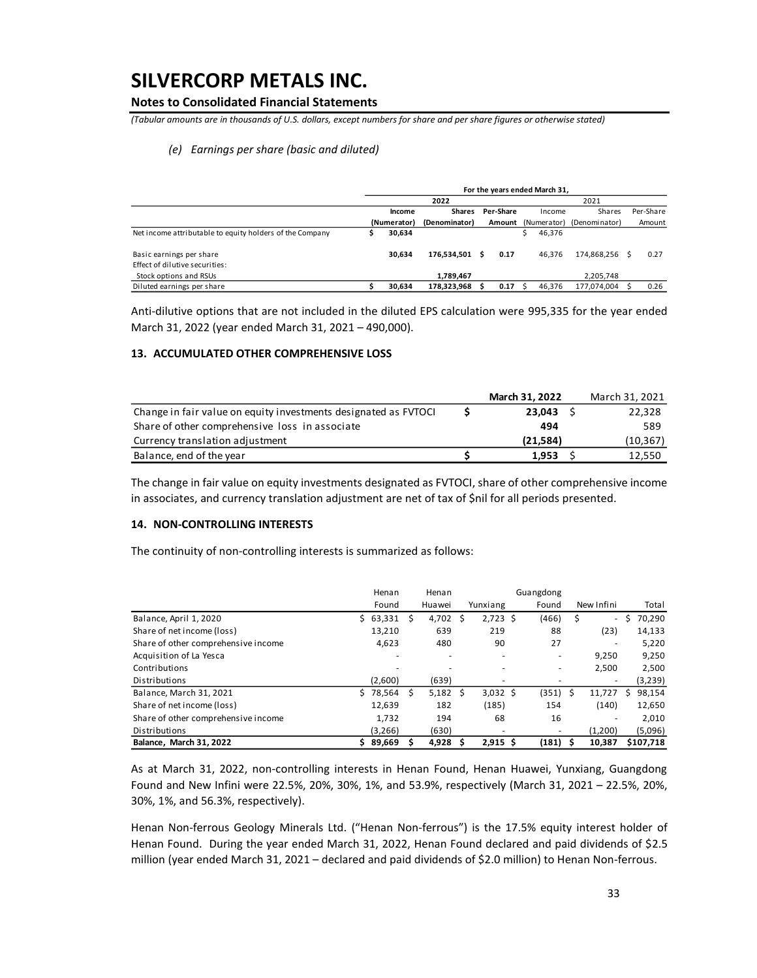### **Notes to Consolidated Financial Statements**

*(Tabular amounts are in thousands of U.S. dollars, except numbers for share and per share figures or otherwise stated)*

#### *(e) Earnings per share (basic and diluted)*

|                                                          | For the years ended March 31, |             |               |   |           |      |        |                           |  |           |
|----------------------------------------------------------|-------------------------------|-------------|---------------|---|-----------|------|--------|---------------------------|--|-----------|
|                                                          |                               |             | 2022          |   |           | 2021 |        |                           |  |           |
|                                                          |                               | Income      | <b>Shares</b> |   | Per-Share |      | Income | Shares                    |  | Per-Share |
|                                                          |                               | (Numerator) | (Denominator) |   | Amount    |      |        | (Numerator) (Denominator) |  | Amount    |
| Net income attributable to equity holders of the Company |                               | 30,634      |               |   |           |      | 46,376 |                           |  |           |
| Basic earnings per share                                 |                               | 30.634      | 176.534.501   | s | 0.17      |      | 46.376 | 174.868.256               |  | 0.27      |
| Effect of dilutive securities:                           |                               |             |               |   |           |      |        |                           |  |           |
| Stock options and RSUs                                   |                               |             | 1,789,467     |   |           |      |        | 2,205,748                 |  |           |
| Diluted earnings per share                               |                               | 30.634      | 178,323,968   |   | 0.17      |      | 46.376 | 177.074.004               |  | 0.26      |

Anti-dilutive options that are not included in the diluted EPS calculation were 995,335 for the year ended March 31, 2022 (year ended March 31, 2021 – 490,000).

#### **13. ACCUMULATED OTHER COMPREHENSIVE LOSS**

|                                                                 | March 31, 2022 | March 31, 2021 |
|-----------------------------------------------------------------|----------------|----------------|
| Change in fair value on equity investments designated as FVTOCI | 23.043         | 22.328         |
| Share of other comprehensive loss in associate                  | 494            | 589            |
| Currency translation adjustment                                 | (21.584)       | (10, 367)      |
| Balance, end of the year                                        | 1.953          | 12.550         |

The change in fair value on equity investments designated as FVTOCI, share of other comprehensive income in associates, and currency translation adjustment are net of tax of \$nil for all periods presented.

#### **14. NON-CONTROLLING INTERESTS**

The continuity of non-controlling interests is summarized as follows:

|                                     |    | Henan   |   | Henan           |   |                          | Guangdong                |    |            |    |           |
|-------------------------------------|----|---------|---|-----------------|---|--------------------------|--------------------------|----|------------|----|-----------|
|                                     |    | Found   |   | Huawei          |   | Yunxiang                 | Found                    |    | New Infini |    | Total     |
| Balance, April 1, 2020              | Ś. | 63,331  |   | 4,702           | Ś | $2,723$ \$               | (466)                    | \$ | ٠          | S. | 70,290    |
| Share of net income (loss)          |    | 13.210  |   | 639             |   | 219                      | 88                       |    | (23)       |    | 14,133    |
| Share of other comprehensive income |    | 4,623   |   | 480             |   | 90                       | 27                       |    | ٠          |    | 5,220     |
| Acquisition of La Yesca             |    | ۰       |   | ٠               |   | $\overline{\phantom{0}}$ | $\overline{\phantom{a}}$ |    | 9,250      |    | 9,250     |
| Contributions                       |    |         |   | ٠               |   |                          |                          |    | 2,500      |    | 2,500     |
| Distributions                       |    | (2,600) |   | (639)           |   | ٠                        |                          |    | ٠          |    | (3,239)   |
| Balance, March 31, 2021             |    | 78.564  | Ś | $5,182 \quad $$ |   | $3,032$ \$               | (351)                    | Ŝ  | 11,727     | S  | 98,154    |
| Share of net income (loss)          |    | 12,639  |   | 182             |   | (185)                    | 154                      |    | (140)      |    | 12,650    |
| Share of other comprehensive income |    | 1.732   |   | 194             |   | 68                       | 16                       |    | ٠          |    | 2,010     |
| Distributions                       |    | (3,266) |   | (630)           |   | ۰                        | $\overline{\phantom{a}}$ |    | (1,200)    |    | (5,096)   |
| Balance, March 31, 2022             | S. | 89.669  |   | 4.928           |   | $2,915$ \$               | (181)                    |    | 10.387     |    | \$107.718 |

As at March 31, 2022, non-controlling interests in Henan Found, Henan Huawei, Yunxiang, Guangdong Found and New Infini were 22.5%, 20%, 30%, 1%, and 53.9%, respectively (March 31, 2021 – 22.5%, 20%, 30%, 1%, and 56.3%, respectively).

Henan Non-ferrous Geology Minerals Ltd. ("Henan Non-ferrous") is the 17.5% equity interest holder of Henan Found. During the year ended March 31, 2022, Henan Found declared and paid dividends of \$2.5 million (year ended March 31, 2021 – declared and paid dividends of \$2.0 million) to Henan Non-ferrous.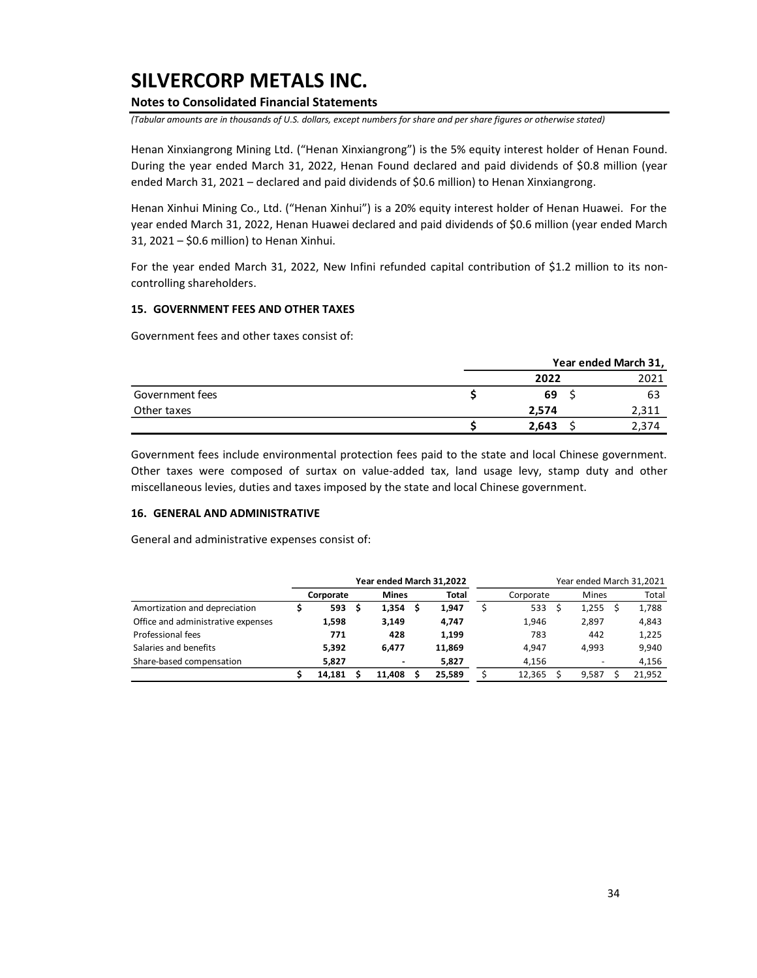### **Notes to Consolidated Financial Statements**

*(Tabular amounts are in thousands of U.S. dollars, except numbers for share and per share figures or otherwise stated)*

Henan Xinxiangrong Mining Ltd. ("Henan Xinxiangrong") is the 5% equity interest holder of Henan Found. During the year ended March 31, 2022, Henan Found declared and paid dividends of \$0.8 million (year ended March 31, 2021 – declared and paid dividends of \$0.6 million) to Henan Xinxiangrong.

Henan Xinhui Mining Co., Ltd. ("Henan Xinhui") is a 20% equity interest holder of Henan Huawei. For the year ended March 31, 2022, Henan Huawei declared and paid dividends of \$0.6 million (year ended March 31, 2021 – \$0.6 million) to Henan Xinhui.

For the year ended March 31, 2022, New Infini refunded capital contribution of \$1.2 million to its noncontrolling shareholders.

#### **15. GOVERNMENT FEES AND OTHER TAXES**

Government fees and other taxes consist of:

|                 | Year ended March 31, |       |  |  |
|-----------------|----------------------|-------|--|--|
|                 | 2022                 | 2021  |  |  |
| Government fees | 69                   | 63    |  |  |
| Other taxes     | 2.574                | 2,311 |  |  |
|                 | 2.643                | 2,374 |  |  |

Government fees include environmental protection fees paid to the state and local Chinese government. Other taxes were composed of surtax on value-added tax, land usage levy, stamp duty and other miscellaneous levies, duties and taxes imposed by the state and local Chinese government.

#### **16. GENERAL AND ADMINISTRATIVE**

General and administrative expenses consist of:

|                                    |           |              | Year ended March 31.2022 |           | Year ended March 31,2021 |        |
|------------------------------------|-----------|--------------|--------------------------|-----------|--------------------------|--------|
|                                    | Corporate | <b>Mines</b> | <b>Total</b>             | Corporate | <b>Mines</b>             | Total  |
| Amortization and depreciation      | 593       | 1,354        | 1,947                    | 533       | 1,255                    | 1,788  |
| Office and administrative expenses | 1,598     | 3,149        | 4,747                    | 1,946     | 2,897                    | 4,843  |
| Professional fees                  | 771       | 428          | 1.199                    | 783       | 442                      | 1,225  |
| Salaries and benefits              | 5.392     | 6,477        | 11,869                   | 4.947     | 4.993                    | 9,940  |
| Share-based compensation           | 5,827     |              | 5,827                    | 4,156     |                          | 4,156  |
|                                    | 14.181    | 11.408       | 25,589                   | 12,365    | 9,587                    | 21,952 |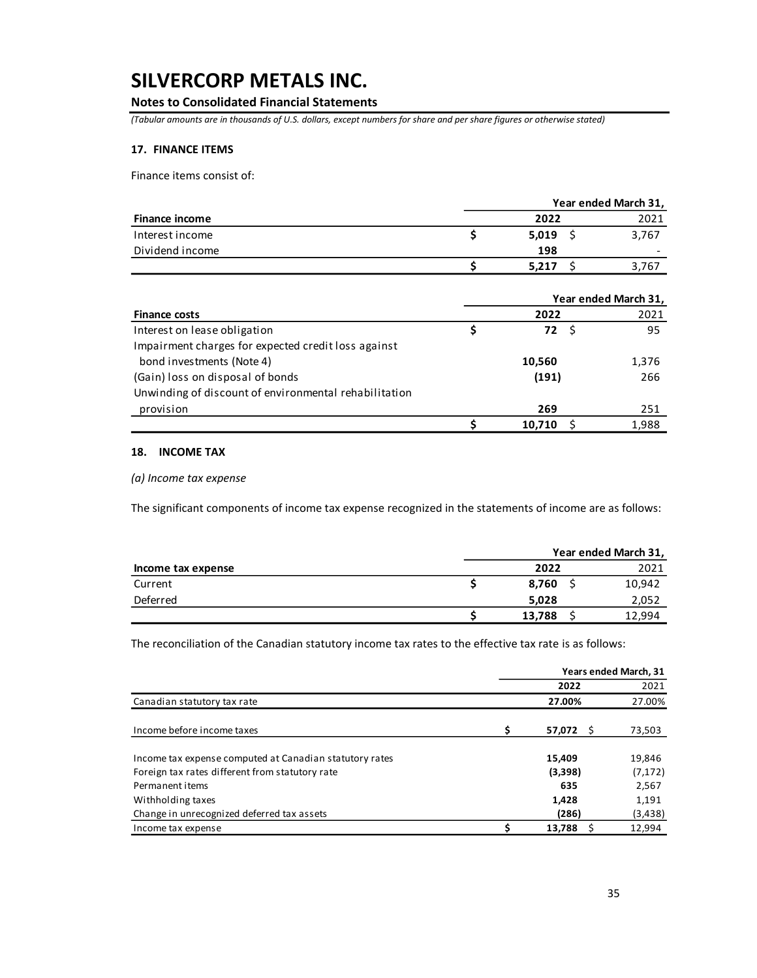### **Notes to Consolidated Financial Statements**

*(Tabular amounts are in thousands of U.S. dollars, except numbers for share and per share figures or otherwise stated)*

#### **17. FINANCE ITEMS**

Finance items consist of:

|                       |       | Year ended March 31, |
|-----------------------|-------|----------------------|
| <b>Finance income</b> | 2022  | 2021                 |
| Interest income       | 5.019 | 3.767                |
| Dividend income       | 198   |                      |
|                       | 5.217 | 3,767                |

|                                                       |             | Year ended March 31, |
|-------------------------------------------------------|-------------|----------------------|
| <b>Finance costs</b>                                  | 2022        | 2021                 |
| Interest on lease obligation                          | <b>72</b> S | 95                   |
| Impairment charges for expected credit loss against   |             |                      |
| bond investments (Note 4)                             | 10,560      | 1,376                |
| (Gain) loss on disposal of bonds                      | (191)       | 266                  |
| Unwinding of discount of environmental rehabilitation |             |                      |
| provision                                             | 269         | 251                  |
|                                                       | 10,710      | 1.988                |

#### **18. INCOME TAX**

#### *(a) Income tax expense*

The significant components of income tax expense recognized in the statements of income are as follows:

|                    | Year ended March 31, |  |        |  |
|--------------------|----------------------|--|--------|--|
| Income tax expense | 2022                 |  | 2021   |  |
| Current            | 8,760                |  | 10,942 |  |
| Deferred           | 5,028                |  | 2,052  |  |
|                    | 13,788               |  | 12,994 |  |

The reconciliation of the Canadian statutory income tax rates to the effective tax rate is as follows:

|                                                         |   |           | Years ended March, 31 |
|---------------------------------------------------------|---|-----------|-----------------------|
|                                                         |   | 2022      | 2021                  |
| Canadian statutory tax rate                             |   | 27.00%    | 27.00%                |
| Income before income taxes                              | Ś | 57,072 \$ | 73,503                |
| Income tax expense computed at Canadian statutory rates |   | 15,409    | 19,846                |
| Foreign tax rates different from statutory rate         |   | (3,398)   | (7, 172)              |
| Permanent items                                         |   | 635       | 2,567                 |
| Withholding taxes                                       |   | 1.428     | 1,191                 |
| Change in unrecognized deferred tax assets              |   | (286)     | (3,438)               |
| Income tax expense                                      |   | 13,788    | 12,994                |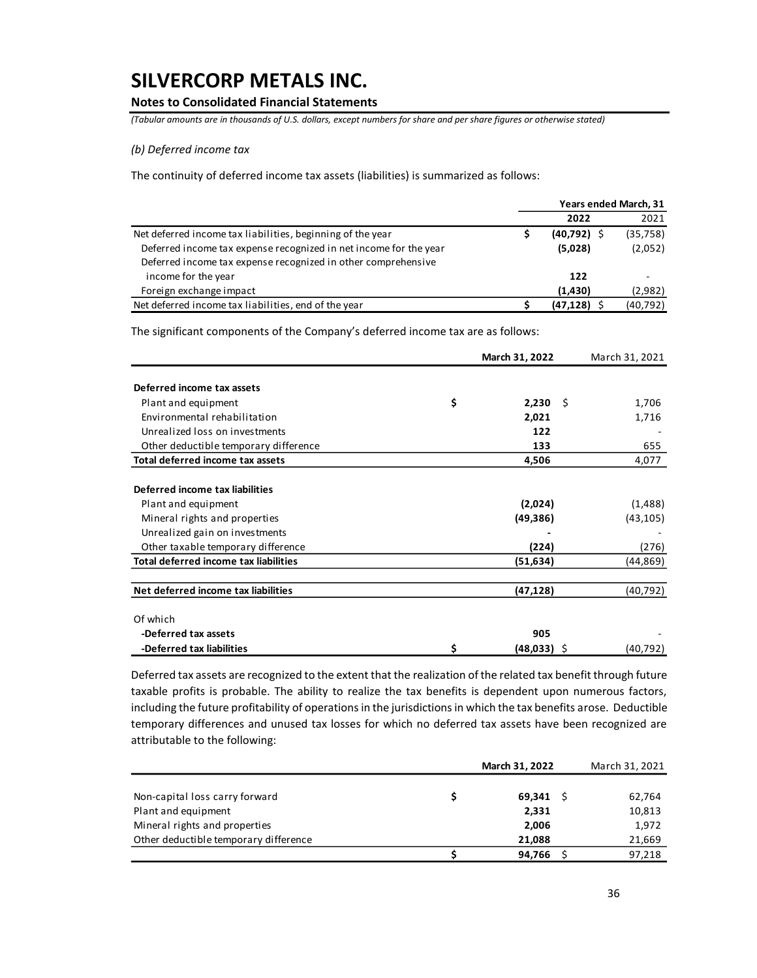### **Notes to Consolidated Financial Statements**

*(Tabular amounts are in thousands of U.S. dollars, except numbers for share and per share figures or otherwise stated)*

#### *(b) Deferred income tax*

The continuity of deferred income tax assets (liabilities) is summarized as follows:

|                                                                   | Years ended March, 31 |           |  |  |  |
|-------------------------------------------------------------------|-----------------------|-----------|--|--|--|
|                                                                   | 2022                  | 2021      |  |  |  |
| Net deferred income tax liabilities, beginning of the year        | $(40,792)$ \$         | (35, 758) |  |  |  |
| Deferred income tax expense recognized in net income for the year | (5,028)               | (2,052)   |  |  |  |
| Deferred income tax expense recognized in other comprehensive     |                       |           |  |  |  |
| income for the year                                               | 122                   |           |  |  |  |
| Foreign exchange impact                                           | (1, 430)              | (2,982)   |  |  |  |
| Net deferred income tax liabilities, end of the year              | (47, 128)             | (40, 792) |  |  |  |

The significant components of the Company's deferred income tax are as follows:

|                                       | March 31, 2022      | March 31, 2021 |
|---------------------------------------|---------------------|----------------|
| Deferred income tax assets            |                     |                |
| Plant and equipment                   | \$<br>2,230<br>- \$ | 1,706          |
| Environmental rehabilitation          | 2,021               | 1,716          |
| Unrealized loss on investments        | 122                 |                |
| Other deductible temporary difference | 133                 | 655            |
| Total deferred income tax assets      | 4,506               | 4,077          |
|                                       |                     |                |
| Deferred income tax liabilities       |                     |                |
| Plant and equipment                   | (2,024)             | (1,488)        |
| Mineral rights and properties         | (49, 386)           | (43, 105)      |
| Unrealized gain on investments        |                     |                |
| Other taxable temporary difference    | (224)               | (276)          |
| Total deferred income tax liabilities | (51,634)            | (44,869)       |
|                                       |                     |                |
| Net deferred income tax liabilities   | (47, 128)           | (40,792)       |
| Of which                              |                     |                |
| -Deferred tax assets                  | 905                 |                |
| -Deferred tax liabilities             | \$<br>(48,033) \$   | (40,792)       |

Deferred tax assets are recognized to the extent that the realization of the related tax benefit through future taxable profits is probable. The ability to realize the tax benefits is dependent upon numerous factors, including the future profitability of operations in the jurisdictions in which the tax benefits arose. Deductible temporary differences and unused tax losses for which no deferred tax assets have been recognized are attributable to the following:

|  | March 31, 2021 |                |  |  |
|--|----------------|----------------|--|--|
|  |                |                |  |  |
|  | 69.341 S       | 62,764         |  |  |
|  | 2,331          | 10,813         |  |  |
|  | 2,006          | 1,972          |  |  |
|  | 21,088         | 21,669         |  |  |
|  | 94.766         | 97,218         |  |  |
|  |                | March 31, 2022 |  |  |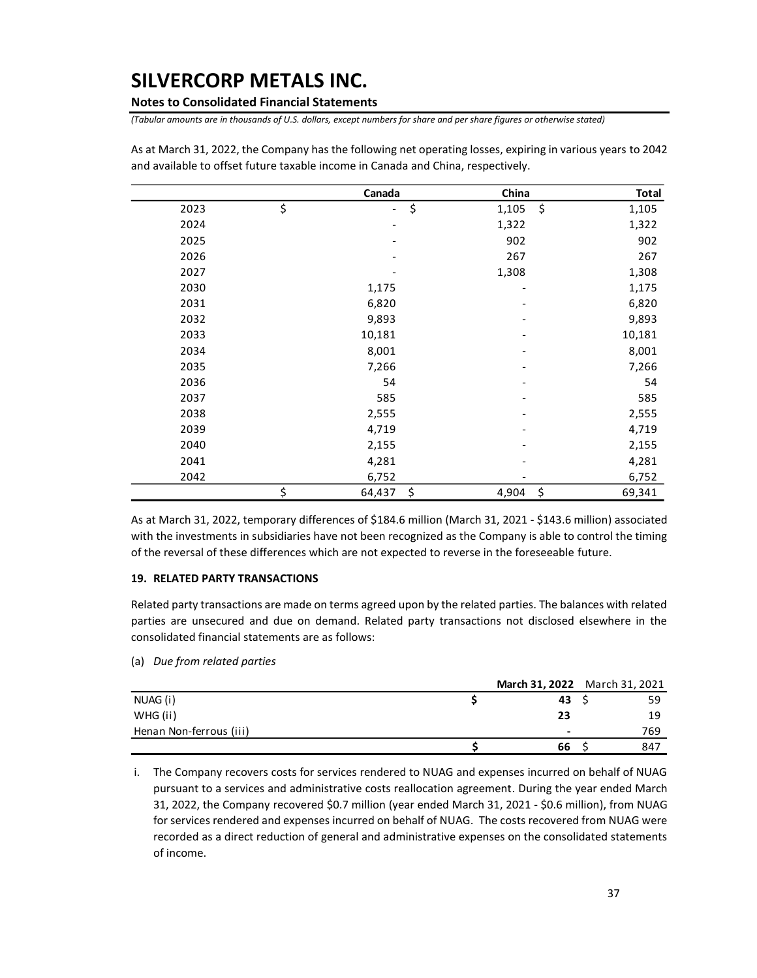### **Notes to Consolidated Financial Statements**

*(Tabular amounts are in thousands of U.S. dollars, except numbers for share and per share figures or otherwise stated)*

|      | Canada                               | China       | <b>Total</b> |
|------|--------------------------------------|-------------|--------------|
| 2023 | \$<br>\$<br>$\overline{\phantom{0}}$ | \$<br>1,105 | 1,105        |
| 2024 |                                      | 1,322       | 1,322        |
| 2025 |                                      | 902         | 902          |
| 2026 |                                      | 267         | 267          |
| 2027 |                                      | 1,308       | 1,308        |
| 2030 | 1,175                                |             | 1,175        |
| 2031 | 6,820                                | -           | 6,820        |
| 2032 | 9,893                                |             | 9,893        |
| 2033 | 10,181                               |             | 10,181       |
| 2034 | 8,001                                |             | 8,001        |
| 2035 | 7,266                                |             | 7,266        |
| 2036 | 54                                   |             | 54           |
| 2037 | 585                                  |             | 585          |
| 2038 | 2,555                                |             | 2,555        |
| 2039 | 4,719                                |             | 4,719        |
| 2040 | 2,155                                |             | 2,155        |
| 2041 | 4,281                                |             | 4,281        |
| 2042 | 6,752                                |             | 6,752        |
|      | \$<br>\$<br>64,437                   | \$<br>4,904 | 69,341       |

As at March 31, 2022, the Company has the following net operating losses, expiring in various years to 2042 and available to offset future taxable income in Canada and China, respectively.

As at March 31, 2022, temporary differences of \$184.6 million (March 31, 2021 - \$143.6 million) associated with the investments in subsidiaries have not been recognized as the Company is able to control the timing of the reversal of these differences which are not expected to reverse in the foreseeable future.

#### **19. RELATED PARTY TRANSACTIONS**

Related party transactions are made on terms agreed upon by the related parties. The balances with related parties are unsecured and due on demand. Related party transactions not disclosed elsewhere in the consolidated financial statements are as follows:

(a) *Due from related parties*

|                         | March 31, 2022 March 31, 2021 |     |
|-------------------------|-------------------------------|-----|
| NUAG (i)                | 43                            | 59  |
| WHG (ii)                | 23                            | 19  |
| Henan Non-ferrous (iii) | -                             | 769 |
|                         | 66                            | 847 |

i. The Company recovers costs for services rendered to NUAG and expenses incurred on behalf of NUAG pursuant to a services and administrative costs reallocation agreement. During the year ended March 31, 2022, the Company recovered \$0.7 million (year ended March 31, 2021 - \$0.6 million), from NUAG for services rendered and expenses incurred on behalf of NUAG. The costs recovered from NUAG were recorded as a direct reduction of general and administrative expenses on the consolidated statements of income.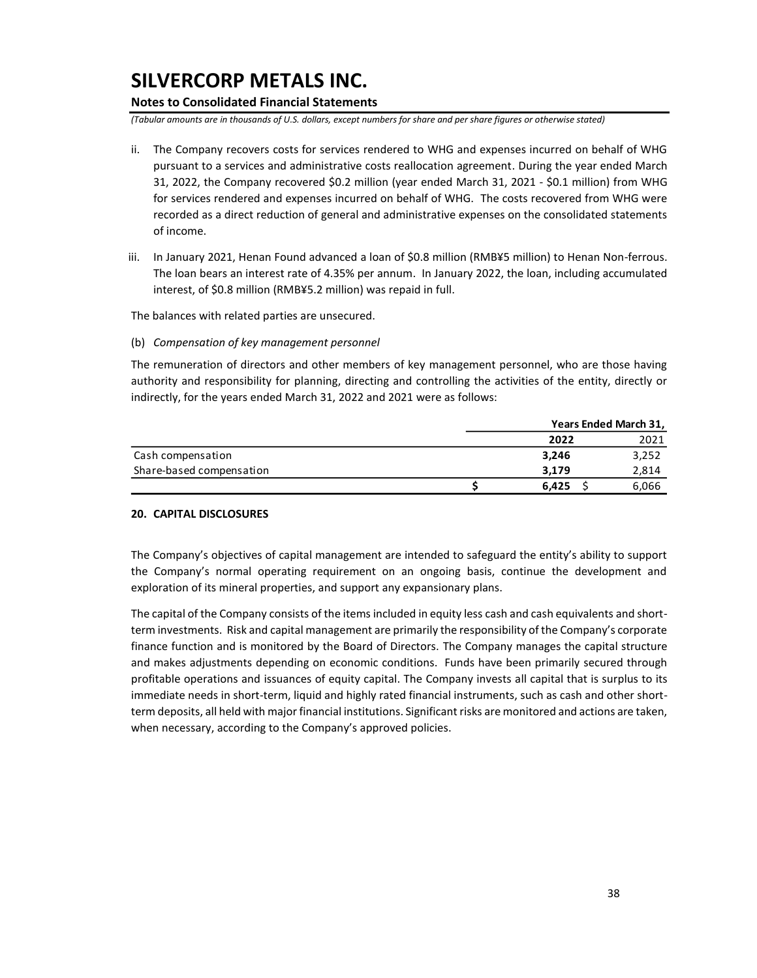### **Notes to Consolidated Financial Statements**

*(Tabular amounts are in thousands of U.S. dollars, except numbers for share and per share figures or otherwise stated)*

- ii. The Company recovers costs for services rendered to WHG and expenses incurred on behalf of WHG pursuant to a services and administrative costs reallocation agreement. During the year ended March 31, 2022, the Company recovered \$0.2 million (year ended March 31, 2021 - \$0.1 million) from WHG for services rendered and expenses incurred on behalf of WHG. The costs recovered from WHG were recorded as a direct reduction of general and administrative expenses on the consolidated statements of income.
- iii. In January 2021, Henan Found advanced a loan of \$0.8 million (RMB¥5 million) to Henan Non-ferrous. The loan bears an interest rate of 4.35% per annum. In January 2022, the loan, including accumulated interest, of \$0.8 million (RMB¥5.2 million) was repaid in full.

The balances with related parties are unsecured.

(b) *Compensation of key management personnel*

The remuneration of directors and other members of key management personnel, who are those having authority and responsibility for planning, directing and controlling the activities of the entity, directly or indirectly, for the years ended March 31, 2022 and 2021 were as follows:

|                          | Years Ended March 31, |       |  |  |  |  |  |
|--------------------------|-----------------------|-------|--|--|--|--|--|
|                          | 2021<br>2022          |       |  |  |  |  |  |
| Cash compensation        | 3.246                 | 3,252 |  |  |  |  |  |
| Share-based compensation | 3.179                 | 2,814 |  |  |  |  |  |
|                          | 6,425                 | 6,066 |  |  |  |  |  |

#### **20. CAPITAL DISCLOSURES**

The Company's objectives of capital management are intended to safeguard the entity's ability to support the Company's normal operating requirement on an ongoing basis, continue the development and exploration of its mineral properties, and support any expansionary plans.

The capital of the Company consists of the items included in equity less cash and cash equivalents and shortterm investments. Risk and capital management are primarily the responsibility of the Company's corporate finance function and is monitored by the Board of Directors. The Company manages the capital structure and makes adjustments depending on economic conditions. Funds have been primarily secured through profitable operations and issuances of equity capital. The Company invests all capital that is surplus to its immediate needs in short-term, liquid and highly rated financial instruments, such as cash and other shortterm deposits, all held with major financial institutions. Significant risks are monitored and actions are taken, when necessary, according to the Company's approved policies.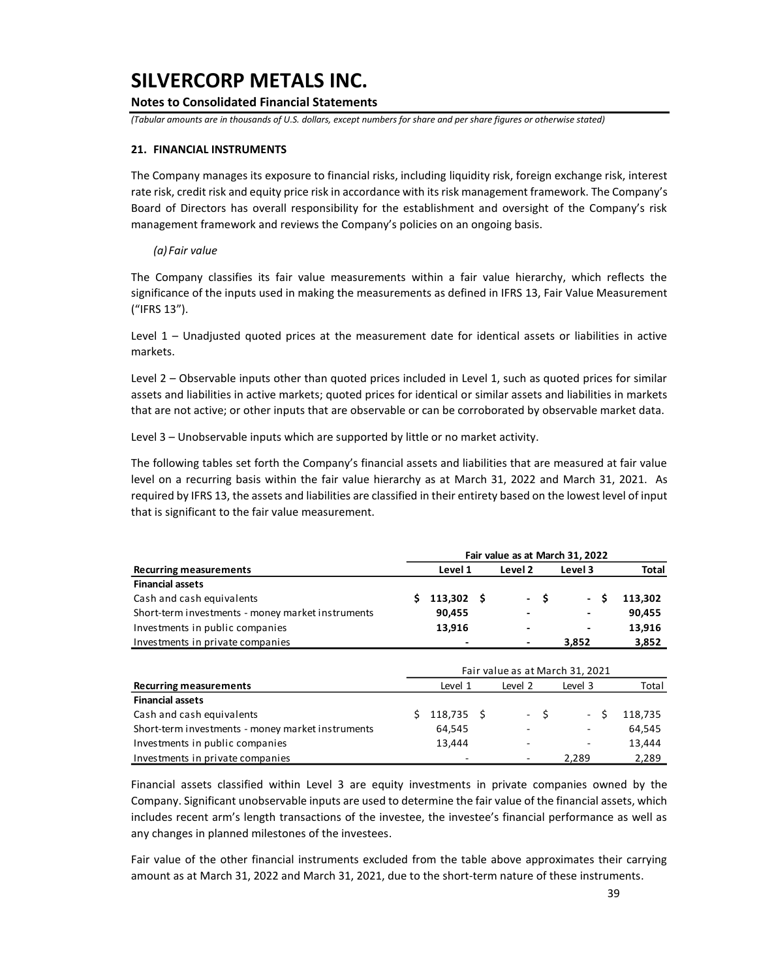### **Notes to Consolidated Financial Statements**

*(Tabular amounts are in thousands of U.S. dollars, except numbers for share and per share figures or otherwise stated)*

#### **21. FINANCIAL INSTRUMENTS**

The Company manages its exposure to financial risks, including liquidity risk, foreign exchange risk, interest rate risk, credit risk and equity price risk in accordance with its risk management framework. The Company's Board of Directors has overall responsibility for the establishment and oversight of the Company's risk management framework and reviews the Company's policies on an ongoing basis.

#### *(a) Fair value*

The Company classifies its fair value measurements within a fair value hierarchy, which reflects the significance of the inputs used in making the measurements as defined in IFRS 13, Fair Value Measurement ("IFRS 13").

Level 1 – Unadjusted quoted prices at the measurement date for identical assets or liabilities in active markets.

Level 2 – Observable inputs other than quoted prices included in Level 1, such as quoted prices for similar assets and liabilities in active markets; quoted prices for identical or similar assets and liabilities in markets that are not active; or other inputs that are observable or can be corroborated by observable market data.

Level 3 – Unobservable inputs which are supported by little or no market activity.

The following tables set forth the Company's financial assets and liabilities that are measured at fair value level on a recurring basis within the fair value hierarchy as at March 31, 2022 and March 31, 2021. As required by IFRS 13, the assets and liabilities are classified in their entirety based on the lowest level of input that is significant to the fair value measurement.

|                                                   |   |                   | Fair value as at March 31, 2022 |         |         |                                 |         |
|---------------------------------------------------|---|-------------------|---------------------------------|---------|---------|---------------------------------|---------|
| <b>Recurring measurements</b>                     |   | Level 1           | Level 2                         |         | Level 3 | Total                           |         |
| <b>Financial assets</b>                           |   |                   |                                 |         |         |                                 |         |
| Cash and cash equivalents                         | S | $113,302 \quad $$ |                                 | $\sim$  | - \$    | \$<br>$\sim$                    | 113,302 |
| Short-term investments - money market instruments |   | 90,455            |                                 |         |         |                                 | 90,455  |
| Investments in public companies                   |   | 13,916            |                                 |         |         |                                 | 13,916  |
| Investments in private companies                  |   |                   |                                 |         |         | 3,852                           | 3,852   |
|                                                   |   |                   |                                 |         |         |                                 |         |
|                                                   |   |                   |                                 |         |         | Fair value as at March 31, 2021 |         |
| <b>Recurring measurements</b>                     |   | Level 1           |                                 | Level 2 |         | Level 3                         | Total   |
| <b>Financial assets</b>                           |   |                   |                                 |         |         |                                 |         |
| Cash and cash equivalents                         | Ś | $118,735$ \$      |                                 | $\sim$  | - \$    | - \$                            | 118,735 |
| Short-term investments - money market instruments |   | 64,545            |                                 |         |         |                                 | 64,545  |
| Investments in public companies                   |   | 13,444            |                                 |         |         |                                 | 13,444  |
| Investments in private companies                  |   |                   |                                 |         |         | 2.289                           | 2,289   |

Financial assets classified within Level 3 are equity investments in private companies owned by the Company. Significant unobservable inputs are used to determine the fair value of the financial assets, which includes recent arm's length transactions of the investee, the investee's financial performance as well as any changes in planned milestones of the investees.

Fair value of the other financial instruments excluded from the table above approximates their carrying amount as at March 31, 2022 and March 31, 2021, due to the short-term nature of these instruments.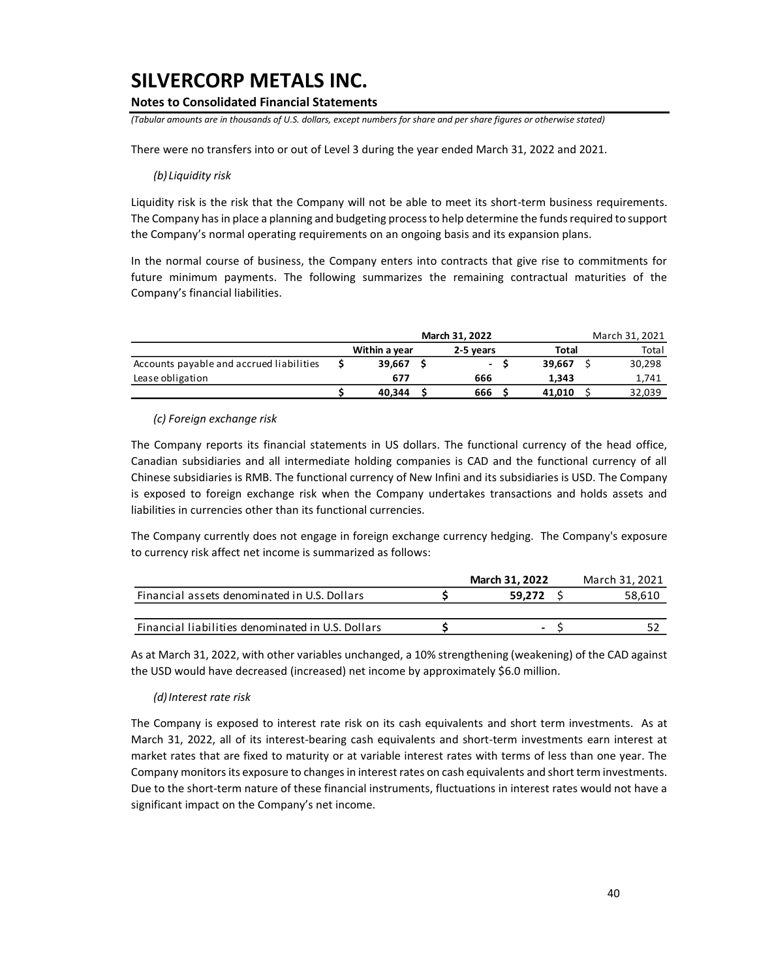### **Notes to Consolidated Financial Statements**

*(Tabular amounts are in thousands of U.S. dollars, except numbers for share and per share figures or otherwise stated)*

There were no transfers into or out of Level 3 during the year ended March 31, 2022 and 2021.

#### *(b) Liquidity risk*

Liquidity risk is the risk that the Company will not be able to meet its short-term business requirements. The Company has in place a planning and budgeting process to help determine the funds required to support the Company's normal operating requirements on an ongoing basis and its expansion plans.

In the normal course of business, the Company enters into contracts that give rise to commitments for future minimum payments. The following summarizes the remaining contractual maturities of the Company's financial liabilities.

|                                          |               | March 31, 2021 |       |        |       |        |
|------------------------------------------|---------------|----------------|-------|--------|-------|--------|
|                                          | Within a vear | 2-5 years      | Total |        | Total |        |
| Accounts payable and accrued liabilities | 39.667        | $\sim$         |       | 39.667 |       | 30,298 |
| Lease obligation                         | 677           | 666            |       | 1.343  |       | 1,741  |
|                                          | 40.344        | 666            |       | 41.010 |       | 32,039 |

#### *(c) Foreign exchange risk*

The Company reports its financial statements in US dollars. The functional currency of the head office, Canadian subsidiaries and all intermediate holding companies is CAD and the functional currency of all Chinese subsidiaries is RMB. The functional currency of New Infini and its subsidiaries is USD. The Company is exposed to foreign exchange risk when the Company undertakes transactions and holds assets and liabilities in currencies other than its functional currencies.

The Company currently does not engage in foreign exchange currency hedging. The Company's exposure to currency risk affect net income is summarized as follows:

|                                                   | March 31, 2022 | March 31, 2021 |
|---------------------------------------------------|----------------|----------------|
| Financial assets denominated in U.S. Dollars      | 59.272         | 58,610         |
|                                                   |                |                |
| Financial liabilities denominated in U.S. Dollars | -              |                |

As at March 31, 2022, with other variables unchanged, a 10% strengthening (weakening) of the CAD against the USD would have decreased (increased) net income by approximately \$6.0 million.

#### *(d)Interest rate risk*

The Company is exposed to interest rate risk on its cash equivalents and short term investments. As at March 31, 2022, all of its interest-bearing cash equivalents and short-term investments earn interest at market rates that are fixed to maturity or at variable interest rates with terms of less than one year. The Company monitors its exposure to changes in interest rates on cash equivalents and short term investments. Due to the short-term nature of these financial instruments, fluctuations in interest rates would not have a significant impact on the Company's net income.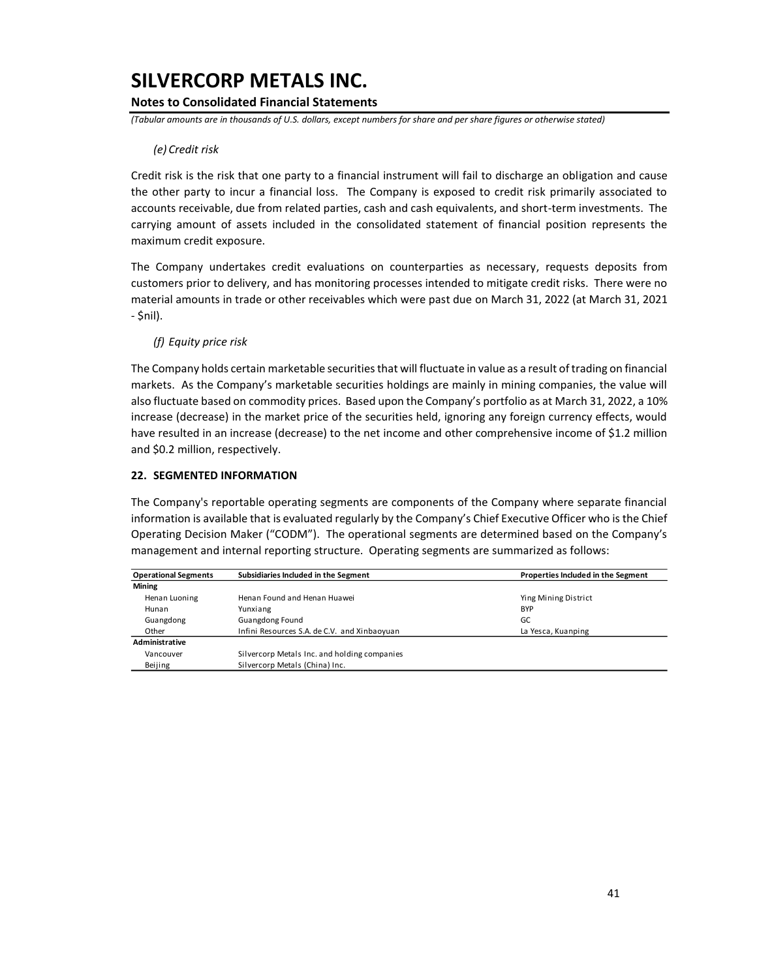### **Notes to Consolidated Financial Statements**

*(Tabular amounts are in thousands of U.S. dollars, except numbers for share and per share figures or otherwise stated)*

#### *(e) Credit risk*

Credit risk is the risk that one party to a financial instrument will fail to discharge an obligation and cause the other party to incur a financial loss. The Company is exposed to credit risk primarily associated to accounts receivable, due from related parties, cash and cash equivalents, and short-term investments. The carrying amount of assets included in the consolidated statement of financial position represents the maximum credit exposure.

The Company undertakes credit evaluations on counterparties as necessary, requests deposits from customers prior to delivery, and has monitoring processes intended to mitigate credit risks. There were no material amounts in trade or other receivables which were past due on March 31, 2022 (at March 31, 2021 - \$nil).

### *(f) Equity price risk*

The Company holds certain marketable securities that will fluctuate in value as a result of trading on financial markets. As the Company's marketable securities holdings are mainly in mining companies, the value will also fluctuate based on commodity prices. Based upon the Company's portfolio as at March 31, 2022, a 10% increase (decrease) in the market price of the securities held, ignoring any foreign currency effects, would have resulted in an increase (decrease) to the net income and other comprehensive income of \$1.2 million and \$0.2 million, respectively.

#### **22. SEGMENTED INFORMATION**

The Company's reportable operating segments are components of the Company where separate financial information is available that is evaluated regularly by the Company's Chief Executive Officer who is the Chief Operating Decision Maker ("CODM"). The operational segments are determined based on the Company's management and internal reporting structure. Operating segments are summarized as follows:

| <b>Operational Segments</b> | Subsidiaries Included in the Segment         | Properties Included in the Segment |  |  |  |  |  |
|-----------------------------|----------------------------------------------|------------------------------------|--|--|--|--|--|
| <b>Mining</b>               |                                              |                                    |  |  |  |  |  |
| Henan Luoning               | Henan Found and Henan Huawei                 | Ying Mining District               |  |  |  |  |  |
| Hunan                       | Yunxiang                                     | <b>BYP</b>                         |  |  |  |  |  |
| Guangdong                   | <b>Guangdong Found</b>                       | GC                                 |  |  |  |  |  |
| Other                       | Infini Resources S.A. de C.V. and Xinbaoyuan | La Yesca, Kuanping                 |  |  |  |  |  |
| Administrative              |                                              |                                    |  |  |  |  |  |
| Vancouver                   | Silvercorp Metals Inc. and holding companies |                                    |  |  |  |  |  |
| Beijing                     | Silvercorp Metals (China) Inc.               |                                    |  |  |  |  |  |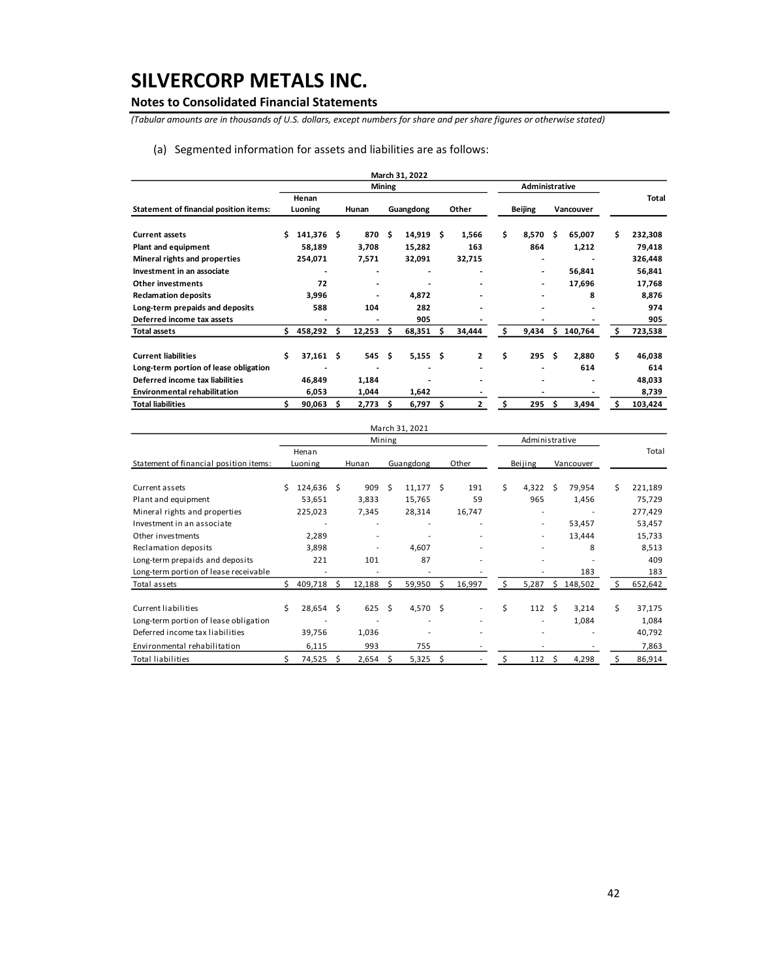### **Notes to Consolidated Financial Statements**

*(Tabular amounts are in thousands of U.S. dollars, except numbers for share and per share figures or otherwise stated)*

#### (a) Segmented information for assets and liabilities are as follows:

|                                        |     |             |   |                          |               | March 31, 2022 |    |                |    |                          |    |           |    |         |
|----------------------------------------|-----|-------------|---|--------------------------|---------------|----------------|----|----------------|----|--------------------------|----|-----------|----|---------|
|                                        |     |             |   |                          | <b>Mining</b> |                |    | Administrative |    |                          |    |           |    |         |
|                                        |     | Henan       |   |                          |               |                |    |                |    |                          |    |           |    | Total   |
| Statement of financial position items: |     | Luoning     |   | Hunan                    |               | Guangdong      |    | Other          |    | <b>Beijing</b>           |    | Vancouver |    |         |
| <b>Current assets</b>                  | Ś   | 141,376 \$  |   | 870                      | - \$          | 14,919         | Ŝ  | 1,566          | \$ | 8,570                    | Ŝ. | 65,007    | Ś. | 232,308 |
| <b>Plant and equipment</b>             |     | 58,189      |   | 3,708                    |               | 15,282         |    | 163            |    | 864                      |    | 1,212     |    | 79,418  |
| Mineral rights and properties          |     | 254,071     |   | 7,571                    |               | 32,091         |    | 32,715         |    |                          |    |           |    | 326,448 |
| Investment in an associate             |     |             |   |                          |               |                |    |                |    | $\overline{\phantom{a}}$ |    | 56,841    |    | 56,841  |
| <b>Other investments</b>               |     | 72          |   | $\overline{\phantom{0}}$ |               |                |    |                |    | ٠                        |    | 17,696    |    | 17,768  |
| <b>Reclamation deposits</b>            |     | 3,996       |   | $\overline{a}$           |               | 4,872          |    |                |    | $\blacksquare$           |    | 8         |    | 8,876   |
| Long-term prepaids and deposits        |     | 588         |   | 104                      |               | 282            |    |                |    | $\overline{\phantom{0}}$ |    |           |    | 974     |
| Deferred income tax assets             |     |             |   | $\blacksquare$           |               | 905            |    |                |    |                          |    |           |    | 905     |
| <b>Total assets</b>                    | Ś.  | 458,292     | S | 12,253                   | Ŝ             | 68,351         | \$ | 34,444         | \$ | 9,434                    | Ś. | 140,764   | s. | 723,538 |
| <b>Current liabilities</b>             | \$. | $37,161$ \$ |   | 545 \$                   |               | $5,155$ \$     |    | $\mathbf{2}$   | \$ | 295                      | Ŝ  | 2,880     | Ś. | 46,038  |
| Long-term portion of lease obligation  |     |             |   |                          |               |                |    |                |    |                          |    | 614       |    | 614     |
| Deferred income tax liabilities        |     | 46,849      |   | 1,184                    |               |                |    |                |    |                          |    |           |    | 48,033  |
| <b>Environmental rehabilitation</b>    |     | 6,053       |   | 1,044                    |               | 1,642          |    |                |    |                          |    |           |    | 8,739   |
| <b>Total liabilities</b>               |     | 90,063      | S | 2,773                    | .s            | 6,797          | Ŝ  | 2              | Ś  | 295                      | Ś. | 3,494     |    | 103,424 |

|                                        |    |              |   |                          |        | March 31, 2021 |    |                |    |                              |      |           |   |         |
|----------------------------------------|----|--------------|---|--------------------------|--------|----------------|----|----------------|----|------------------------------|------|-----------|---|---------|
|                                        |    |              |   |                          | Mining |                |    | Administrative |    |                              |      |           |   |         |
|                                        |    | Henan        |   |                          |        |                |    |                |    |                              |      |           |   | Total   |
| Statement of financial position items: |    | Luoning      |   | Hunan                    |        | Guangdong      |    | Other          |    | Beijing                      |      | Vancouver |   |         |
|                                        |    |              |   |                          |        |                |    |                |    |                              |      |           |   |         |
| Current assets                         | ς. | $124,636$ \$ |   | 909                      | Ŝ      | 11,177         | S  | 191            | \$ | 4,322                        | Ŝ.   | 79,954    | Ś | 221,189 |
| Plant and equipment                    |    | 53,651       |   | 3,833                    |        | 15,765         |    | 59             |    | 965                          |      | 1,456     |   | 75,729  |
| Mineral rights and properties          |    | 225,023      |   | 7,345                    |        | 28,314         |    | 16,747         |    |                              |      |           |   | 277,429 |
| Investment in an associate             |    |              |   |                          |        |                |    |                |    | $\qquad \qquad \blacksquare$ |      | 53,457    |   | 53,457  |
| Other investments                      |    | 2,289        |   | $\overline{\phantom{a}}$ |        |                |    |                |    | ۰                            |      | 13,444    |   | 15,733  |
| Reclamation deposits                   |    | 3,898        |   | $\overline{\phantom{a}}$ |        | 4,607          |    |                |    | ٠                            |      | 8         |   | 8,513   |
| Long-term prepaids and deposits        |    | 221          |   | 101                      |        | 87             |    | ٠              |    | ٠                            |      |           |   | 409     |
| Long-term portion of lease receivable  |    |              |   | ۰                        |        |                |    |                |    |                              |      | 183       |   | 183     |
| Total assets                           |    | 409,718      | S | 12,188                   |        | 59,950         | Ŝ. | 16,997         | S  | 5,287                        | S    | 148,502   | Ś | 652,642 |
|                                        |    |              |   |                          |        |                |    |                |    |                              |      |           |   |         |
| <b>Current liabilities</b>             | ς. | $28,654$ \$  |   | $625$ \$                 |        | 4,570          | \$ |                | \$ | 112                          | - \$ | 3,214     | Ś | 37,175  |
| Long-term portion of lease obligation  |    |              |   |                          |        |                |    |                |    | $\overline{a}$               |      | 1,084     |   | 1,084   |
| Deferred income tax liabilities        |    | 39,756       |   | 1,036                    |        |                |    |                |    |                              |      |           |   | 40,792  |
| Environmental rehabilitation           |    | 6,115        |   | 993                      |        | 755            |    |                |    |                              |      |           |   | 7,863   |
| Total liabilities                      |    | 74,525       | S | 2,654                    | S      | 5,325          | Ŝ. |                | Ś  | 112                          | S    | 4,298     | Ś | 86,914  |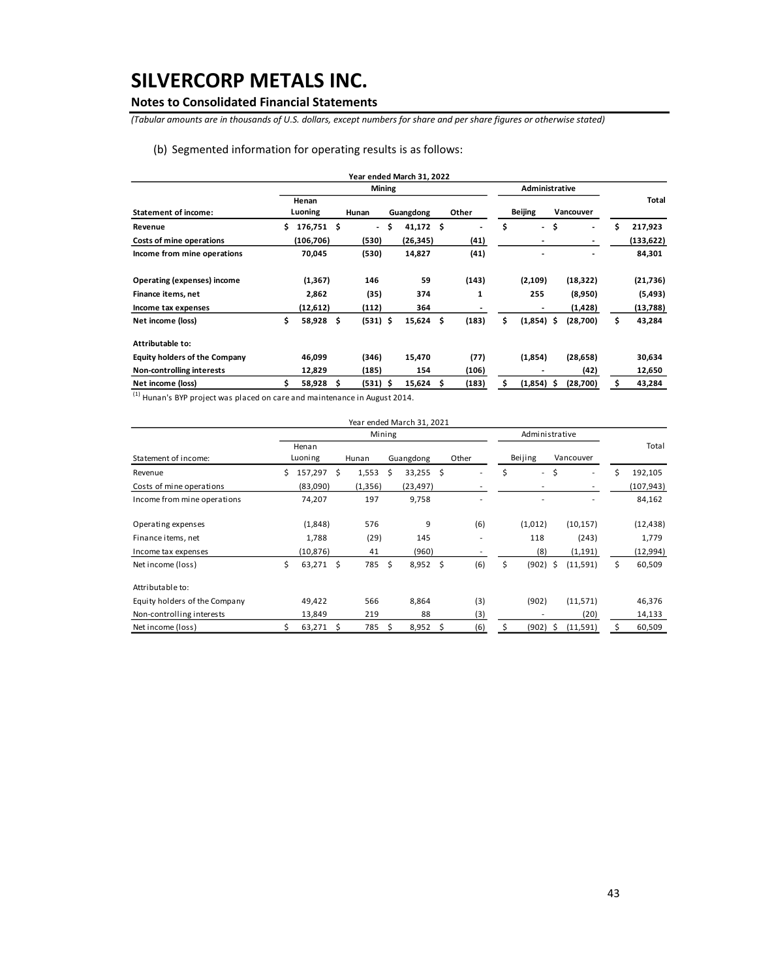### **Notes to Consolidated Financial Statements**

*(Tabular amounts are in thousands of U.S. dollars, except numbers for share and per share figures or otherwise stated)*

### (b) Segmented information for operating results is as follows:

|                                      |     |                  |   |                          | Year ended March 31, 2022 |    |       |                                |     |                          |    |           |
|--------------------------------------|-----|------------------|---|--------------------------|---------------------------|----|-------|--------------------------------|-----|--------------------------|----|-----------|
|                                      |     |                  |   | <b>Mining</b>            |                           |    |       | Administrative                 |     |                          |    |           |
| <b>Statement of income:</b>          |     | Henan<br>Luoning |   | Hunan                    | Guangdong                 |    | Other | <b>Beijing</b>                 |     | Vancouver                |    | Total     |
| Revenue                              | \$  | 176,751 \$       |   | $\overline{\phantom{a}}$ | \$<br>41,172              | \$ |       | \$<br>$\overline{\phantom{0}}$ | \$  | $\overline{\phantom{0}}$ | Ś. | 217,923   |
| Costs of mine operations             |     | (106, 706)       |   | (530)                    | (26, 345)                 |    | (41)  | ٠                              |     | $\overline{\phantom{a}}$ |    | (133,622) |
| Income from mine operations          |     | 70,045           |   | (530)                    | 14,827                    |    | (41)  |                                |     | -                        |    | 84,301    |
| <b>Operating (expenses) income</b>   |     | (1, 367)         |   | 146                      | 59                        |    | (143) | (2, 109)                       |     | (18, 322)                |    | (21,736)  |
| Finance items, net                   |     | 2,862            |   | (35)                     | 374                       |    | 1     | 255                            |     | (8,950)                  |    | (5, 493)  |
| Income tax expenses                  |     | (12,612)         |   | (112)                    | 364                       |    |       | ٠                              |     | (1, 428)                 |    | (13,788)  |
| Net income (loss)                    | \$. | 58,928 \$        |   | $(531)$ \$               | 15,624                    | \$ | (183) | \$<br>(1,854)                  | - Ś | (28,700)                 | \$ | 43,284    |
| Attributable to:                     |     |                  |   |                          |                           |    |       |                                |     |                          |    |           |
| <b>Equity holders of the Company</b> |     | 46,099           |   | (346)                    | 15,470                    |    | (77)  | (1,854)                        |     | (28, 658)                |    | 30,634    |
| Non-controlling interests            |     | 12,829           |   | (185)                    | 154                       |    | (106) | $\blacksquare$                 |     | (42)                     |    | 12,650    |
| Net income (loss)                    | Ś   | 58,928           | s | $(531)$ \$               | 15,624                    | s  | (183) | \$<br>(1,854)                  | - S | (28,700)                 | S  | 43,284    |

 $\frac{(1)}{(1)}$  Hunan's BYP project was placed on care and maintenance in August 2014.

|                               |    |                  |    |          |     | Year ended March 31, 2021 |           |                |     |                          |    |            |
|-------------------------------|----|------------------|----|----------|-----|---------------------------|-----------|----------------|-----|--------------------------|----|------------|
|                               |    |                  |    | Mining   |     |                           |           | Administrative |     |                          |    |            |
| Statement of income:          |    | Henan<br>Luoning |    | Hunan    |     | Guangdong                 | Other     | Beijing        |     | Vancouver                |    | Total      |
| Revenue                       | Ś  | 157,297          | S  | 1,553    | Ś   | 33,255                    | \$        | \$<br>$\sim$   | \$  | $\overline{\phantom{a}}$ | Ś  | 192,105    |
| Costs of mine operations      |    | (83,090)         |    | (1, 356) |     | (23, 497)                 |           |                |     | $\overline{\phantom{a}}$ |    | (107, 943) |
| Income from mine operations   |    | 74,207           |    | 197      |     | 9,758                     |           |                |     |                          |    | 84,162     |
| Operating expenses            |    | (1,848)          |    | 576      |     | 9                         | (6)       | (1,012)        |     | (10, 157)                |    | (12, 438)  |
| Finance items, net            |    | 1,788            |    | (29)     |     | 145                       |           | 118            |     | (243)                    |    | 1,779      |
| Income tax expenses           |    | (10, 876)        |    | 41       |     | (960)                     |           | (8)            |     | (1, 191)                 |    | (12,994)   |
| Net income (loss)             | Ś. | 63,271 \$        |    | 785      | -\$ | $8,952$ \$                | (6)       | \$<br>(902)    | -\$ | (11,591)                 | Ś. | 60,509     |
| Attributable to:              |    |                  |    |          |     |                           |           |                |     |                          |    |            |
| Equity holders of the Company |    | 49,422           |    | 566      |     | 8,864                     | (3)       | (902)          |     | (11,571)                 |    | 46,376     |
| Non-controlling interests     |    | 13,849           |    | 219      |     | 88                        | (3)       |                |     | (20)                     |    | 14,133     |
| Net income (loss)             |    | 63,271           | -S | 785      | Ŝ   | 8,952                     | \$<br>(6) | \$<br>(902)    | Ś.  | (11,591)                 |    | 60,509     |